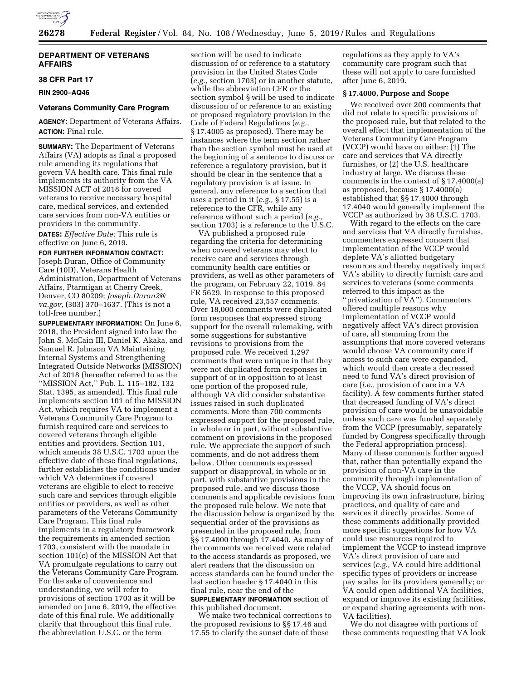

# **DEPARTMENT OF VETERANS AFFAIRS**

### **38 CFR Part 17**

**RIN 2900–AQ46** 

### **Veterans Community Care Program**

**AGENCY:** Department of Veterans Affairs. **ACTION:** Final rule.

**SUMMARY:** The Department of Veterans Affairs (VA) adopts as final a proposed rule amending its regulations that govern VA health care. This final rule implements its authority from the VA MISSION ACT of 2018 for covered veterans to receive necessary hospital care, medical services, and extended care services from non-VA entities or providers in the community.

**DATES:** *Effective Date:* This rule is effective on June 6, 2019.

#### **FOR FURTHER INFORMATION CONTACT:**

Joseph Duran, Office of Community Care (10D), Veterans Health Administration, Department of Veterans Affairs, Ptarmigan at Cherry Creek, Denver, CO 80209; *[Joseph.Duran2@](mailto:Joseph.Duran2@va.gov) [va.gov,](mailto:Joseph.Duran2@va.gov)* (303) 370–1637. (This is not a toll-free number.)

**SUPPLEMENTARY INFORMATION:** On June 6, 2018, the President signed into law the John S. McCain III, Daniel K. Akaka, and Samuel R. Johnson VA Maintaining Internal Systems and Strengthening Integrated Outside Networks (MISSION) Act of 2018 (hereafter referred to as the ''MISSION Act,'' Pub. L. 115–182, 132 Stat. 1395, as amended). This final rule implements section 101 of the MISSION Act, which requires VA to implement a Veterans Community Care Program to furnish required care and services to covered veterans through eligible entities and providers. Section 101, which amends 38 U.S.C. 1703 upon the effective date of these final regulations, further establishes the conditions under which VA determines if covered veterans are eligible to elect to receive such care and services through eligible entities or providers, as well as other parameters of the Veterans Community Care Program. This final rule implements in a regulatory framework the requirements in amended section 1703, consistent with the mandate in section 101(c) of the MISSION Act that VA promulgate regulations to carry out the Veterans Community Care Program. For the sake of convenience and understanding, we will refer to provisions of section 1703 as it will be amended on June 6, 2019, the effective date of this final rule. We additionally clarify that throughout this final rule, the abbreviation U.S.C. or the term

section will be used to indicate discussion of or reference to a statutory provision in the United States Code (*e.g.,* section 1703) or in another statute, while the abbreviation CFR or the section symbol § will be used to indicate discussion of or reference to an existing or proposed regulatory provision in the Code of Federal Regulations (*e.g.,*  § 17.4005 as proposed). There may be instances where the term section rather than the section symbol must be used at the beginning of a sentence to discuss or reference a regulatory provision, but it should be clear in the sentence that a regulatory provision is at issue. In general, any reference to a section that uses a period in it (*e.g.,* § 17.55) is a reference to the CFR, while any reference without such a period (*e.g.,*  section 1703) is a reference to the U.S.C.

VA published a proposed rule regarding the criteria for determining when covered veterans may elect to receive care and services through community health care entities or providers, as well as other parameters of the program, on February 22, 1019. 84 FR 5629. In response to this proposed rule, VA received 23,557 comments. Over 18,000 comments were duplicated form responses that expressed strong support for the overall rulemaking, with some suggestions for substantive revisions to provisions from the proposed rule. We received 1,297 comments that were unique in that they were not duplicated form responses in support of or in opposition to at least one portion of the proposed rule, although VA did consider substantive issues raised in such duplicated comments. More than 700 comments expressed support for the proposed rule, in whole or in part, without substantive comment on provisions in the proposed rule. We appreciate the support of such comments, and do not address them below. Other comments expressed support or disapproval, in whole or in part, with substantive provisions in the proposed rule, and we discuss those comments and applicable revisions from the proposed rule below. We note that the discussion below is organized by the sequential order of the provisions as presented in the proposed rule, from §§ 17.4000 through 17.4040. As many of the comments we received were related to the access standards as proposed, we alert readers that the discussion on access standards can be found under the last section header § 17.4040 in this final rule, near the end of the **SUPPLEMENTARY INFORMATION** section of this published document.

We make two technical corrections to the proposed revisions to §§ 17.46 and 17.55 to clarify the sunset date of these

regulations as they apply to VA's community care program such that these will not apply to care furnished after June 6, 2019.

# **§ 17.4000, Purpose and Scope**

We received over 200 comments that did not relate to specific provisions of the proposed rule, but that related to the overall effect that implementation of the Veterans Community Care Program (VCCP) would have on either: (1) The care and services that VA directly furnishes, or (2) the U.S. healthcare industry at large. We discuss these comments in the context of § 17.4000(a) as proposed, because § 17.4000(a) established that §§ 17.4000 through 17.4040 would generally implement the VCCP as authorized by 38 U.S.C. 1703.

With regard to the effects on the care and services that VA directly furnishes, commenters expressed concern that implementation of the VCCP would deplete VA's allotted budgetary resources and thereby negatively impact VA's ability to directly furnish care and services to veterans (some comments referred to this impact as the ''privatization of VA''). Commenters offered multiple reasons why implementation of VCCP would negatively affect VA's direct provision of care, all stemming from the assumptions that more covered veterans would choose VA community care if access to such care were expanded, which would then create a decreased need to fund VA's direct provision of care (*i.e.,* provision of care in a VA facility). A few comments further stated that decreased funding of VA's direct provision of care would be unavoidable unless such care was funded separately from the VCCP (presumably, separately funded by Congress specifically through the Federal appropriation process). Many of these comments further argued that, rather than potentially expand the provision of non-VA care in the community through implementation of the VCCP, VA should focus on improving its own infrastructure, hiring practices, and quality of care and services it directly provides. Some of these comments additionally provided more specific suggestions for how VA could use resources required to implement the VCCP to instead improve VA's direct provision of care and services (*e.g.,* VA could hire additional specific types of providers or increase pay scales for its providers generally; or VA could open additional VA facilities, expand or improve its existing facilities, or expand sharing agreements with non-VA facilities).

We do not disagree with portions of these comments requesting that VA look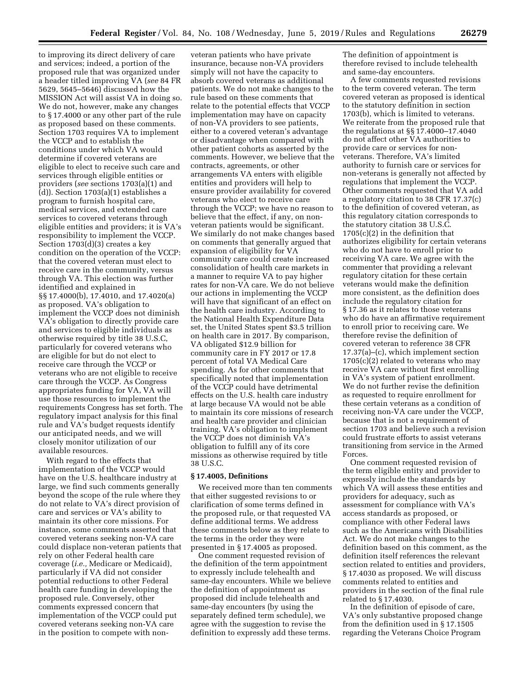to improving its direct delivery of care and services; indeed, a portion of the proposed rule that was organized under a header titled improving VA (*see* 84 FR 5629, 5645–5646) discussed how the MISSION Act will assist VA in doing so. We do not, however, make any changes to § 17.4000 or any other part of the rule as proposed based on these comments. Section 1703 requires VA to implement the VCCP and to establish the conditions under which VA would determine if covered veterans are eligible to elect to receive such care and services through eligible entities or providers (*see* sections 1703(a)(1) and (d)). Section 1703(a)(1) establishes a program to furnish hospital care, medical services, and extended care services to covered veterans through eligible entities and providers; it is VA's responsibility to implement the VCCP. Section 1703(d)(3) creates a key condition on the operation of the VCCP: that the covered veteran must elect to receive care in the community, versus through VA. This election was further identified and explained in §§ 17.4000(b), 17.4010, and 17.4020(a) as proposed. VA's obligation to implement the VCCP does not diminish VA's obligation to directly provide care and services to eligible individuals as otherwise required by title 38 U.S.C, particularly for covered veterans who are eligible for but do not elect to receive care through the VCCP or veterans who are not eligible to receive care through the VCCP. As Congress appropriates funding for VA, VA will use those resources to implement the requirements Congress has set forth. The regulatory impact analysis for this final rule and VA's budget requests identify our anticipated needs, and we will closely monitor utilization of our available resources.

With regard to the effects that implementation of the VCCP would have on the U.S. healthcare industry at large, we find such comments generally beyond the scope of the rule where they do not relate to VA's direct provision of care and services or VA's ability to maintain its other core missions. For instance, some comments asserted that covered veterans seeking non-VA care could displace non-veteran patients that rely on other Federal health care coverage (*i.e.,* Medicare or Medicaid), particularly if VA did not consider potential reductions to other Federal health care funding in developing the proposed rule. Conversely, other comments expressed concern that implementation of the VCCP could put covered veterans seeking non-VA care in the position to compete with non-

veteran patients who have private insurance, because non-VA providers simply will not have the capacity to absorb covered veterans as additional patients. We do not make changes to the rule based on these comments that relate to the potential effects that VCCP implementation may have on capacity of non-VA providers to see patients, either to a covered veteran's advantage or disadvantage when compared with other patient cohorts as asserted by the comments. However, we believe that the contracts, agreements, or other arrangements VA enters with eligible entities and providers will help to ensure provider availability for covered veterans who elect to receive care through the VCCP; we have no reason to believe that the effect, if any, on nonveteran patients would be significant. We similarly do not make changes based on comments that generally argued that expansion of eligibility for VA community care could create increased consolidation of health care markets in a manner to require VA to pay higher rates for non-VA care. We do not believe our actions in implementing the VCCP will have that significant of an effect on the health care industry. According to the National Health Expenditure Data set, the United States spent \$3.5 trillion on health care in 2017. By comparison, VA obligated \$12.9 billion for community care in FY 2017 or 17.8 percent of total VA Medical Care spending. As for other comments that specifically noted that implementation of the VCCP could have detrimental effects on the U.S. health care industry at large because VA would not be able to maintain its core missions of research and health care provider and clinician training, VA's obligation to implement the VCCP does not diminish VA's obligation to fulfill any of its core missions as otherwise required by title 38 U.S.C.

# **§ 17.4005, Definitions**

We received more than ten comments that either suggested revisions to or clarification of some terms defined in the proposed rule, or that requested VA define additional terms. We address these comments below as they relate to the terms in the order they were presented in § 17.4005 as proposed.

One comment requested revision of the definition of the term appointment to expressly include telehealth and same-day encounters. While we believe the definition of appointment as proposed did include telehealth and same-day encounters (by using the separately defined term schedule), we agree with the suggestion to revise the definition to expressly add these terms. The definition of appointment is therefore revised to include telehealth and same-day encounters.

A few comments requested revisions to the term covered veteran. The term covered veteran as proposed is identical to the statutory definition in section 1703(b), which is limited to veterans. We reiterate from the proposed rule that the regulations at §§ 17.4000–17.4040 do not affect other VA authorities to provide care or services for nonveterans. Therefore, VA's limited authority to furnish care or services for non-veterans is generally not affected by regulations that implement the VCCP. Other comments requested that VA add a regulatory citation to 38 CFR 17.37(c) to the definition of covered veteran, as this regulatory citation corresponds to the statutory citation 38 U.S.C. 1705(c)(2) in the definition that authorizes eligibility for certain veterans who do not have to enroll prior to receiving VA care. We agree with the commenter that providing a relevant regulatory citation for these certain veterans would make the definition more consistent, as the definition does include the regulatory citation for § 17.36 as it relates to those veterans who do have an affirmative requirement to enroll prior to receiving care. We therefore revise the definition of covered veteran to reference 38 CFR 17.37(a)–(c), which implement section 1705(c)(2) related to veterans who may receive VA care without first enrolling in VA's system of patient enrollment. We do not further revise the definition as requested to require enrollment for these certain veterans as a condition of receiving non-VA care under the VCCP, because that is not a requirement of section 1703 and believe such a revision could frustrate efforts to assist veterans transitioning from service in the Armed Forces.

One comment requested revision of the term eligible entity and provider to expressly include the standards by which VA will assess these entities and providers for adequacy, such as assessment for compliance with VA's access standards as proposed, or compliance with other Federal laws such as the Americans with Disabilities Act. We do not make changes to the definition based on this comment, as the definition itself references the relevant section related to entities and providers, § 17.4030 as proposed. We will discuss comments related to entities and providers in the section of the final rule related to § 17.4030.

In the definition of episode of care, VA's only substantive proposed change from the definition used in § 17.1505 regarding the Veterans Choice Program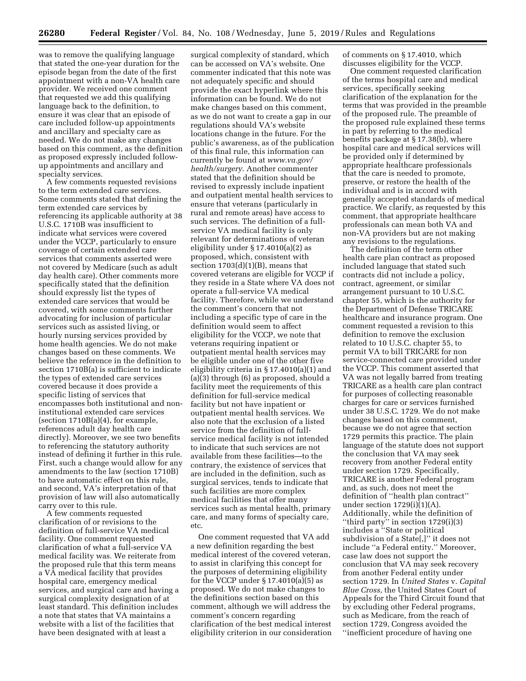was to remove the qualifying language that stated the one-year duration for the episode began from the date of the first appointment with a non-VA health care provider. We received one comment that requested we add this qualifying language back to the definition, to ensure it was clear that an episode of care included follow-up appointments and ancillary and specialty care as needed. We do not make any changes based on this comment, as the definition as proposed expressly included followup appointments and ancillary and specialty services.

A few comments requested revisions to the term extended care services. Some comments stated that defining the term extended care services by referencing its applicable authority at 38 U.S.C. 1710B was insufficient to indicate what services were covered under the VCCP, particularly to ensure coverage of certain extended care services that comments asserted were not covered by Medicare (such as adult day health care). Other comments more specifically stated that the definition should expressly list the types of extended care services that would be covered, with some comments further advocating for inclusion of particular services such as assisted living, or hourly nursing services provided by home health agencies. We do not make changes based on these comments. We believe the reference in the definition to section 1710B(a) is sufficient to indicate the types of extended care services covered because it does provide a specific listing of services that encompasses both institutional and noninstitutional extended care services (section  $1710B(a)(4)$ , for example, references adult day health care directly). Moreover, we see two benefits to referencing the statutory authority instead of defining it further in this rule. First, such a change would allow for any amendments to the law (section 1710B) to have automatic effect on this rule, and second, VA's interpretation of that provision of law will also automatically carry over to this rule.

A few comments requested clarification of or revisions to the definition of full-service VA medical facility. One comment requested clarification of what a full-service VA medical facility was. We reiterate from the proposed rule that this term means a VA medical facility that provides hospital care, emergency medical services, and surgical care and having a surgical complexity designation of at least standard. This definition includes a note that states that VA maintains a website with a list of the facilities that have been designated with at least a

surgical complexity of standard, which can be accessed on VA's website. One commenter indicated that this note was not adequately specific and should provide the exact hyperlink where this information can be found. We do not make changes based on this comment, as we do not want to create a gap in our regulations should VA's website locations change in the future. For the public's awareness, as of the publication of this final rule, this information can currently be found at *[www.va.gov/](http://www.va.gov/health/surgery) [health/surgery](http://www.va.gov/health/surgery)*. Another commenter stated that the definition should be revised to expressly include inpatient and outpatient mental health services to ensure that veterans (particularly in rural and remote areas) have access to such services. The definition of a fullservice VA medical facility is only relevant for determinations of veteran eligibility under § 17.4010(a)(2) as proposed, which, consistent with section  $1703(d)(1)(B)$ , means that covered veterans are eligible for VCCP if they reside in a State where VA does not operate a full-service VA medical facility. Therefore, while we understand the comment's concern that not including a specific type of care in the definition would seem to affect eligibility for the VCCP, we note that veterans requiring inpatient or outpatient mental health services may be eligible under one of the other five eligibility criteria in § 17.4010(a)(1) and (a)(3) through (6) as proposed, should a facility meet the requirements of this definition for full-service medical facility but not have inpatient or outpatient mental health services. We also note that the exclusion of a listed service from the definition of fullservice medical facility is not intended to indicate that such services are not available from these facilities—to the contrary, the existence of services that are included in the definition, such as surgical services, tends to indicate that such facilities are more complex medical facilities that offer many services such as mental health, primary care, and many forms of specialty care, etc.

One comment requested that VA add a new definition regarding the best medical interest of the covered veteran, to assist in clarifying this concept for the purposes of determining eligibility for the VCCP under  $\S 17.4010(a)(5)$  as proposed. We do not make changes to the definitions section based on this comment, although we will address the comment's concern regarding clarification of the best medical interest eligibility criterion in our consideration of comments on § 17.4010, which discusses eligibility for the VCCP.

One comment requested clarification of the terms hospital care and medical services, specifically seeking clarification of the explanation for the terms that was provided in the preamble of the proposed rule. The preamble of the proposed rule explained these terms in part by referring to the medical benefits package at § 17.38(b), where hospital care and medical services will be provided only if determined by appropriate healthcare professionals that the care is needed to promote, preserve, or restore the health of the individual and is in accord with generally accepted standards of medical practice. We clarify, as requested by this comment, that appropriate healthcare professionals can mean both VA and non-VA providers but are not making any revisions to the regulations.

The definition of the term other health care plan contract as proposed included language that stated such contracts did not include a policy, contract, agreement, or similar arrangement pursuant to 10 U.S.C. chapter 55, which is the authority for the Department of Defense TRICARE healthcare and insurance program. One comment requested a revision to this definition to remove the exclusion related to 10 U.S.C. chapter 55, to permit VA to bill TRICARE for non service-connected care provided under the VCCP. This comment asserted that VA was not legally barred from treating TRICARE as a health care plan contract for purposes of collecting reasonable charges for care or services furnished under 38 U.S.C. 1729. We do not make changes based on this comment, because we do not agree that section 1729 permits this practice. The plain language of the statute does not support the conclusion that VA may seek recovery from another Federal entity under section 1729. Specifically, TRICARE is another Federal program and, as such, does not meet the definition of ''health plan contract'' under section  $1729(i)(1)(A)$ . Additionally, while the definition of ''third party'' in section 1729(i)(3) includes a ''State or political subdivision of a State[,]'' it does not include ''a Federal entity.'' Moreover, case law does not support the conclusion that VA may seek recovery from another Federal entity under section 1729. In *United States* v. *Capital Blue Cross,* the United States Court of Appeals for the Third Circuit found that by excluding other Federal programs, such as Medicare, from the reach of section 1729, Congress avoided the ''inefficient procedure of having one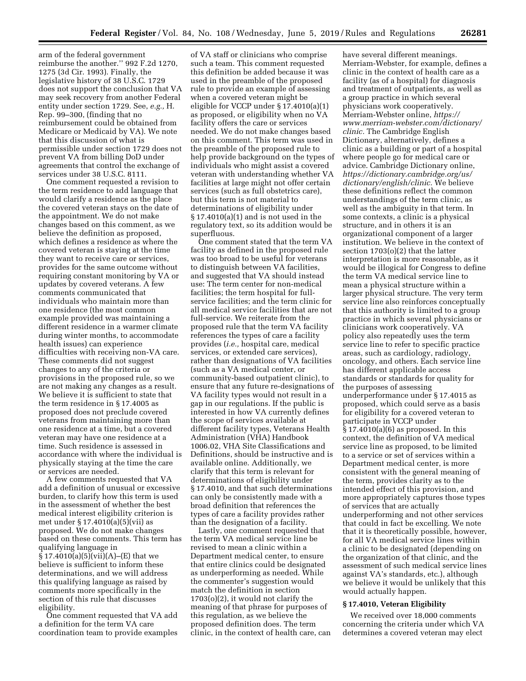arm of the federal government reimburse the another.'' 992 F.2d 1270, 1275 (3d Cir. 1993). Finally, the legislative history of 38 U.S.C. 1729 does not support the conclusion that VA may seek recovery from another Federal entity under section 1729. See, *e.g.,* H. Rep. 99–300, (finding that no reimbursement could be obtained from Medicare or Medicaid by VA). We note that this discussion of what is permissible under section 1729 does not prevent VA from billing DoD under agreements that control the exchange of services under 38 U.S.C. 8111.

One comment requested a revision to the term residence to add language that would clarify a residence as the place the covered veteran stays on the date of the appointment. We do not make changes based on this comment, as we believe the definition as proposed, which defines a residence as where the covered veteran is staying at the time they want to receive care or services, provides for the same outcome without requiring constant monitoring by VA or updates by covered veterans. A few comments communicated that individuals who maintain more than one residence (the most common example provided was maintaining a different residence in a warmer climate during winter months, to accommodate health issues) can experience difficulties with receiving non-VA care. These comments did not suggest changes to any of the criteria or provisions in the proposed rule, so we are not making any changes as a result. We believe it is sufficient to state that the term residence in § 17.4005 as proposed does not preclude covered veterans from maintaining more than one residence at a time, but a covered veteran may have one residence at a time. Such residence is assessed in accordance with where the individual is physically staying at the time the care or services are needed.

A few comments requested that VA add a definition of unusual or excessive burden, to clarify how this term is used in the assessment of whether the best medical interest eligibility criterion is met under § 17.4010(a)(5)(vii) as proposed. We do not make changes based on these comments. This term has qualifying language in  $\S 17.4010(a)(5)(vii)(A)–(E)$  that we believe is sufficient to inform these determinations, and we will address this qualifying language as raised by comments more specifically in the section of this rule that discusses eligibility.

One comment requested that VA add a definition for the term VA care coordination team to provide examples

of VA staff or clinicians who comprise such a team. This comment requested this definition be added because it was used in the preamble of the proposed rule to provide an example of assessing when a covered veteran might be eligible for VCCP under § 17.4010(a)(1) as proposed, or eligibility when no VA facility offers the care or services needed. We do not make changes based on this comment. This term was used in the preamble of the proposed rule to help provide background on the types of individuals who might assist a covered veteran with understanding whether VA facilities at large might not offer certain services (such as full obstetrics care), but this term is not material to determinations of eligibility under § 17.4010(a)(1) and is not used in the regulatory text, so its addition would be superfluous.

One comment stated that the term VA facility as defined in the proposed rule was too broad to be useful for veterans to distinguish between VA facilities, and suggested that VA should instead use: The term center for non-medical facilities; the term hospital for fullservice facilities; and the term clinic for all medical service facilities that are not full-service. We reiterate from the proposed rule that the term VA facility references the types of care a facility provides (*i.e.,* hospital care, medical services, or extended care services), rather than designations of VA facilities (such as a VA medical center, or community-based outpatient clinic), to ensure that any future re-designations of VA facility types would not result in a gap in our regulations. If the public is interested in how VA currently defines the scope of services available at different facility types, Veterans Health Administration (VHA) Handbook 1006.02, VHA Site Classifications and Definitions, should be instructive and is available online. Additionally, we clarify that this term is relevant for determinations of eligibility under § 17.4010, and that such determinations can only be consistently made with a broad definition that references the types of care a facility provides rather than the designation of a facility.

Lastly, one comment requested that the term VA medical service line be revised to mean a clinic within a Department medical center, to ensure that entire clinics could be designated as underperforming as needed. While the commenter's suggestion would match the definition in section 1703(o)(2), it would not clarify the meaning of that phrase for purposes of this regulation, as we believe the proposed definition does. The term clinic, in the context of health care, can

have several different meanings. Merriam-Webster, for example, defines a clinic in the context of health care as a facility (as of a hospital) for diagnosis and treatment of outpatients, as well as a group practice in which several physicians work cooperatively. Merriam-Webster online, *[https://](https://www.merriam-webster.com/dictionary/clinic) [www.merriam-webster.com/dictionary/](https://www.merriam-webster.com/dictionary/clinic) [clinic.](https://www.merriam-webster.com/dictionary/clinic)* The Cambridge English Dictionary, alternatively, defines a clinic as a building or part of a hospital where people go for medical care or advice. Cambridge Dictionary online, *[https://dictionary.cambridge.org/us/](https://dictionary.cambridge.org/us/dictionary/english/clinic)  [dictionary/english/clinic.](https://dictionary.cambridge.org/us/dictionary/english/clinic)* We believe these definitions reflect the common understandings of the term clinic, as well as the ambiguity in that term. In some contexts, a clinic is a physical structure, and in others it is an organizational component of a larger institution. We believe in the context of section 1703(o)(2) that the latter interpretation is more reasonable, as it would be illogical for Congress to define the term VA medical service line to mean a physical structure within a larger physical structure. The very term service line also reinforces conceptually that this authority is limited to a group practice in which several physicians or clinicians work cooperatively. VA policy also repeatedly uses the term service line to refer to specific practice areas, such as cardiology, radiology, oncology, and others. Each service line has different applicable access standards or standards for quality for the purposes of assessing underperformance under § 17.4015 as proposed, which could serve as a basis for eligibility for a covered veteran to participate in VCCP under  $§ 17.4010(a)(6)$  as proposed. In this context, the definition of VA medical service line as proposed, to be limited to a service or set of services within a Department medical center, is more consistent with the general meaning of the term, provides clarity as to the intended effect of this provision, and more appropriately captures those types of services that are actually underperforming and not other services that could in fact be excelling. We note that it is theoretically possible, however, for all VA medical service lines within a clinic to be designated (depending on the organization of that clinic, and the assessment of such medical service lines against VA's standards, etc.), although we believe it would be unlikely that this would actually happen.

#### **§ 17.4010, Veteran Eligibility**

We received over 18,000 comments concerning the criteria under which VA determines a covered veteran may elect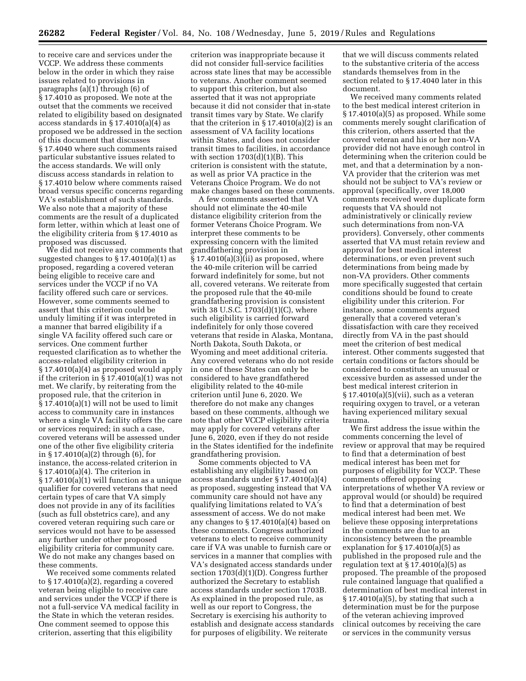to receive care and services under the VCCP. We address these comments below in the order in which they raise issues related to provisions in paragraphs  $(a)(1)$  through  $(6)$  of § 17.4010 as proposed. We note at the outset that the comments we received related to eligibility based on designated access standards in § 17.4010(a)(4) as proposed we be addressed in the section of this document that discusses § 17.4040 where such comments raised particular substantive issues related to the access standards. We will only discuss access standards in relation to § 17.4010 below where comments raised broad versus specific concerns regarding VA's establishment of such standards. We also note that a majority of these comments are the result of a duplicated form letter, within which at least one of the eligibility criteria from § 17.4010 as proposed was discussed.

We did not receive any comments that suggested changes to § 17.4010(a)(1) as proposed, regarding a covered veteran being eligible to receive care and services under the VCCP if no VA facility offered such care or services. However, some comments seemed to assert that this criterion could be unduly limiting if it was interpreted in a manner that barred eligibility if a single VA facility offered such care or services. One comment further requested clarification as to whether the access-related eligibility criterion in § 17.4010(a)(4) as proposed would apply if the criterion in § 17.4010(a)(1) was not met. We clarify, by reiterating from the proposed rule, that the criterion in § 17.4010(a)(1) will not be used to limit access to community care in instances where a single VA facility offers the care or services required; in such a case, covered veterans will be assessed under one of the other five eligibility criteria in § 17.4010(a)(2) through (6), for instance, the access-related criterion in § 17.4010(a)(4). The criterion in § 17.4010(a)(1) will function as a unique qualifier for covered veterans that need certain types of care that VA simply does not provide in any of its facilities (such as full obstetrics care), and any covered veteran requiring such care or services would not have to be assessed any further under other proposed eligibility criteria for community care. We do not make any changes based on these comments.

We received some comments related to  $\S 17.4010(a)(2)$ , regarding a covered veteran being eligible to receive care and services under the VCCP if there is not a full-service VA medical facility in the State in which the veteran resides. One comment seemed to oppose this criterion, asserting that this eligibility

criterion was inappropriate because it did not consider full-service facilities across state lines that may be accessible to veterans. Another comment seemed to support this criterion, but also asserted that it was not appropriate because it did not consider that in-state transit times vary by State. We clarify that the criterion in  $\S 17.4010(a)(2)$  is an assessment of VA facility locations within States, and does not consider transit times to facilities, in accordance with section  $1703(d)(1)(B)$ . This criterion is consistent with the statute, as well as prior VA practice in the Veterans Choice Program. We do not make changes based on these comments.

A few comments asserted that VA should not eliminate the 40-mile distance eligibility criterion from the former Veterans Choice Program. We interpret these comments to be expressing concern with the limited grandfathering provision in  $§ 17.4010(a)(3)(ii)$  as proposed, where the 40-mile criterion will be carried forward indefinitely for some, but not all, covered veterans. We reiterate from the proposed rule that the 40-mile grandfathering provision is consistent with 38 U.S.C. 1703(d)(1)(C), where such eligibility is carried forward indefinitely for only those covered veterans that reside in Alaska, Montana, North Dakota, South Dakota, or Wyoming and meet additional criteria. Any covered veterans who do not reside in one of these States can only be considered to have grandfathered eligibility related to the 40-mile criterion until June 6, 2020. We therefore do not make any changes based on these comments, although we note that other VCCP eligibility criteria may apply for covered veterans after June 6, 2020, even if they do not reside in the States identified for the indefinite grandfathering provision.

Some comments objected to VA establishing any eligibility based on access standards under § 17.4010(a)(4) as proposed, suggesting instead that VA community care should not have any qualifying limitations related to VA's assessment of access. We do not make any changes to § 17.4010(a)(4) based on these comments. Congress authorized veterans to elect to receive community care if VA was unable to furnish care or services in a manner that complies with VA's designated access standards under section 1703(d)(1)(D). Congress further authorized the Secretary to establish access standards under section 1703B. As explained in the proposed rule, as well as our report to Congress, the Secretary is exercising his authority to establish and designate access standards for purposes of eligibility. We reiterate

that we will discuss comments related to the substantive criteria of the access standards themselves from in the section related to § 17.4040 later in this document.

We received many comments related to the best medical interest criterion in § 17.4010(a)(5) as proposed. While some comments merely sought clarification of this criterion, others asserted that the covered veteran and his or her non-VA provider did not have enough control in determining when the criterion could be met, and that a determination by a non-VA provider that the criterion was met should not be subject to VA's review or approval (specifically, over 18,000 comments received were duplicate form requests that VA should not administratively or clinically review such determinations from non-VA providers). Conversely, other comments asserted that VA must retain review and approval for best medical interest determinations, or even prevent such determinations from being made by non-VA providers. Other comments more specifically suggested that certain conditions should be found to create eligibility under this criterion. For instance, some comments argued generally that a covered veteran's dissatisfaction with care they received directly from VA in the past should meet the criterion of best medical interest. Other comments suggested that certain conditions or factors should be considered to constitute an unusual or excessive burden as assessed under the best medical interest criterion in § 17.4010(a)(5)(vii), such as a veteran requiring oxygen to travel, or a veteran having experienced military sexual trauma.

We first address the issue within the comments concerning the level of review or approval that may be required to find that a determination of best medical interest has been met for purposes of eligibility for VCCP. These comments offered opposing interpretations of whether VA review or approval would (or should) be required to find that a determination of best medical interest had been met. We believe these opposing interpretations in the comments are due to an inconsistency between the preamble explanation for  $\S 17.4010(a)(5)$  as published in the proposed rule and the regulation text at  $\S 17.4010(a)(5)$  as proposed. The preamble of the proposed rule contained language that qualified a determination of best medical interest in § 17.4010(a)(5), by stating that such a determination must be for the purpose of the veteran achieving improved clinical outcomes by receiving the care or services in the community versus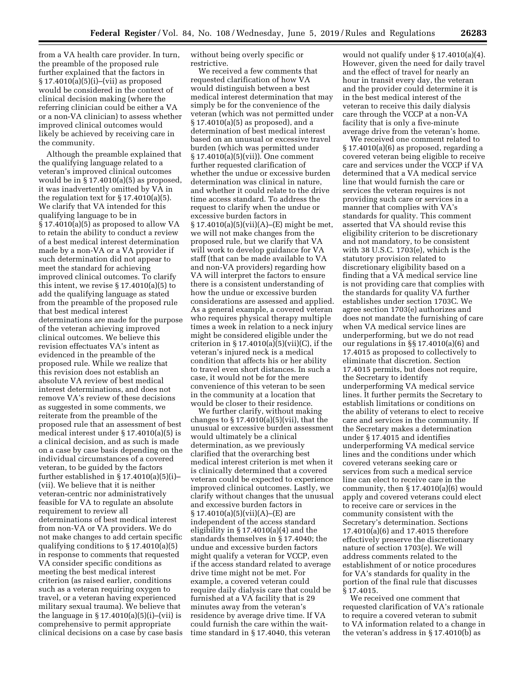from a VA health care provider. In turn, the preamble of the proposed rule further explained that the factors in § 17.4010(a)(5)(i)–(vii) as proposed would be considered in the context of clinical decision making (where the referring clinician could be either a VA or a non-VA clinician) to assess whether improved clinical outcomes would likely be achieved by receiving care in the community.

Although the preamble explained that the qualifying language related to a veteran's improved clinical outcomes would be in § 17.4010(a)(5) as proposed, it was inadvertently omitted by VA in the regulation text for  $\S 17.4010(a)(5)$ . We clarify that VA intended for this qualifying language to be in § 17.4010(a)(5) as proposed to allow VA to retain the ability to conduct a review of a best medical interest determination made by a non-VA or a VA provider if such determination did not appear to meet the standard for achieving improved clinical outcomes. To clarify this intent, we revise  $\S 17.4010(a)(5)$  to add the qualifying language as stated from the preamble of the proposed rule that best medical interest determinations are made for the purpose of the veteran achieving improved clinical outcomes. We believe this revision effectuates VA's intent as evidenced in the preamble of the proposed rule. While we realize that this revision does not establish an absolute VA review of best medical interest determinations, and does not remove VA's review of these decisions as suggested in some comments, we reiterate from the preamble of the proposed rule that an assessment of best medical interest under § 17.4010(a)(5) is a clinical decision, and as such is made on a case by case basis depending on the individual circumstances of a covered veteran, to be guided by the factors further established in  $\S 17.4010(a)(5)(i)$ -(vii). We believe that it is neither veteran-centric nor administratively feasible for VA to regulate an absolute requirement to review all determinations of best medical interest from non-VA or VA providers. We do not make changes to add certain specific qualifying conditions to § 17.4010(a)(5) in response to comments that requested VA consider specific conditions as meeting the best medical interest criterion (as raised earlier, conditions such as a veteran requiring oxygen to travel, or a veteran having experienced military sexual trauma). We believe that the language in  $\S 17.4010(a)(5)(i)$ –(vii) is comprehensive to permit appropriate clinical decisions on a case by case basis without being overly specific or restrictive.

We received a few comments that requested clarification of how VA would distinguish between a best medical interest determination that may simply be for the convenience of the veteran (which was not permitted under § 17.4010(a)(5) as proposed), and a determination of best medical interest based on an unusual or excessive travel burden (which was permitted under § 17.4010(a)(5)(vii)). One comment further requested clarification of whether the undue or excessive burden determination was clinical in nature, and whether it could relate to the drive time access standard. To address the request to clarify when the undue or excessive burden factors in  $§ 17.4010(a)(5)(vii)(A)–(E) might be met,$ we will not make changes from the proposed rule, but we clarify that VA will work to develop guidance for VA staff (that can be made available to VA and non-VA providers) regarding how VA will interpret the factors to ensure there is a consistent understanding of how the undue or excessive burden considerations are assessed and applied. As a general example, a covered veteran who requires physical therapy multiple times a week in relation to a neck injury might be considered eligible under the criterion in  $\S 17.4010(a)(5)(vii)(C)$ , if the veteran's injured neck is a medical condition that affects his or her ability to travel even short distances. In such a case, it would not be for the mere convenience of this veteran to be seen in the community at a location that would be closer to their residence.

We further clarify, without making changes to  $\S 17.4010(a)(5)(vii)$ , that the unusual or excessive burden assessment would ultimately be a clinical determination, as we previously clarified that the overarching best medical interest criterion is met when it is clinically determined that a covered veteran could be expected to experience improved clinical outcomes. Lastly, we clarify without changes that the unusual and excessive burden factors in  $§ 17.4010(a)(5)(vii)(A)–(E) are$ independent of the access standard eligibility in § 17.4010(a)(4) and the standards themselves in § 17.4040; the undue and excessive burden factors might qualify a veteran for VCCP, even if the access standard related to average drive time might not be met. For example, a covered veteran could require daily dialysis care that could be furnished at a VA facility that is 29 minutes away from the veteran's residence by average drive time. If VA could furnish the care within the waittime standard in § 17.4040, this veteran

would not qualify under § 17.4010(a)(4). However, given the need for daily travel and the effect of travel for nearly an hour in transit every day, the veteran and the provider could determine it is in the best medical interest of the veteran to receive this daily dialysis care through the VCCP at a non-VA facility that is only a five-minute average drive from the veteran's home.

We received one comment related to § 17.4010(a)(6) as proposed, regarding a covered veteran being eligible to receive care and services under the VCCP if VA determined that a VA medical service line that would furnish the care or services the veteran requires is not providing such care or services in a manner that complies with VA's standards for quality. This comment asserted that VA should revise this eligibility criterion to be discretionary and not mandatory, to be consistent with 38 U.S.C. 1703(e), which is the statutory provision related to discretionary eligibility based on a finding that a VA medical service line is not providing care that complies with the standards for quality VA further establishes under section 1703C. We agree section 1703(e) authorizes and does not mandate the furnishing of care when VA medical service lines are underperforming, but we do not read our regulations in §§ 17.4010(a)(6) and 17.4015 as proposed to collectively to eliminate that discretion. Section 17.4015 permits, but does not require, the Secretary to identify underperforming VA medical service lines. It further permits the Secretary to establish limitations or conditions on the ability of veterans to elect to receive care and services in the community. If the Secretary makes a determination under § 17.4015 and identifies underperforming VA medical service lines and the conditions under which covered veterans seeking care or services from such a medical service line can elect to receive care in the community, then § 17.4010(a)(6) would apply and covered veterans could elect to receive care or services in the community consistent with the Secretary's determination. Sections 17.4010(a)(6) and 17.4015 therefore effectively preserve the discretionary nature of section 1703(e). We will address comments related to the establishment of or notice procedures for VA's standards for quality in the portion of the final rule that discusses § 17.4015.

We received one comment that requested clarification of VA's rationale to require a covered veteran to submit to VA information related to a change in the veteran's address in § 17.4010(b) as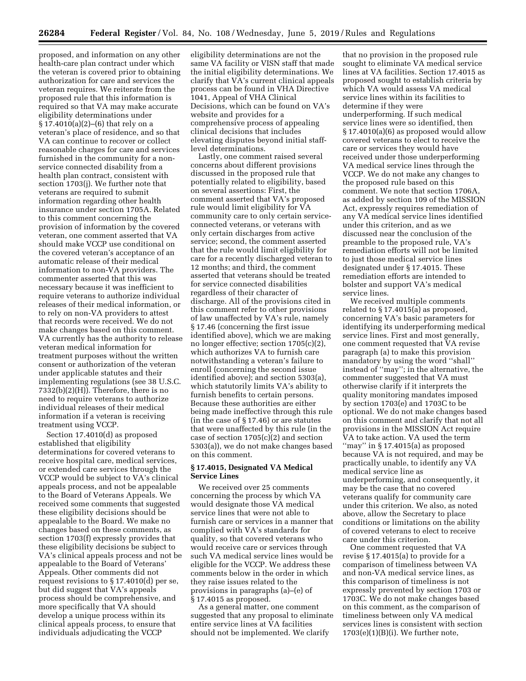proposed, and information on any other health-care plan contract under which the veteran is covered prior to obtaining authorization for care and services the veteran requires. We reiterate from the proposed rule that this information is required so that VA may make accurate eligibility determinations under § 17.4010(a)(2)–(6) that rely on a veteran's place of residence, and so that VA can continue to recover or collect reasonable charges for care and services furnished in the community for a nonservice connected disability from a health plan contract, consistent with section 1703(j). We further note that veterans are required to submit information regarding other health insurance under section 1705A. Related to this comment concerning the provision of information by the covered veteran, one comment asserted that VA should make VCCP use conditional on the covered veteran's acceptance of an automatic release of their medical information to non-VA providers. The commenter asserted that this was necessary because it was inefficient to require veterans to authorize individual releases of their medical information, or to rely on non-VA providers to attest that records were received. We do not make changes based on this comment. VA currently has the authority to release veteran medical information for treatment purposes without the written consent or authorization of the veteran under applicable statutes and their implementing regulations (see 38 U.S.C. 7332(b)(2)(H)). Therefore, there is no need to require veterans to authorize individual releases of their medical information if a veteran is receiving treatment using VCCP.

Section 17.4010(d) as proposed established that eligibility determinations for covered veterans to receive hospital care, medical services, or extended care services through the VCCP would be subject to VA's clinical appeals process, and not be appealable to the Board of Veterans Appeals. We received some comments that suggested these eligibility decisions should be appealable to the Board. We make no changes based on these comments, as section 1703(f) expressly provides that these eligibility decisions be subject to VA's clinical appeals process and not be appealable to the Board of Veterans' Appeals. Other comments did not request revisions to § 17.4010(d) per se, but did suggest that VA's appeals process should be comprehensive, and more specifically that VA should develop a unique process within its clinical appeals process, to ensure that individuals adjudicating the VCCP

eligibility determinations are not the same VA facility or VISN staff that made the initial eligibility determinations. We clarify that VA's current clinical appeals process can be found in VHA Directive 1041, Appeal of VHA Clinical Decisions, which can be found on VA's website and provides for a comprehensive process of appealing clinical decisions that includes elevating disputes beyond initial stafflevel determinations.

Lastly, one comment raised several concerns about different provisions discussed in the proposed rule that potentially related to eligibility, based on several assertions: First, the comment asserted that VA's proposed rule would limit eligibility for VA community care to only certain serviceconnected veterans, or veterans with only certain discharges from active service; second, the comment asserted that the rule would limit eligibility for care for a recently discharged veteran to 12 months; and third, the comment asserted that veterans should be treated for service connected disabilities regardless of their character of discharge. All of the provisions cited in this comment refer to other provisions of law unaffected by VA's rule, namely § 17.46 (concerning the first issue identified above), which we are making no longer effective; section 1705(c)(2), which authorizes VA to furnish care notwithstanding a veteran's failure to enroll (concerning the second issue identified above); and section 5303(a), which statutorily limits VA's ability to furnish benefits to certain persons. Because these authorities are either being made ineffective through this rule (in the case of § 17.46) or are statutes that were unaffected by this rule (in the case of section 1705(c)(2) and section 5303(a)), we do not make changes based on this comment.

# **§ 17.4015, Designated VA Medical Service Lines**

We received over 25 comments concerning the process by which VA would designate those VA medical service lines that were not able to furnish care or services in a manner that complied with VA's standards for quality, so that covered veterans who would receive care or services through such VA medical service lines would be eligible for the VCCP. We address these comments below in the order in which they raise issues related to the provisions in paragraphs (a)–(e) of § 17.4015 as proposed.

As a general matter, one comment suggested that any proposal to eliminate entire service lines at VA facilities should not be implemented. We clarify

that no provision in the proposed rule sought to eliminate VA medical service lines at VA facilities. Section 17.4015 as proposed sought to establish criteria by which VA would assess VA medical service lines within its facilities to determine if they were underperforming. If such medical service lines were so identified, then § 17.4010(a)(6) as proposed would allow covered veterans to elect to receive the care or services they would have received under those underperforming VA medical service lines through the VCCP. We do not make any changes to the proposed rule based on this comment. We note that section 1706A, as added by section 109 of the MISSION Act, expressly requires remediation of any VA medical service lines identified under this criterion, and as we discussed near the conclusion of the preamble to the proposed rule, VA's remediation efforts will not be limited to just those medical service lines designated under § 17.4015. These remediation efforts are intended to bolster and support VA's medical service lines.

We received multiple comments related to § 17.4015(a) as proposed, concerning VA's basic parameters for identifying its underperforming medical service lines. First and most generally, one comment requested that VA revise paragraph (a) to make this provision mandatory by using the word ''shall'' instead of ''may''; in the alternative, the commenter suggested that VA must otherwise clarify if it interprets the quality monitoring mandates imposed by section 1703(e) and 1703C to be optional. We do not make changes based on this comment and clarify that not all provisions in the MISSION Act require VA to take action. VA used the term ''may'' in § 17.4015(a) as proposed because VA is not required, and may be practically unable, to identify any VA medical service line as underperforming, and consequently, it may be the case that no covered veterans qualify for community care under this criterion. We also, as noted above, allow the Secretary to place conditions or limitations on the ability of covered veterans to elect to receive care under this criterion.

One comment requested that VA revise § 17.4015(a) to provide for a comparison of timeliness between VA and non-VA medical service lines, as this comparison of timeliness is not expressly prevented by section 1703 or 1703C. We do not make changes based on this comment, as the comparison of timeliness between only VA medical services lines is consistent with section 1703(e)(1)(B)(i). We further note,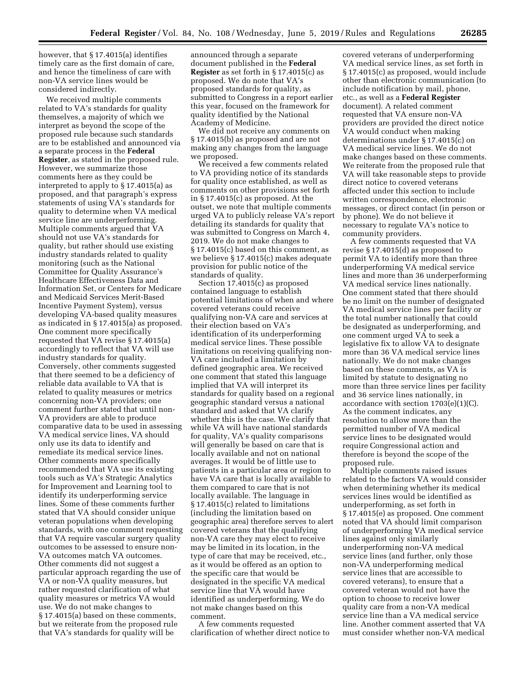however, that § 17.4015(a) identifies timely care as the first domain of care, and hence the timeliness of care with non-VA service lines would be considered indirectly.

We received multiple comments related to VA's standards for quality themselves, a majority of which we interpret as beyond the scope of the proposed rule because such standards are to be established and announced via a separate process in the **Federal Register**, as stated in the proposed rule. However, we summarize those comments here as they could be interpreted to apply to § 17.4015(a) as proposed, and that paragraph's express statements of using VA's standards for quality to determine when VA medical service line are underperforming. Multiple comments argued that VA should not use VA's standards for quality, but rather should use existing industry standards related to quality monitoring (such as the National Committee for Quality Assurance's Healthcare Effectiveness Data and Information Set, or Centers for Medicare and Medicaid Services Merit-Based Incentive Payment System), versus developing VA-based quality measures as indicated in § 17.4015(a) as proposed. One comment more specifically requested that VA revise § 17.4015(a) accordingly to reflect that VA will use industry standards for quality. Conversely, other comments suggested that there seemed to be a deficiency of reliable data available to VA that is related to quality measures or metrics concerning non-VA providers; one comment further stated that until non-VA providers are able to produce comparative data to be used in assessing VA medical service lines, VA should only use its data to identify and remediate its medical service lines. Other comments more specifically recommended that VA use its existing tools such as VA's Strategic Analytics for Improvement and Learning tool to identify its underperforming service lines. Some of these comments further stated that VA should consider unique veteran populations when developing standards, with one comment requesting that VA require vascular surgery quality outcomes to be assessed to ensure non-VA outcomes match VA outcomes. Other comments did not suggest a particular approach regarding the use of VA or non-VA quality measures, but rather requested clarification of what quality measures or metrics VA would use. We do not make changes to § 17.4015(a) based on these comments, but we reiterate from the proposed rule that VA's standards for quality will be

announced through a separate document published in the **Federal Register** as set forth in § 17.4015(c) as proposed. We do note that VA's proposed standards for quality, as submitted to Congress in a report earlier this year, focused on the framework for quality identified by the National Academy of Medicine.

We did not receive any comments on § 17.4015(b) as proposed and are not making any changes from the language we proposed.

We received a few comments related to VA providing notice of its standards for quality once established, as well as comments on other provisions set forth in § 17.4015(c) as proposed. At the outset, we note that multiple comments urged VA to publicly release VA's report detailing its standards for quality that was submitted to Congress on March 4, 2019. We do not make changes to § 17.4015(c) based on this comment, as we believe § 17.4015(c) makes adequate provision for public notice of the standards of quality.

Section 17.4015(c) as proposed contained language to establish potential limitations of when and where covered veterans could receive qualifying non-VA care and services at their election based on VA's identification of its underperforming medical service lines. These possible limitations on receiving qualifying non-VA care included a limitation by defined geographic area. We received one comment that stated this language implied that VA will interpret its standards for quality based on a regional geographic standard versus a national standard and asked that VA clarify whether this is the case. We clarify that while VA will have national standards for quality, VA's quality comparisons will generally be based on care that is locally available and not on national averages. It would be of little use to patients in a particular area or region to have VA care that is locally available to them compared to care that is not locally available. The language in § 17.4015(c) related to limitations (including the limitation based on geographic area) therefore serves to alert covered veterans that the qualifying non-VA care they may elect to receive may be limited in its location, in the type of care that may be received, etc., as it would be offered as an option to the specific care that would be designated in the specific VA medical service line that VA would have identified as underperforming. We do not make changes based on this comment.

A few comments requested clarification of whether direct notice to

covered veterans of underperforming VA medical service lines, as set forth in § 17.4015(c) as proposed, would include other than electronic communication (to include notification by mail, phone, etc., as well as a **Federal Register**  document). A related comment requested that VA ensure non-VA providers are provided the direct notice VA would conduct when making determinations under § 17.4015(c) on VA medical service lines. We do not make changes based on these comments. We reiterate from the proposed rule that VA will take reasonable steps to provide direct notice to covered veterans affected under this section to include written correspondence, electronic messages, or direct contact (in person or by phone). We do not believe it necessary to regulate VA's notice to community providers.

A few comments requested that VA revise § 17.4015(d) as proposed to permit VA to identify more than three underperforming VA medical service lines and more than 36 underperforming VA medical service lines nationally. One comment stated that there should be no limit on the number of designated VA medical service lines per facility or the total number nationally that could be designated as underperforming, and one comment urged VA to seek a legislative fix to allow VA to designate more than 36 VA medical service lines nationally. We do not make changes based on these comments, as VA is limited by statute to designating no more than three service lines per facility and 36 service lines nationally, in accordance with section 1703(e)(1)(C). As the comment indicates, any resolution to allow more than the permitted number of VA medical service lines to be designated would require Congressional action and therefore is beyond the scope of the proposed rule.

Multiple comments raised issues related to the factors VA would consider when determining whether its medical services lines would be identified as underperforming, as set forth in § 17.4015(e) as proposed. One comment noted that VA should limit comparison of underperforming VA medical service lines against only similarly underperforming non-VA medical service lines (and further, only those non-VA underperforming medical service lines that are accessible to covered veterans), to ensure that a covered veteran would not have the option to choose to receive lower quality care from a non-VA medical service line than a VA medical service line. Another comment asserted that VA must consider whether non-VA medical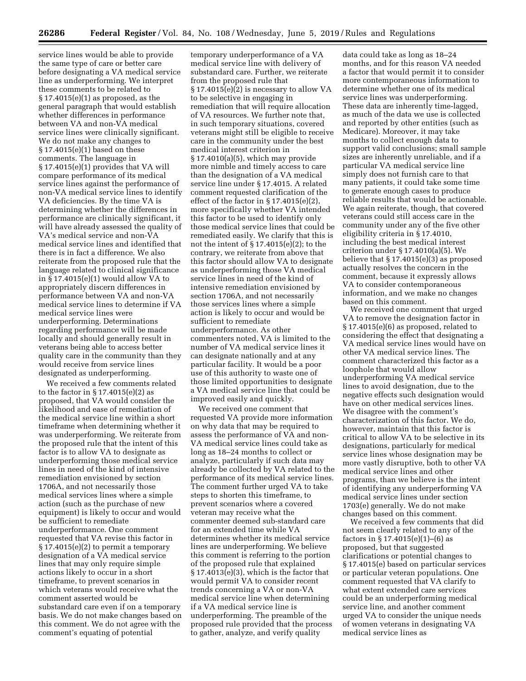service lines would be able to provide the same type of care or better care before designating a VA medical service line as underperforming. We interpret these comments to be related to § 17.4015(e)(1) as proposed, as the general paragraph that would establish whether differences in performance between VA and non-VA medical service lines were clinically significant. We do not make any changes to § 17.4015(e)(1) based on these comments. The language in § 17.4015(e)(1) provides that VA will compare performance of its medical service lines against the performance of non-VA medical service lines to identify VA deficiencies. By the time VA is determining whether the differences in performance are clinically significant, it will have already assessed the quality of VA's medical service and non-VA medical service lines and identified that there is in fact a difference. We also reiterate from the proposed rule that the language related to clinical significance in § 17.4015(e)(1) would allow VA to appropriately discern differences in performance between VA and non-VA medical service lines to determine if VA medical service lines were underperforming. Determinations regarding performance will be made locally and should generally result in veterans being able to access better quality care in the community than they would receive from service lines designated as underperforming.

We received a few comments related to the factor in  $\S 17.4015(e)(2)$  as proposed, that VA would consider the likelihood and ease of remediation of the medical service line within a short timeframe when determining whether it was underperforming. We reiterate from the proposed rule that the intent of this factor is to allow VA to designate as underperforming those medical service lines in need of the kind of intensive remediation envisioned by section 1706A, and not necessarily those medical services lines where a simple action (such as the purchase of new equipment) is likely to occur and would be sufficient to remediate underperformance. One comment requested that VA revise this factor in  $§ 17.4015(e)(2)$  to permit a temporary designation of a VA medical service lines that may only require simple actions likely to occur in a short timeframe, to prevent scenarios in which veterans would receive what the comment asserted would be substandard care even if on a temporary basis. We do not make changes based on this comment. We do not agree with the comment's equating of potential

temporary underperformance of a VA medical service line with delivery of substandard care. Further, we reiterate from the proposed rule that § 17.4015(e)(2) is necessary to allow VA to be selective in engaging in remediation that will require allocation of VA resources. We further note that, in such temporary situations, covered veterans might still be eligible to receive care in the community under the best medical interest criterion in § 17.4010(a)(5), which may provide more nimble and timely access to care than the designation of a VA medical service line under § 17.4015. A related comment requested clarification of the effect of the factor in  $\S 17.4015(e)(2)$ , more specifically whether VA intended this factor to be used to identify only those medical service lines that could be remediated easily. We clarify that this is not the intent of  $\S 17.4015(e)(2)$ ; to the contrary, we reiterate from above that this factor should allow VA to designate as underperforming those VA medical service lines in need of the kind of intensive remediation envisioned by section 1706A, and not necessarily those services lines where a simple action is likely to occur and would be sufficient to remediate underperformance. As other commenters noted, VA is limited to the number of VA medical service lines it can designate nationally and at any particular facility. It would be a poor use of this authority to waste one of those limited opportunities to designate a VA medical service line that could be improved easily and quickly.

We received one comment that requested VA provide more information on why data that may be required to assess the performance of VA and non-VA medical service lines could take as long as 18–24 months to collect or analyze, particularly if such data may already be collected by VA related to the performance of its medical service lines. The comment further urged VA to take steps to shorten this timeframe, to prevent scenarios where a covered veteran may receive what the commenter deemed sub-standard care for an extended time while VA determines whether its medical service lines are underperforming. We believe this comment is referring to the portion of the proposed rule that explained  $§ 17.4013(e)(3)$ , which is the factor that would permit VA to consider recent trends concerning a VA or non-VA medical service line when determining if a VA medical service line is underperforming. The preamble of the proposed rule provided that the process to gather, analyze, and verify quality

data could take as long as 18–24 months, and for this reason VA needed a factor that would permit it to consider more contemporaneous information to determine whether one of its medical service lines was underperforming. These data are inherently time-lagged, as much of the data we use is collected and reported by other entities (such as Medicare). Moreover, it may take months to collect enough data to support valid conclusions; small sample sizes are inherently unreliable, and if a particular VA medical service line simply does not furnish care to that many patients, it could take some time to generate enough cases to produce reliable results that would be actionable. We again reiterate, though, that covered veterans could still access care in the community under any of the five other eligibility criteria in § 17.4010, including the best medical interest criterion under § 17.4010(a)(5). We believe that § 17.4015(e)(3) as proposed actually resolves the concern in the comment, because it expressly allows VA to consider contemporaneous information, and we make no changes based on this comment.

We received one comment that urged VA to remove the designation factor in § 17.4015(e)(6) as proposed, related to considering the effect that designating a VA medical service lines would have on other VA medical service lines. The comment characterized this factor as a loophole that would allow underperforming VA medical service lines to avoid designation, due to the negative effects such designation would have on other medical services lines. We disagree with the comment's characterization of this factor. We do, however, maintain that this factor is critical to allow VA to be selective in its designations, particularly for medical service lines whose designation may be more vastly disruptive, both to other VA medical service lines and other programs, than we believe is the intent of identifying any underperforming VA medical service lines under section 1703(e) generally. We do not make changes based on this comment.

We received a few comments that did not seem clearly related to any of the factors in  $\S 17.4015(e)(1)–(6)$  as proposed, but that suggested clarifications or potential changes to § 17.4015(e) based on particular services or particular veteran populations. One comment requested that VA clarify to what extent extended care services could be an underperforming medical service line, and another comment urged VA to consider the unique needs of women veterans in designating VA medical service lines as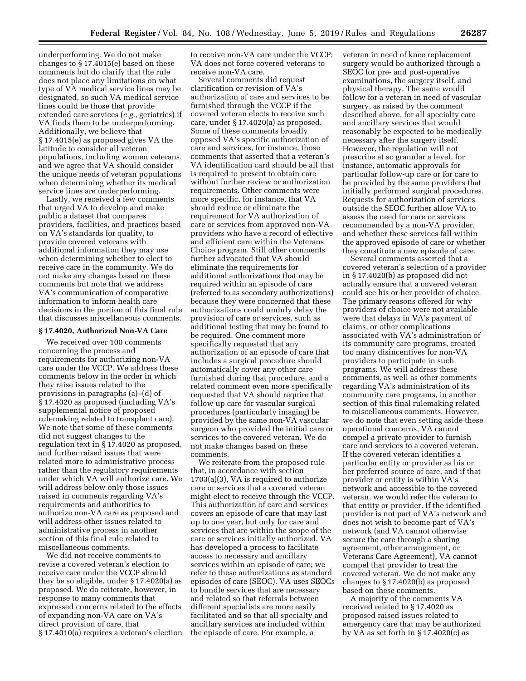underperforming. We do not make changes to § 17.4015(e) based on these comments but do clarify that the rule does not place any limitations on what type of VA medical service lines may be designated, so such VA medical service lines could be those that provide extended care services (*e.g.,* geriatrics) if VA finds them to be underperforming. Additionally, we believe that § 17.4015(e) as proposed gives VA the latitude to consider all veteran populations, including women veterans, and we agree that VA should consider the unique needs of veteran populations when determining whether its medical service lines are underperforming.

Lastly, we received a few comments that urged VA to develop and make public a dataset that compares providers, facilities, and practices based on VA's standards for quality, to provide covered veterans with additional information they may use when determining whether to elect to receive care in the community. We do not make any changes based on these comments but note that we address VA's communication of comparative information to inform health care decisions in the portion of this final rule that discusses miscellaneous comments.

## **§ 17.4020, Authorized Non-VA Care**

We received over 100 comments concerning the process and requirements for authorizing non-VA care under the VCCP. We address these comments below in the order in which they raise issues related to the provisions in paragraphs (a)–(d) of § 17.4020 as proposed (including VA's supplemental notice of proposed rulemaking related to transplant care). We note that some of these comments did not suggest changes to the regulation text in § 17.4020 as proposed, and further raised issues that were related more to administrative process rather than the regulatory requirements under which VA will authorize care. We will address below only those issues raised in comments regarding VA's requirements and authorities to authorize non-VA care as proposed and will address other issues related to administrative process in another section of this final rule related to miscellaneous comments.

We did not receive comments to revise a covered veteran's election to receive care under the VCCP should they be so eligible, under § 17.4020(a) as proposed. We do reiterate, however, in response to many comments that expressed concerns related to the effects of expanding non-VA care on VA's direct provision of care, that § 17.4010(a) requires a veteran's election to receive non-VA care under the VCCP; VA does not force covered veterans to receive non-VA care.

Several comments did request clarification or revision of VA's authorization of care and services to be furnished through the VCCP if the covered veteran elects to receive such care, under § 17.4020(a) as proposed. Some of these comments broadly opposed VA's specific authorization of care and services, for instance, those comments that asserted that a veteran's VA identification card should be all that is required to present to obtain care without further review or authorization requirements. Other comments were more specific, for instance, that VA should reduce or eliminate the requirement for VA authorization of care or services from approved non-VA providers who have a record of effective and efficient care within the Veterans Choice program. Still other comments further advocated that VA should eliminate the requirements for additional authorizations that may be required within an episode of care (referred to as secondary authorizations) because they were concerned that these authorizations could unduly delay the provision of care or services, such as additional testing that may be found to be required. One comment more specifically requested that any authorization of an episode of care that includes a surgical procedure should automatically cover any other care furnished during that procedure, and a related comment even more specifically requested that VA should require that follow up care for vascular surgical procedures (particularly imaging) be provided by the same non-VA vascular surgeon who provided the initial care or services to the covered veteran. We do not make changes based on these comments.

We reiterate from the proposed rule that, in accordance with section 1703(a)(3), VA is required to authorize care or services that a covered veteran might elect to receive through the VCCP. This authorization of care and services covers an episode of care that may last up to one year, but only for care and services that are within the scope of the care or services initially authorized. VA has developed a process to facilitate access to necessary and ancillary services within an episode of care; we refer to these authorizations as standard episodes of care (SEOC). VA uses SEOCs to bundle services that are necessary and related so that referrals between different specialists are more easily facilitated and so that all specialty and ancillary services are included within the episode of care. For example, a

veteran in need of knee replacement surgery would be authorized through a SEOC for pre- and post-operative examinations, the surgery itself, and physical therapy. The same would follow for a veteran in need of vascular surgery, as raised by the comment described above, for all specialty care and ancillary services that would reasonably be expected to be medically necessary after the surgery itself. However, the regulation will not prescribe at so granular a level, for instance, automatic approvals for particular follow-up care or for care to be provided by the same providers that initially performed surgical procedures. Requests for authorization of services outside the SEOC further allow VA to assess the need for care or services recommended by a non-VA provider, and whether these services fall within the approved episode of care or whether they constitute a new episode of care.

Several comments asserted that a covered veteran's selection of a provider in § 17.4020(b) as proposed did not actually ensure that a covered veteran could see his or her provider of choice. The primary reasons offered for why providers of choice were not available were that delays in VA's payment of claims, or other complications associated with VA's administration of its community care programs, created too many disincentives for non-VA providers to participate in such programs. We will address these comments, as well as other comments regarding VA's administration of its community care programs, in another section of this final rulemaking related to miscellaneous comments. However, we do note that even setting aside these operational concerns, VA cannot compel a private provider to furnish care and services to a covered veteran. If the covered veteran identifies a particular entity or provider as his or her preferred source of care, and if that provider or entity is within VA's network and accessible to the covered veteran, we would refer the veteran to that entity or provider. If the identified provider is not part of VA's network and does not wish to become part of VA's network (and VA cannot otherwise secure the care through a sharing agreement, other arrangement, or Veterans Care Agreement), VA cannot compel that provider to treat the covered veteran. We do not make any changes to § 17.4020(b) as proposed based on these comments.

A majority of the comments VA received related to § 17.4020 as proposed raised issues related to emergency care that may be authorized by VA as set forth in § 17.4020(c) as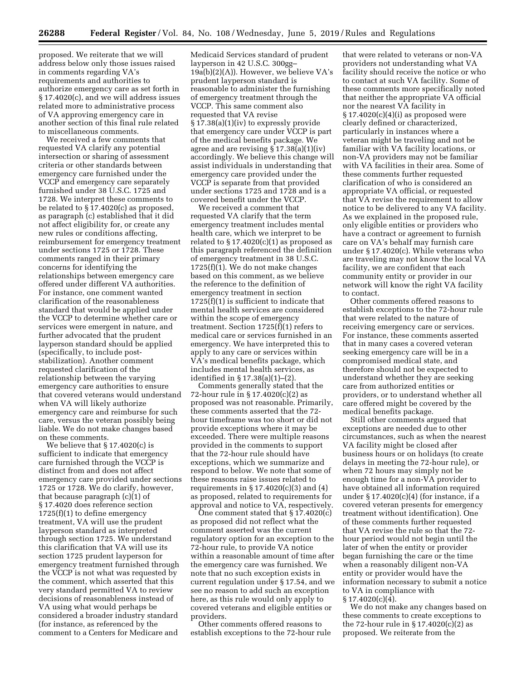proposed. We reiterate that we will address below only those issues raised in comments regarding VA's requirements and authorities to authorize emergency care as set forth in § 17.4020(c), and we will address issues related more to administrative process of VA approving emergency care in another section of this final rule related to miscellaneous comments.

We received a few comments that requested VA clarify any potential intersection or sharing of assessment criteria or other standards between emergency care furnished under the VCCP and emergency care separately furnished under 38 U.S.C. 1725 and 1728. We interpret these comments to be related to § 17.4020(c) as proposed, as paragraph (c) established that it did not affect eligibility for, or create any new rules or conditions affecting, reimbursement for emergency treatment under sections 1725 or 1728. These comments ranged in their primary concerns for identifying the relationships between emergency care offered under different VA authorities. For instance, one comment wanted clarification of the reasonableness standard that would be applied under the VCCP to determine whether care or services were emergent in nature, and further advocated that the prudent layperson standard should be applied (specifically, to include poststabilization). Another comment requested clarification of the relationship between the varying emergency care authorities to ensure that covered veterans would understand when VA will likely authorize emergency care and reimburse for such care, versus the veteran possibly being liable. We do not make changes based on these comments.

We believe that § 17.4020(c) is sufficient to indicate that emergency care furnished through the VCCP is distinct from and does not affect emergency care provided under sections 1725 or 1728. We do clarify, however, that because paragraph (c)(1) of § 17.4020 does reference section 1725(f)(1) to define emergency treatment, VA will use the prudent layperson standard as interpreted through section 1725. We understand this clarification that VA will use its section 1725 prudent layperson for emergency treatment furnished through the VCCP is not what was requested by the comment, which asserted that this very standard permitted VA to review decisions of reasonableness instead of VA using what would perhaps be considered a broader industry standard (for instance, as referenced by the comment to a Centers for Medicare and

Medicaid Services standard of prudent layperson in 42 U.S.C. 300gg–  $19a(b)(2)(A)$ . However, we believe VA's prudent layperson standard is reasonable to administer the furnishing of emergency treatment through the VCCP. This same comment also requested that VA revise § 17.38(a)(1)(iv) to expressly provide that emergency care under VCCP is part of the medical benefits package. We agree and are revising § 17.38(a)(1)(iv) accordingly. We believe this change will assist individuals in understanding that emergency care provided under the VCCP is separate from that provided under sections 1725 and 1728 and is a covered benefit under the VCCP.

We received a comment that requested VA clarify that the term emergency treatment includes mental health care, which we interpret to be related to  $\S 17.4020(c)(1)$  as proposed as this paragraph referenced the definition of emergency treatment in 38 U.S.C. 1725(f)(1). We do not make changes based on this comment, as we believe the reference to the definition of emergency treatment in section 1725(f)(1) is sufficient to indicate that mental health services are considered within the scope of emergency treatment. Section 1725(f)(1) refers to medical care or services furnished in an emergency. We have interpreted this to apply to any care or services within VA's medical benefits package, which includes mental health services, as identified in § 17.38(a)(1)–(2).

Comments generally stated that the 72-hour rule in § 17.4020(c)(2) as proposed was not reasonable. Primarily, these comments asserted that the 72 hour timeframe was too short or did not provide exceptions where it may be exceeded. There were multiple reasons provided in the comments to support that the 72-hour rule should have exceptions, which we summarize and respond to below. We note that some of these reasons raise issues related to requirements in  $\S 17.4020(c)(3)$  and  $(4)$ as proposed, related to requirements for approval and notice to VA, respectively.

One comment stated that § 17.4020(c) as proposed did not reflect what the comment asserted was the current regulatory option for an exception to the 72-hour rule, to provide VA notice within a reasonable amount of time after the emergency care was furnished. We note that no such exception exists in current regulation under § 17.54, and we see no reason to add such an exception here, as this rule would only apply to covered veterans and eligible entities or providers.

Other comments offered reasons to establish exceptions to the 72-hour rule

that were related to veterans or non-VA providers not understanding what VA facility should receive the notice or who to contact at such VA facility. Some of these comments more specifically noted that neither the appropriate VA official nor the nearest VA facility in  $\S 17.4020(c)(4)(i)$  as proposed were clearly defined or characterized, particularly in instances where a veteran might be traveling and not be familiar with VA facility locations, or non-VA providers may not be familiar with VA facilities in their area. Some of these comments further requested clarification of who is considered an appropriate VA official, or requested that VA revise the requirement to allow notice to be delivered to any VA facility. As we explained in the proposed rule, only eligible entities or providers who have a contract or agreement to furnish care on VA's behalf may furnish care under § 17.4020(c). While veterans who are traveling may not know the local VA facility, we are confident that each community entity or provider in our network will know the right VA facility to contact.

Other comments offered reasons to establish exceptions to the 72-hour rule that were related to the nature of receiving emergency care or services. For instance, these comments asserted that in many cases a covered veteran seeking emergency care will be in a compromised medical state, and therefore should not be expected to understand whether they are seeking care from authorized entities or providers, or to understand whether all care offered might be covered by the medical benefits package.

Still other comments argued that exceptions are needed due to other circumstances, such as when the nearest VA facility might be closed after business hours or on holidays (to create delays in meeting the 72-hour rule), or when 72 hours may simply not be enough time for a non-VA provider to have obtained all information required under  $\S 17.4020(c)(4)$  (for instance, if a covered veteran presents for emergency treatment without identification). One of these comments further requested that VA revise the rule so that the 72 hour period would not begin until the later of when the entity or provider began furnishing the care or the time when a reasonably diligent non-VA entity or provider would have the information necessary to submit a notice to VA in compliance with  $§ 17.4020(c)(4).$ 

We do not make any changes based on these comments to create exceptions to the 72-hour rule in  $\S 17.4020(c)(2)$  as proposed. We reiterate from the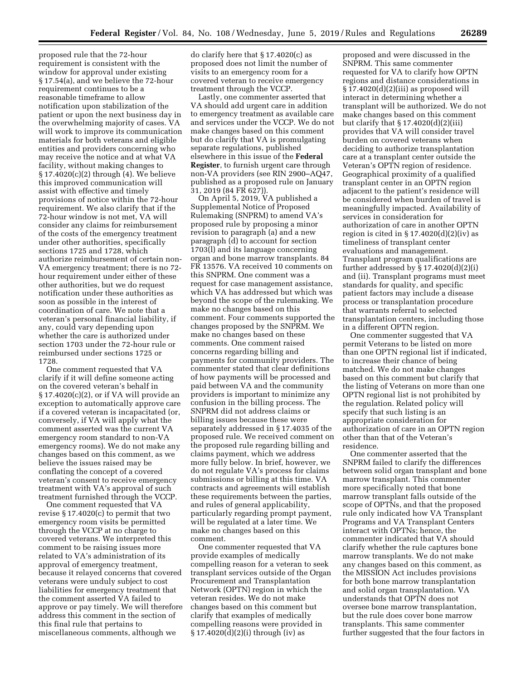proposed rule that the 72-hour requirement is consistent with the window for approval under existing § 17.54(a), and we believe the 72-hour requirement continues to be a reasonable timeframe to allow notification upon stabilization of the patient or upon the next business day in the overwhelming majority of cases. VA will work to improve its communication materials for both veterans and eligible entities and providers concerning who may receive the notice and at what VA facility, without making changes to § 17.4020(c)(2) through (4). We believe this improved communication will assist with effective and timely provisions of notice within the 72-hour requirement. We also clarify that if the 72-hour window is not met, VA will consider any claims for reimbursement of the costs of the emergency treatment under other authorities, specifically sections 1725 and 1728, which authorize reimbursement of certain non-VA emergency treatment; there is no 72 hour requirement under either of these other authorities, but we do request notification under these authorities as soon as possible in the interest of coordination of care. We note that a veteran's personal financial liability, if any, could vary depending upon whether the care is authorized under section 1703 under the 72-hour rule or reimbursed under sections 1725 or 1728.

One comment requested that VA clarify if it will define someone acting on the covered veteran's behalf in § 17.4020(c)(2), or if VA will provide an exception to automatically approve care if a covered veteran is incapacitated (or, conversely, if VA will apply what the comment asserted was the current VA emergency room standard to non-VA emergency rooms). We do not make any changes based on this comment, as we believe the issues raised may be conflating the concept of a covered veteran's consent to receive emergency treatment with VA's approval of such treatment furnished through the VCCP.

One comment requested that VA revise § 17.4020(c) to permit that two emergency room visits be permitted through the VCCP at no charge to covered veterans. We interpreted this comment to be raising issues more related to VA's administration of its approval of emergency treatment, because it relayed concerns that covered veterans were unduly subject to cost liabilities for emergency treatment that the comment asserted VA failed to approve or pay timely. We will therefore address this comment in the section of this final rule that pertains to miscellaneous comments, although we

do clarify here that § 17.4020(c) as proposed does not limit the number of visits to an emergency room for a covered veteran to receive emergency treatment through the VCCP.

Lastly, one commenter asserted that VA should add urgent care in addition to emergency treatment as available care and services under the VCCP. We do not make changes based on this comment but do clarify that VA is promulgating separate regulations, published elsewhere in this issue of the **Federal Register**, to furnish urgent care through non-VA providers (see RIN 2900–AQ47, published as a proposed rule on January 31, 2019 (84 FR 627)).

On April 5, 2019, VA published a Supplemental Notice of Proposed Rulemaking (SNPRM) to amend VA's proposed rule by proposing a minor revision to paragraph (a) and a new paragraph (d) to account for section 1703(l) and its language concerning organ and bone marrow transplants. 84 FR 13576. VA received 10 comments on this SNPRM. One comment was a request for case management assistance, which VA has addressed but which was beyond the scope of the rulemaking. We make no changes based on this comment. Four comments supported the changes proposed by the SNPRM. We make no changes based on these comments. One comment raised concerns regarding billing and payments for community providers. The commenter stated that clear definitions of how payments will be processed and paid between VA and the community providers is important to minimize any confusion in the billing process. The SNPRM did not address claims or billing issues because these were separately addressed in § 17.4035 of the proposed rule. We received comment on the proposed rule regarding billing and claims payment, which we address more fully below. In brief, however, we do not regulate VA's process for claims submissions or billing at this time. VA contracts and agreements will establish these requirements between the parties, and rules of general applicability, particularly regarding prompt payment, will be regulated at a later time. We make no changes based on this comment.

One commenter requested that VA provide examples of medically compelling reason for a veteran to seek transplant services outside of the Organ Procurement and Transplantation Network (OPTN) region in which the veteran resides. We do not make changes based on this comment but clarify that examples of medically compelling reasons were provided in § 17.4020(d)(2)(i) through (iv) as

proposed and were discussed in the SNPRM. This same commenter requested for VA to clarify how OPTN regions and distance considerations in § 17.4020(d)(2)(iii) as proposed will interact in determining whether a transplant will be authorized. We do not make changes based on this comment but clarify that § 17.4020(d)(2)(iii) provides that VA will consider travel burden on covered veterans when deciding to authorize transplantation care at a transplant center outside the Veteran's OPTN region of residence. Geographical proximity of a qualified transplant center in an OPTN region adjacent to the patient's residence will be considered when burden of travel is meaningfully impacted. Availability of services in consideration for authorization of care in another OPTN region is cited in  $\S 17.4020(d)(2)(iv)$  as timeliness of transplant center evaluations and management. Transplant program qualifications are further addressed by § 17.4020(d)(2)(i) and (ii). Transplant programs must meet standards for quality, and specific patient factors may include a disease process or transplantation procedure that warrants referral to selected transplantation centers, including those in a different OPTN region.

One commenter suggested that VA permit Veterans to be listed on more than one OPTN regional list if indicated, to increase their chance of being matched. We do not make changes based on this comment but clarify that the listing of Veterans on more than one OPTN regional list is not prohibited by the regulation. Related policy will specify that such listing is an appropriate consideration for authorization of care in an OPTN region other than that of the Veteran's residence.

One commenter asserted that the SNPRM failed to clarify the differences between solid organ transplant and bone marrow transplant. This commenter more specifically noted that bone marrow transplant falls outside of the scope of OPTNs, and that the proposed rule only indicated how VA Transplant Programs and VA Transplant Centers interact with OPTNs; hence, the commenter indicated that VA should clarify whether the rule captures bone marrow transplants. We do not make any changes based on this comment, as the MISSION Act includes provisions for both bone marrow transplantation and solid organ transplantation. VA understands that OPTN does not oversee bone marrow transplantation, but the rule does cover bone marrow transplants. This same commenter further suggested that the four factors in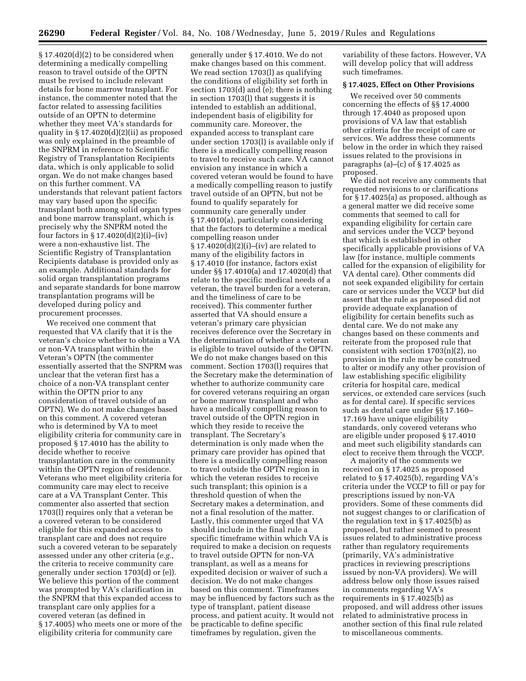$§ 17.4020(d)(2)$  to be considered when determining a medically compelling reason to travel outside of the OPTN must be revised to include relevant details for bone marrow transplant. For instance, the commenter noted that the factor related to assessing facilities outside of an OPTN to determine whether they meet VA's standards for quality in § 17.4020(d)(2)(ii) as proposed was only explained in the preamble of the SNPRM in reference to Scientific Registry of Transplantation Recipients data, which is only applicable to solid organ. We do not make changes based on this further comment. VA understands that relevant patient factors may vary based upon the specific transplant both among solid organ types and bone marrow transplant, which is precisely why the SNPRM noted the four factors in § 17.4020(d)(2)(i)–(iv) were a non-exhaustive list. The Scientific Registry of Transplantation Recipients database is provided only as an example. Additional standards for solid organ transplantation programs and separate standards for bone marrow transplantation programs will be developed during policy and procurement processes.

We received one comment that requested that VA clarify that it is the veteran's choice whether to obtain a VA or non-VA transplant within the Veteran's OPTN (the commenter essentially asserted that the SNPRM was unclear that the veteran first has a choice of a non-VA transplant center within the OPTN prior to any consideration of travel outside of an OPTN). We do not make changes based on this comment. A covered veteran who is determined by VA to meet eligibility criteria for community care in proposed § 17.4010 has the ability to decide whether to receive transplantation care in the community within the OPTN region of residence. Veterans who meet eligibility criteria for community care may elect to receive care at a VA Transplant Center. This commenter also asserted that section 1703(l) requires only that a veteran be a covered veteran to be considered eligible for this expanded access to transplant care and does not require such a covered veteran to be separately assessed under any other criteria (*e.g.,*  the criteria to receive community care generally under section 1703(d) or (e)). We believe this portion of the comment was prompted by VA's clarification in the SNPRM that this expanded access to transplant care only applies for a covered veteran (as defined in § 17.4005) who meets one or more of the eligibility criteria for community care

generally under § 17.4010. We do not make changes based on this comment. We read section 1703(l) as qualifying the conditions of eligibility set forth in section 1703(d) and (e); there is nothing in section 1703(l) that suggests it is intended to establish an additional, independent basis of eligibility for community care. Moreover, the expanded access to transplant care under section 1703(l) is available only if there is a medically compelling reason to travel to receive such care. VA cannot envision any instance in which a covered veteran would be found to have a medically compelling reason to justify travel outside of an OPTN, but not be found to qualify separately for community care generally under § 17.4010(a), particularly considering that the factors to determine a medical compelling reason under § 17.4020(d)(2)(i)–(iv) are related to many of the eligibility factors in § 17.4010 (for instance, factors exist under §§ 17.4010(a) and 17.4020(d) that relate to the specific medical needs of a veteran, the travel burden for a veteran, and the timeliness of care to be received). This commenter further asserted that VA should ensure a veteran's primary care physician receives deference over the Secretary in the determination of whether a veteran is eligible to travel outside of the OPTN. We do not make changes based on this comment. Section 1703(l) requires that the Secretary make the determination of whether to authorize community care for covered veterans requiring an organ or bone marrow transplant and who have a medically compelling reason to travel outside of the OPTN region in which they reside to receive the transplant. The Secretary's determination is only made when the primary care provider has opined that there is a medically compelling reason to travel outside the OPTN region in which the veteran resides to receive such transplant; this opinion is a threshold question of when the Secretary makes a determination, and not a final resolution of the matter. Lastly, this commenter urged that VA should include in the final rule a specific timeframe within which VA is required to make a decision on requests to travel outside OPTN for non-VA transplant, as well as a means for expedited decision or waiver of such a decision. We do not make changes based on this comment. Timeframes may be influenced by factors such as the type of transplant, patient disease process, and patient acuity. It would not be practicable to define specific timeframes by regulation, given the

variability of these factors. However, VA will develop policy that will address such timeframes.

# **§ 17.4025, Effect on Other Provisions**

We received over 50 comments concerning the effects of §§ 17.4000 through 17.4040 as proposed upon provisions of VA law that establish other criteria for the receipt of care or services. We address these comments below in the order in which they raised issues related to the provisions in paragraphs (a)–(c) of  $\S 17.4025$  as proposed.

We did not receive any comments that requested revisions to or clarifications for § 17.4025(a) as proposed, although as a general matter we did receive some comments that seemed to call for expanding eligibility for certain care and services under the VCCP beyond that which is established in other specifically applicable provisions of VA law (for instance, multiple comments called for the expansion of eligibility for VA dental care). Other comments did not seek expanded eligibility for certain care or services under the VCCP but did assert that the rule as proposed did not provide adequate explanation of eligibility for certain benefits such as dental care. We do not make any changes based on these comments and reiterate from the proposed rule that consistent with section 1703(n)(2), no provision in the rule may be construed to alter or modify any other provision of law establishing specific eligibility criteria for hospital care, medical services, or extended care services (such as for dental care). If specific services such as dental care under §§ 17.160– 17.169 have unique eligibility standards, only covered veterans who are eligible under proposed § 17.4010 and meet such eligibility standards can elect to receive them through the VCCP.

A majority of the comments we received on § 17.4025 as proposed related to § 17.4025(b), regarding VA's criteria under the VCCP to fill or pay for prescriptions issued by non-VA providers. Some of these comments did not suggest changes to or clarification of the regulation text in § 17.4025(b) as proposed, but rather seemed to present issues related to administrative process rather than regulatory requirements (primarily, VA's administrative practices in reviewing prescriptions issued by non-VA providers). We will address below only those issues raised in comments regarding VA's requirements in § 17.4025(b) as proposed, and will address other issues related to administrative process in another section of this final rule related to miscellaneous comments.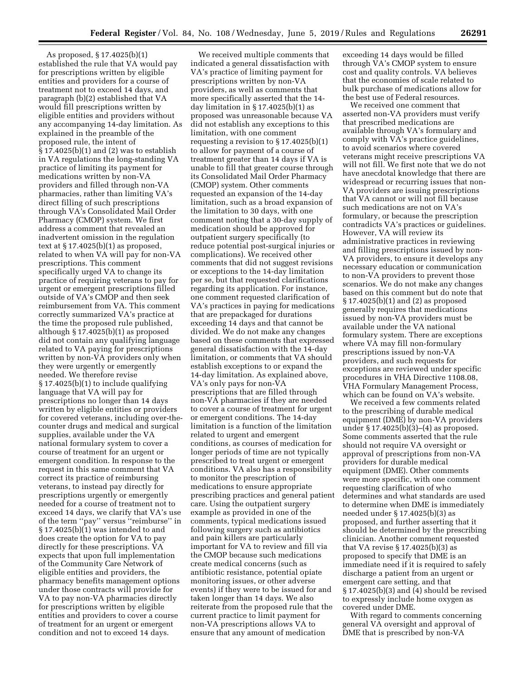As proposed, § 17.4025(b)(1) established the rule that VA would pay for prescriptions written by eligible entities and providers for a course of treatment not to exceed 14 days, and paragraph (b)(2) established that VA would fill prescriptions written by eligible entities and providers without any accompanying 14-day limitation. As explained in the preamble of the proposed rule, the intent of § 17.4025(b)(1) and (2) was to establish in VA regulations the long-standing VA practice of limiting its payment for medications written by non-VA providers and filled through non-VA pharmacies, rather than limiting VA's direct filling of such prescriptions through VA's Consolidated Mail Order Pharmacy (CMOP) system. We first address a comment that revealed an inadvertent omission in the regulation text at  $\S 17.4025(b)(1)$  as proposed, related to when VA will pay for non-VA prescriptions. This comment specifically urged VA to change its practice of requiring veterans to pay for urgent or emergent prescriptions filled outside of VA's CMOP and then seek reimbursement from VA. This comment correctly summarized VA's practice at the time the proposed rule published, although § 17.4025(b)(1) as proposed did not contain any qualifying language related to VA paying for prescriptions written by non-VA providers only when they were urgently or emergently needed. We therefore revise § 17.4025(b)(1) to include qualifying language that VA will pay for prescriptions no longer than 14 days written by eligible entities or providers for covered veterans, including over-thecounter drugs and medical and surgical supplies, available under the VA national formulary system to cover a course of treatment for an urgent or emergent condition. In response to the request in this same comment that VA correct its practice of reimbursing veterans, to instead pay directly for prescriptions urgently or emergently needed for a course of treatment not to exceed 14 days, we clarify that VA's use of the term ''pay'' versus ''reimburse'' in  $§ 17.4025(b)(1)$  was intended to and does create the option for VA to pay directly for these prescriptions. VA expects that upon full implementation of the Community Care Network of eligible entities and providers, the pharmacy benefits management options under those contracts will provide for VA to pay non-VA pharmacies directly for prescriptions written by eligible entities and providers to cover a course of treatment for an urgent or emergent condition and not to exceed 14 days.

We received multiple comments that indicated a general dissatisfaction with VA's practice of limiting payment for prescriptions written by non-VA providers, as well as comments that more specifically asserted that the 14 day limitation in  $\S 17.4025(b)(1)$  as proposed was unreasonable because VA did not establish any exceptions to this limitation, with one comment requesting a revision to  $\S 17.4025(b)(1)$ to allow for payment of a course of treatment greater than 14 days if VA is unable to fill that greater course through its Consolidated Mail Order Pharmacy (CMOP) system. Other comments requested an expansion of the 14-day limitation, such as a broad expansion of the limitation to 30 days, with one comment noting that a 30-day supply of medication should be approved for outpatient surgery specifically (to reduce potential post-surgical injuries or complications). We received other comments that did not suggest revisions or exceptions to the 14-day limitation per se, but that requested clarifications regarding its application. For instance, one comment requested clarification of VA's practices in paying for medications that are prepackaged for durations exceeding 14 days and that cannot be divided. We do not make any changes based on these comments that expressed general dissatisfaction with the 14-day limitation, or comments that VA should establish exceptions to or expand the 14-day limitation. As explained above, VA's only pays for non-VA prescriptions that are filled through non-VA pharmacies if they are needed to cover a course of treatment for urgent or emergent conditions. The 14-day limitation is a function of the limitation related to urgent and emergent conditions, as courses of medication for longer periods of time are not typically prescribed to treat urgent or emergent conditions. VA also has a responsibility to monitor the prescription of medications to ensure appropriate prescribing practices and general patient care. Using the outpatient surgery example as provided in one of the comments, typical medications issued following surgery such as antibiotics and pain killers are particularly important for VA to review and fill via the CMOP because such medications create medical concerns (such as antibiotic resistance, potential opiate monitoring issues, or other adverse events) if they were to be issued for and taken longer than 14 days. We also reiterate from the proposed rule that the current practice to limit payment for non-VA prescriptions allows VA to ensure that any amount of medication

exceeding 14 days would be filled through VA's CMOP system to ensure cost and quality controls. VA believes that the economies of scale related to bulk purchase of medications allow for the best use of Federal resources.

We received one comment that asserted non-VA providers must verify that prescribed medications are available through VA's formulary and comply with VA's practice guidelines, to avoid scenarios where covered veterans might receive prescriptions VA will not fill. We first note that we do not have anecdotal knowledge that there are widespread or recurring issues that non-VA providers are issuing prescriptions that VA cannot or will not fill because such medications are not on VA's formulary, or because the prescription contradicts VA's practices or guidelines. However, VA will review its administrative practices in reviewing and filling prescriptions issued by non-VA providers, to ensure it develops any necessary education or communication to non-VA providers to prevent those scenarios. We do not make any changes based on this comment but do note that § 17.4025(b)(1) and (2) as proposed generally requires that medications issued by non-VA providers must be available under the VA national formulary system. There are exceptions where VA may fill non-formulary prescriptions issued by non-VA providers, and such requests for exceptions are reviewed under specific procedures in VHA Directive 1108.08, VHA Formulary Management Process, which can be found on VA's website.

We received a few comments related to the prescribing of durable medical equipment (DME) by non-VA providers under § 17.4025(b)(3)–(4) as proposed. Some comments asserted that the rule should not require VA oversight or approval of prescriptions from non-VA providers for durable medical equipment (DME). Other comments were more specific, with one comment requesting clarification of who determines and what standards are used to determine when DME is immediately needed under § 17.4025(b)(3) as proposed, and further asserting that it should be determined by the prescribing clinician. Another comment requested that VA revise § 17.4025(b)(3) as proposed to specify that DME is an immediate need if it is required to safely discharge a patient from an urgent or emergent care setting, and that § 17.4025(b)(3) and (4) should be revised to expressly include home oxygen as covered under DME.

With regard to comments concerning general VA oversight and approval of DME that is prescribed by non-VA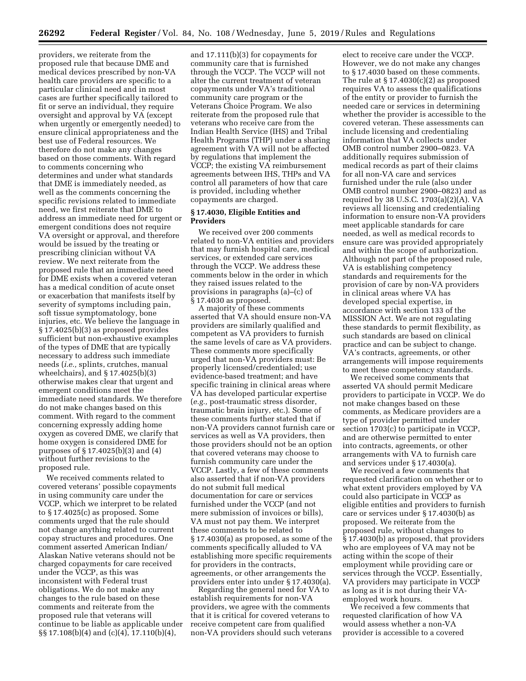providers, we reiterate from the proposed rule that because DME and medical devices prescribed by non-VA health care providers are specific to a particular clinical need and in most cases are further specifically tailored to fit or serve an individual, they require oversight and approval by VA (except when urgently or emergently needed) to ensure clinical appropriateness and the best use of Federal resources. We therefore do not make any changes based on those comments. With regard to comments concerning who determines and under what standards that DME is immediately needed, as well as the comments concerning the specific revisions related to immediate need, we first reiterate that DME to address an immediate need for urgent or emergent conditions does not require VA oversight or approval, and therefore would be issued by the treating or prescribing clinician without VA review. We next reiterate from the proposed rule that an immediate need for DME exists when a covered veteran has a medical condition of acute onset or exacerbation that manifests itself by severity of symptoms including pain, soft tissue symptomatology, bone injuries, etc. We believe the language in § 17.4025(b)(3) as proposed provides sufficient but non-exhaustive examples of the types of DME that are typically necessary to address such immediate needs (*i.e.,* splints, crutches, manual wheelchairs), and § 17.4025(b)(3) otherwise makes clear that urgent and emergent conditions meet the immediate need standards. We therefore do not make changes based on this comment. With regard to the comment concerning expressly adding home oxygen as covered DME, we clarify that home oxygen is considered DME for purposes of § 17.4025(b)(3) and (4) without further revisions to the proposed rule.

We received comments related to covered veterans' possible copayments in using community care under the VCCP, which we interpret to be related to § 17.4025(c) as proposed. Some comments urged that the rule should not change anything related to current copay structures and procedures. One comment asserted American Indian/ Alaskan Native veterans should not be charged copayments for care received under the VCCP, as this was inconsistent with Federal trust obligations. We do not make any changes to the rule based on these comments and reiterate from the proposed rule that veterans will continue to be liable as applicable under §§ 17.108(b)(4) and (c)(4), 17.110(b)(4),

and 17.111(b)(3) for copayments for community care that is furnished through the VCCP. The VCCP will not alter the current treatment of veteran copayments under VA's traditional community care program or the Veterans Choice Program. We also reiterate from the proposed rule that veterans who receive care from the Indian Health Service (IHS) and Tribal Health Programs (THP) under a sharing agreement with VA will not be affected by regulations that implement the VCCP; the existing VA reimbursement agreements between IHS, THPs and VA control all parameters of how that care is provided, including whether copayments are charged.

# **§ 17.4030, Eligible Entities and Providers**

We received over 200 comments related to non-VA entities and providers that may furnish hospital care, medical services, or extended care services through the VCCP. We address these comments below in the order in which they raised issues related to the provisions in paragraphs (a)–(c) of § 17.4030 as proposed.

A majority of these comments asserted that VA should ensure non-VA providers are similarly qualified and competent as VA providers to furnish the same levels of care as VA providers. These comments more specifically urged that non-VA providers must: Be properly licensed/credentialed; use evidence-based treatment; and have specific training in clinical areas where VA has developed particular expertise (*e.g.,* post-traumatic stress disorder, traumatic brain injury, etc.). Some of these comments further stated that if non-VA providers cannot furnish care or services as well as VA providers, then those providers should not be an option that covered veterans may choose to furnish community care under the VCCP. Lastly, a few of these comments also asserted that if non-VA providers do not submit full medical documentation for care or services furnished under the VCCP (and not mere submission of invoices or bills), VA must not pay them. We interpret these comments to be related to § 17.4030(a) as proposed, as some of the comments specifically alluded to VA establishing more specific requirements for providers in the contracts, agreements, or other arrangements the providers enter into under § 17.4030(a).

Regarding the general need for VA to establish requirements for non-VA providers, we agree with the comments that it is critical for covered veterans to receive competent care from qualified non-VA providers should such veterans

elect to receive care under the VCCP. However, we do not make any changes to § 17.4030 based on these comments. The rule at  $\S 17.4030(c)(2)$  as proposed requires VA to assess the qualifications of the entity or provider to furnish the needed care or services in determining whether the provider is accessible to the covered veteran. These assessments can include licensing and credentialing information that VA collects under OMB control number 2900–0823. VA additionally requires submission of medical records as part of their claims for all non-VA care and services furnished under the rule (also under OMB control number 2900–0823) and as required by 38 U.S.C. 1703(a)(2)(A). VA reviews all licensing and credentialing information to ensure non-VA providers meet applicable standards for care needed, as well as medical records to ensure care was provided appropriately and within the scope of authorization. Although not part of the proposed rule, VA is establishing competency standards and requirements for the provision of care by non-VA providers in clinical areas where VA has developed special expertise, in accordance with section 133 of the MISSION Act. We are not regulating these standards to permit flexibility, as such standards are based on clinical practice and can be subject to change. VA's contracts, agreements, or other arrangements will impose requirements to meet these competency standards.

We received some comments that asserted VA should permit Medicare providers to participate in VCCP. We do not make changes based on these comments, as Medicare providers are a type of provider permitted under section 1703(c) to participate in VCCP, and are otherwise permitted to enter into contracts, agreements, or other arrangements with VA to furnish care and services under § 17.4030(a).

We received a few comments that requested clarification on whether or to what extent providers employed by VA could also participate in VCCP as eligible entities and providers to furnish care or services under § 17.4030(b) as proposed. We reiterate from the proposed rule, without changes to § 17.4030(b) as proposed, that providers who are employees of VA may not be acting within the scope of their employment while providing care or services through the VCCP. Essentially, VA providers may participate in VCCP as long as it is not during their VAemployed work hours.

We received a few comments that requested clarification of how VA would assess whether a non-VA provider is accessible to a covered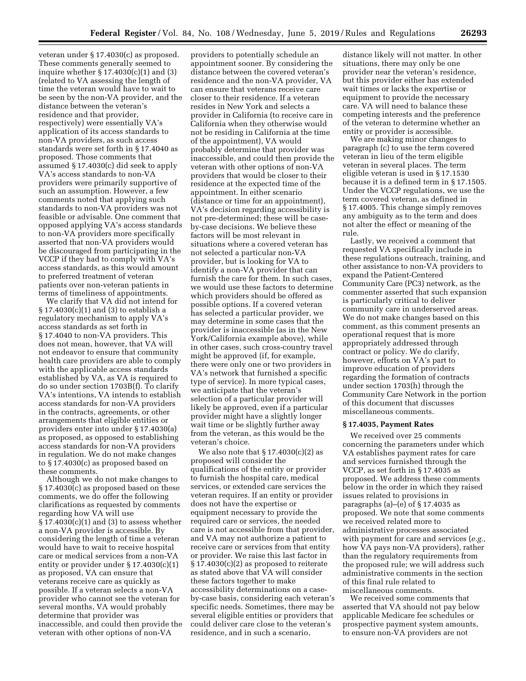veteran under § 17.4030(c) as proposed. These comments generally seemed to inquire whether § 17.4030(c)(1) and (3) (related to VA assessing the length of time the veteran would have to wait to be seen by the non-VA provider, and the distance between the veteran's residence and that provider, respectively) were essentially VA's application of its access standards to non-VA providers, as such access standards were set forth in § 17.4040 as proposed. Those comments that assumed § 17.4030(c) did seek to apply VA's access standards to non-VA providers were primarily supportive of such an assumption. However, a few comments noted that applying such standards to non-VA providers was not feasible or advisable. One comment that opposed applying VA's access standards to non-VA providers more specifically asserted that non-VA providers would be discouraged from participating in the VCCP if they had to comply with VA's access standards, as this would amount to preferred treatment of veteran patients over non-veteran patients in terms of timeliness of appointments.

We clarify that VA did not intend for § 17.4030(c)(1) and (3) to establish a regulatory mechanism to apply VA's access standards as set forth in § 17.4040 to non-VA providers. This does not mean, however, that VA will not endeavor to ensure that community health care providers are able to comply with the applicable access standards established by VA, as VA is required to do so under section 1703B(f). To clarify VA's intentions, VA intends to establish access standards for non-VA providers in the contracts, agreements, or other arrangements that eligible entities or providers enter into under § 17.4030(a) as proposed, as opposed to establishing access standards for non-VA providers in regulation. We do not make changes to § 17.4030(c) as proposed based on these comments.

Although we do not make changes to § 17.4030(c) as proposed based on these comments, we do offer the following clarifications as requested by comments regarding how VA will use  $\S 17.4030(c)(1)$  and (3) to assess whether a non-VA provider is accessible. By considering the length of time a veteran would have to wait to receive hospital care or medical services from a non-VA entity or provider under § 17.4030(c)(1) as proposed, VA can ensure that veterans receive care as quickly as possible. If a veteran selects a non-VA provider who cannot see the veteran for several months, VA would probably determine that provider was inaccessible, and could then provide the veteran with other options of non-VA

providers to potentially schedule an appointment sooner. By considering the distance between the covered veteran's residence and the non-VA provider, VA can ensure that veterans receive care closer to their residence. If a veteran resides in New York and selects a provider in California (to receive care in California when they otherwise would not be residing in California at the time of the appointment), VA would probably determine that provider was inaccessible, and could then provide the veteran with other options of non-VA providers that would be closer to their residence at the expected time of the appointment. In either scenario (distance or time for an appointment), VA's decision regarding accessibility is not pre-determined; these will be caseby-case decisions. We believe these factors will be most relevant in situations where a covered veteran has not selected a particular non-VA provider, but is looking for VA to identify a non-VA provider that can furnish the care for them. In such cases, we would use these factors to determine which providers should be offered as possible options. If a covered veteran has selected a particular provider, we may determine in some cases that the provider is inaccessible (as in the New York/California example above), while in other cases, such cross-country travel might be approved (if, for example, there were only one or two providers in VA's network that furnished a specific type of service). In more typical cases, we anticipate that the veteran's selection of a particular provider will likely be approved, even if a particular provider might have a slightly longer wait time or be slightly further away from the veteran, as this would be the veteran's choice.

We also note that  $\S 17.4030(c)(2)$  as proposed will consider the qualifications of the entity or provider to furnish the hospital care, medical services, or extended care services the veteran requires. If an entity or provider does not have the expertise or equipment necessary to provide the required care or services, the needed care is not accessible from that provider, and VA may not authorize a patient to receive care or services from that entity or provider. We raise this last factor in § 17.4030(c)(2) as proposed to reiterate as stated above that VA will consider these factors together to make accessibility determinations on a caseby-case basis, considering each veteran's specific needs. Sometimes, there may be several eligible entities or providers that could deliver care close to the veteran's residence, and in such a scenario,

distance likely will not matter. In other situations, there may only be one provider near the veteran's residence, but this provider either has extended wait times or lacks the expertise or equipment to provide the necessary care. VA will need to balance these competing interests and the preference of the veteran to determine whether an entity or provider is accessible.

We are making minor changes to paragraph (c) to use the term covered veteran in lieu of the term eligible veteran in several places. The term eligible veteran is used in § 17.1530 because it is a defined term in § 17.1505. Under the VCCP regulations, we use the term covered veteran, as defined in § 17.4005. This change simply removes any ambiguity as to the term and does not alter the effect or meaning of the rule.

Lastly, we received a comment that requested VA specifically include in these regulations outreach, training, and other assistance to non-VA providers to expand the Patient-Centered Community Care (PC3) network, as the commenter asserted that such expansion is particularly critical to deliver community care in underserved areas. We do not make changes based on this comment, as this comment presents an operational request that is more appropriately addressed through contract or policy. We do clarify, however, efforts on VA's part to improve education of providers regarding the formation of contracts under section 1703(h) through the Community Care Network in the portion of this document that discusses miscellaneous comments.

## **§ 17.4035, Payment Rates**

We received over 25 comments concerning the parameters under which VA establishes payment rates for care and services furnished through the VCCP, as set forth in § 17.4035 as proposed. We address these comments below in the order in which they raised issues related to provisions in paragraphs (a)–(e) of § 17.4035 as proposed. We note that some comments we received related more to administrative processes associated with payment for care and services (*e.g.,*  how VA pays non-VA providers), rather than the regulatory requirements from the proposed rule; we will address such administrative comments in the section of this final rule related to miscellaneous comments.

We received some comments that asserted that VA should not pay below applicable Medicare fee schedules or prospective payment system amounts, to ensure non-VA providers are not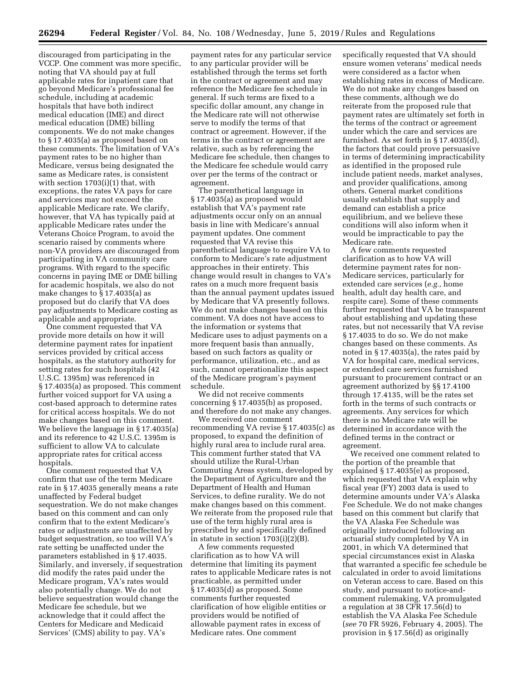discouraged from participating in the VCCP. One comment was more specific, noting that VA should pay at full applicable rates for inpatient care that go beyond Medicare's professional fee schedule, including at academic hospitals that have both indirect medical education (IME) and direct medical education (DME) billing components. We do not make changes to § 17.4035(a) as proposed based on these comments. The limitation of VA's payment rates to be no higher than Medicare, versus being designated the same as Medicare rates, is consistent with section 1703(i)(1) that, with exceptions, the rates VA pays for care and services may not exceed the applicable Medicare rate. We clarify, however, that VA has typically paid at applicable Medicare rates under the Veterans Choice Program, to avoid the scenario raised by comments where non-VA providers are discouraged from participating in VA community care programs. With regard to the specific concerns in paying IME or DME billing for academic hospitals, we also do not make changes to § 17.4035(a) as proposed but do clarify that VA does pay adjustments to Medicare costing as applicable and appropriate.

One comment requested that VA provide more details on how it will determine payment rates for inpatient services provided by critical access hospitals, as the statutory authority for setting rates for such hospitals (42 U.S.C. 1395m) was referenced in § 17.4035(a) as proposed. This comment further voiced support for VA using a cost-based approach to determine rates for critical access hospitals. We do not make changes based on this comment. We believe the language in § 17.4035(a) and its reference to 42 U.S.C. 1395m is sufficient to allow VA to calculate appropriate rates for critical access hospitals.

One comment requested that VA confirm that use of the term Medicare rate in § 17.4035 generally means a rate unaffected by Federal budget sequestration. We do not make changes based on this comment and can only confirm that to the extent Medicare's rates or adjustments are unaffected by budget sequestration, so too will VA's rate setting be unaffected under the parameters established in § 17.4035. Similarly, and inversely, if sequestration did modify the rates paid under the Medicare program, VA's rates would also potentially change. We do not believe sequestration would change the Medicare fee schedule, but we acknowledge that it could affect the Centers for Medicare and Medicaid Services' (CMS) ability to pay. VA's

payment rates for any particular service to any particular provider will be established through the terms set forth in the contract or agreement and may reference the Medicare fee schedule in general. If such terms are fixed to a specific dollar amount, any change in the Medicare rate will not otherwise serve to modify the terms of that contract or agreement. However, if the terms in the contract or agreement are relative, such as by referencing the Medicare fee schedule, then changes to the Medicare fee schedule would carry over per the terms of the contract or agreement.

The parenthetical language in § 17.4035(a) as proposed would establish that VA's payment rate adjustments occur only on an annual basis in line with Medicare's annual payment updates. One comment requested that VA revise this parenthetical language to require VA to conform to Medicare's rate adjustment approaches in their entirety. This change would result in changes to VA's rates on a much more frequent basis than the annual payment updates issued by Medicare that VA presently follows. We do not make changes based on this comment. VA does not have access to the information or systems that Medicare uses to adjust payments on a more frequent basis than annually, based on such factors as quality or performance, utilization, etc., and as such, cannot operationalize this aspect of the Medicare program's payment schedule.

We did not receive comments concerning § 17.4035(b) as proposed, and therefore do not make any changes.

We received one comment recommending VA revise § 17.4035(c) as proposed, to expand the definition of highly rural area to include rural area. This comment further stated that VA should utilize the Rural-Urban Commuting Areas system, developed by the Department of Agriculture and the Department of Health and Human Services, to define rurality. We do not make changes based on this comment. We reiterate from the proposed rule that use of the term highly rural area is prescribed by and specifically defined in statute in section 1703(i)(2)(B).

A few comments requested clarification as to how VA will determine that limiting its payment rates to applicable Medicare rates is not practicable, as permitted under § 17.4035(d) as proposed. Some comments further requested clarification of how eligible entities or providers would be notified of allowable payment rates in excess of Medicare rates. One comment

specifically requested that VA should ensure women veterans' medical needs were considered as a factor when establishing rates in excess of Medicare. We do not make any changes based on these comments, although we do reiterate from the proposed rule that payment rates are ultimately set forth in the terms of the contract or agreement under which the care and services are furnished. As set forth in § 17.4035(d), the factors that could prove persuasive in terms of determining impracticability as identified in the proposed rule include patient needs, market analyses, and provider qualifications, among others. General market conditions usually establish that supply and demand can establish a price equilibrium, and we believe these conditions will also inform when it would be impracticable to pay the Medicare rate.

A few comments requested clarification as to how VA will determine payment rates for non-Medicare services, particularly for extended care services (*e.g.,* home health, adult day health care, and respite care). Some of these comments further requested that VA be transparent about establishing and updating these rates, but not necessarily that VA revise § 17.4035 to do so. We do not make changes based on these comments. As noted in § 17.4035(a), the rates paid by VA for hospital care, medical services, or extended care services furnished pursuant to procurement contract or an agreement authorized by §§ 17.4100 through 17.4135, will be the rates set forth in the terms of such contracts or agreements. Any services for which there is no Medicare rate will be determined in accordance with the defined terms in the contract or agreement.

We received one comment related to the portion of the preamble that explained § 17.4035(e) as proposed, which requested that VA explain why fiscal year (FY) 2003 data is used to determine amounts under VA's Alaska Fee Schedule. We do not make changes based on this comment but clarify that the VA Alaska Fee Schedule was originally introduced following an actuarial study completed by VA in 2001, in which VA determined that special circumstances exist in Alaska that warranted a specific fee schedule be calculated in order to avoid limitations on Veteran access to care. Based on this study, and pursuant to notice-andcomment rulemaking, VA promulgated a regulation at 38 CFR 17.56(d) to establish the VA Alaska Fee Schedule (*see* 70 FR 5926, February 4, 2005). The provision in § 17.56(d) as originally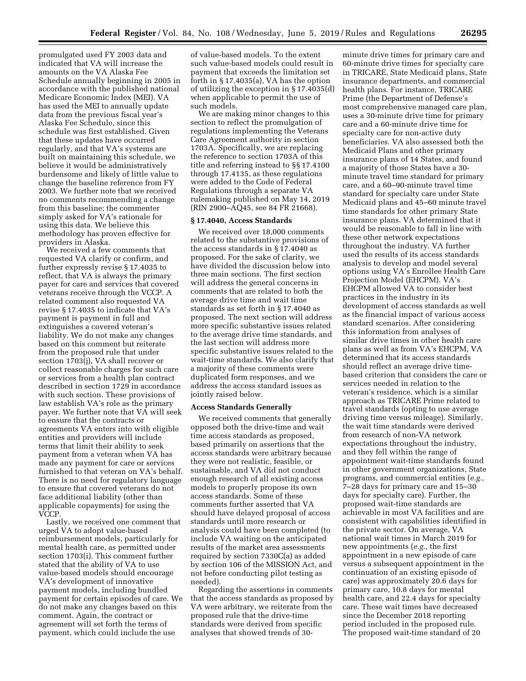promulgated used FY 2003 data and indicated that VA will increase the amounts on the VA Alaska Fee Schedule annually beginning in 2005 in accordance with the published national Medicare Economic Index (MEI). VA has used the MEI to annually update data from the previous fiscal year's Alaska Fee Schedule, since this schedule was first established. Given that these updates have occurred regularly, and that VA's systems are built on maintaining this schedule, we believe it would be administratively burdensome and likely of little value to change the baseline reference from FY 2003. We further note that we received no comments recommending a change from this baseline; the commenter simply asked for VA's rationale for using this data. We believe this methodology has proven effective for providers in Alaska.

We received a few comments that requested VA clarify or confirm, and further expressly revise § 17.4035 to reflect, that VA is always the primary payer for care and services that covered veterans receive through the VCCP. A related comment also requested VA revise § 17.4035 to indicate that VA's payment is payment in full and extinguishes a covered veteran's liability. We do not make any changes based on this comment but reiterate from the proposed rule that under section 1703(j), VA shall recover or collect reasonable charges for such care or services from a health plan contract described in section 1729 in accordance with such section. These provisions of law establish VA's role as the primary payer. We further note that VA will seek to ensure that the contracts or agreements VA enters into with eligible entities and providers will include terms that limit their ability to seek payment from a veteran when VA has made any payment for care or services furnished to that veteran on VA's behalf. There is no need for regulatory language to ensure that covered veterans do not face additional liability (other than applicable copayments) for using the VCCP.

Lastly, we received one comment that urged VA to adopt value-based reimbursement models, particularly for mental health care, as permitted under section 1703(i). This comment further stated that the ability of VA to use value-based models should encourage VA's development of innovative payment models, including bundled payment for certain episodes of care. We do not make any changes based on this comment. Again, the contract or agreement will set forth the terms of payment, which could include the use

of value-based models. To the extent such value-based models could result in payment that exceeds the limitation set forth in § 17.4035(a), VA has the option of utilizing the exception in § 17.4035(d) when applicable to permit the use of such models.

We are making minor changes to this section to reflect the promulgation of regulations implementing the Veterans Care Agreement authority in section 1703A. Specifically, we are replacing the reference to section 1703A of this title and referring instead to §§ 17.4100 through 17.4135, as these regulations were added to the Code of Federal Regulations through a separate VA rulemaking published on May 14, 2019 (RIN 2900–AQ45, see 84 FR 21668).

# **§ 17.4040, Access Standards**

We received over 18,000 comments related to the substantive provisions of the access standards in § 17.4040 as proposed. For the sake of clarity, we have divided the discussion below into three main sections. The first section will address the general concerns in comments that are related to both the average drive time and wait time standards as set forth in § 17.4040 as proposed. The next section will address more specific substantive issues related to the average drive time standards, and the last section will address more specific substantive issues related to the wait-time standards. We also clarify that a majority of these comments were duplicated form responses, and we address the access standard issues as jointly raised below.

# **Access Standards Generally**

We received comments that generally opposed both the drive-time and wait time access standards as proposed, based primarily on assertions that the access standards were arbitrary because they were not realistic, feasible, or sustainable, and VA did not conduct enough research of all existing access models to properly propose its own access standards. Some of these comments further asserted that VA should have delayed proposal of access standards until more research or analysis could have been completed (to include VA waiting on the anticipated results of the market area assessments required by section 7330C(a) as added by section 106 of the MISSION Act, and not before conducting pilot testing as needed).

Regarding the assertions in comments that the access standards as proposed by VA were arbitrary, we reiterate from the proposed rule that the drive-time standards were derived from specific analyses that showed trends of 30-

minute drive times for primary care and 60-minute drive times for specialty care in TRICARE, State Medicaid plans, State insurance departments, and commercial health plans. For instance, TRICARE Prime (the Department of Defense's most comprehensive managed care plan, uses a 30-minute drive time for primary care and a 60-minute drive time for specialty care for non-active duty beneficiaries. VA also assessed both the Medicaid Plans and other primary insurance plans of 14 States, and found a majority of those States have a 30 minute travel time standard for primary care, and a 60–90-minute travel time standard for specialty care under State Medicaid plans and 45–60 minute travel time standards for other primary State insurance plans. VA determined that it would be reasonable to fall in line with these other network expectations throughout the industry. VA further used the results of its access standards analysis to develop and model several options using VA's Enrollee Health Care Projection Model (EHCPM). VA's EHCPM allowed VA to consider best practices in the industry in its development of access standards as well as the financial impact of various access standard scenarios. After considering this information from analyses of similar drive times in other health care plans as well as from VA's EHCPM, VA determined that its access standards should reflect an average drive timebased criterion that considers the care or services needed in relation to the veteran's residence, which is a similar approach as TRICARE Prime related to travel standards (opting to use average driving time versus mileage). Similarly, the wait time standards were derived from research of non-VA network expectations throughout the industry, and they fell within the range of appointment wait-time standards found in other government organizations, State programs, and commercial entities (*e.g.,*  7–28 days for primary care and 15–30 days for specialty care). Further, the proposed wait-time standards are achievable in most VA facilities and are consistent with capabilities identified in the private sector. On average, VA national wait times in March 2019 for new appointments (*e.g.,* the first appointment in a new episode of care versus a subsequent appointment in the continuation of an existing episode of care) was approximately 20.6 days for primary care, 10.8 days for mental health care, and 22.4 days for specialty care. These wait times have decreased since the December 2018 reporting period included in the proposed rule. The proposed wait-time standard of 20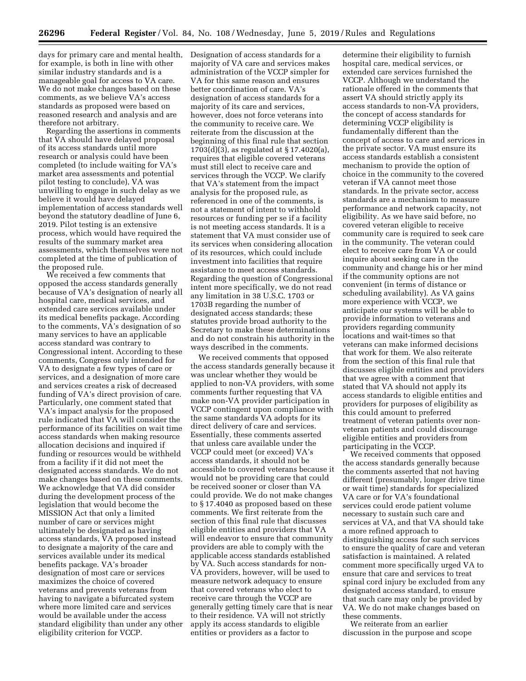days for primary care and mental health, Designation of access standards for a for example, is both in line with other similar industry standards and is a manageable goal for access to VA care. We do not make changes based on these comments, as we believe VA's access standards as proposed were based on reasoned research and analysis and are therefore not arbitrary.

Regarding the assertions in comments that VA should have delayed proposal of its access standards until more research or analysis could have been completed (to include waiting for VA's market area assessments and potential pilot testing to conclude), VA was unwilling to engage in such delay as we believe it would have delayed implementation of access standards well beyond the statutory deadline of June 6, 2019. Pilot testing is an extensive process, which would have required the results of the summary market area assessments, which themselves were not completed at the time of publication of the proposed rule.

We received a few comments that opposed the access standards generally because of VA's designation of nearly all hospital care, medical services, and extended care services available under its medical benefits package. According to the comments, VA's designation of so many services to have an applicable access standard was contrary to Congressional intent. According to these comments, Congress only intended for VA to designate a few types of care or services, and a designation of more care and services creates a risk of decreased funding of VA's direct provision of care. Particularly, one comment stated that VA's impact analysis for the proposed rule indicated that VA will consider the performance of its facilities on wait time access standards when making resource allocation decisions and inquired if funding or resources would be withheld from a facility if it did not meet the designated access standards. We do not make changes based on these comments. We acknowledge that VA did consider during the development process of the legislation that would become the MISSION Act that only a limited number of care or services might ultimately be designated as having access standards, VA proposed instead to designate a majority of the care and services available under its medical benefits package. VA's broader designation of most care or services maximizes the choice of covered veterans and prevents veterans from having to navigate a bifurcated system where more limited care and services would be available under the access standard eligibility than under any other eligibility criterion for VCCP.

majority of VA care and services makes administration of the VCCP simpler for VA for this same reason and ensures better coordination of care. VA's designation of access standards for a majority of its care and services, however, does not force veterans into the community to receive care. We reiterate from the discussion at the beginning of this final rule that section 1703(d)(3), as regulated at § 17.4020(a), requires that eligible covered veterans must still elect to receive care and services through the VCCP. We clarify that VA's statement from the impact analysis for the proposed rule, as referenced in one of the comments, is not a statement of intent to withhold resources or funding per se if a facility is not meeting access standards. It is a statement that VA must consider use of its services when considering allocation of its resources, which could include investment into facilities that require assistance to meet access standards. Regarding the question of Congressional intent more specifically, we do not read any limitation in 38 U.S.C. 1703 or 1703B regarding the number of designated access standards; these statutes provide broad authority to the Secretary to make these determinations and do not constrain his authority in the ways described in the comments.

We received comments that opposed the access standards generally because it was unclear whether they would be applied to non-VA providers, with some comments further requesting that VA make non-VA provider participation in VCCP contingent upon compliance with the same standards VA adopts for its direct delivery of care and services. Essentially, these comments asserted that unless care available under the VCCP could meet (or exceed) VA's access standards, it should not be accessible to covered veterans because it would not be providing care that could be received sooner or closer than VA could provide. We do not make changes to § 17.4040 as proposed based on these comments. We first reiterate from the section of this final rule that discusses eligible entities and providers that VA will endeavor to ensure that community providers are able to comply with the applicable access standards established by VA. Such access standards for non-VA providers, however, will be used to measure network adequacy to ensure that covered veterans who elect to receive care through the VCCP are generally getting timely care that is near to their residence. VA will not strictly apply its access standards to eligible entities or providers as a factor to

determine their eligibility to furnish hospital care, medical services, or extended care services furnished the VCCP. Although we understand the rationale offered in the comments that assert VA should strictly apply its access standards to non-VA providers, the concept of access standards for determining VCCP eligibility is fundamentally different than the concept of access to care and services in the private sector. VA must ensure its access standards establish a consistent mechanism to provide the option of choice in the community to the covered veteran if VA cannot meet those standards. In the private sector, access standards are a mechanism to measure performance and network capacity, not eligibility. As we have said before, no covered veteran eligible to receive community care is required to seek care in the community. The veteran could elect to receive care from VA or could inquire about seeking care in the community and change his or her mind if the community options are not convenient (in terms of distance or scheduling availability). As VA gains more experience with VCCP, we anticipate our systems will be able to provide information to veterans and providers regarding community locations and wait-times so that veterans can make informed decisions that work for them. We also reiterate from the section of this final rule that discusses eligible entities and providers that we agree with a comment that stated that VA should not apply its access standards to eligible entities and providers for purposes of eligibility as this could amount to preferred treatment of veteran patients over nonveteran patients and could discourage eligible entities and providers from participating in the VCCP.

We received comments that opposed the access standards generally because the comments asserted that not having different (presumably, longer drive time or wait time) standards for specialized VA care or for VA's foundational services could erode patient volume necessary to sustain such care and services at VA, and that VA should take a more refined approach to distinguishing access for such services to ensure the quality of care and veteran satisfaction is maintained. A related comment more specifically urged VA to ensure that care and services to treat spinal cord injury be excluded from any designated access standard, to ensure that such care may only be provided by VA. We do not make changes based on these comments.

We reiterate from an earlier discussion in the purpose and scope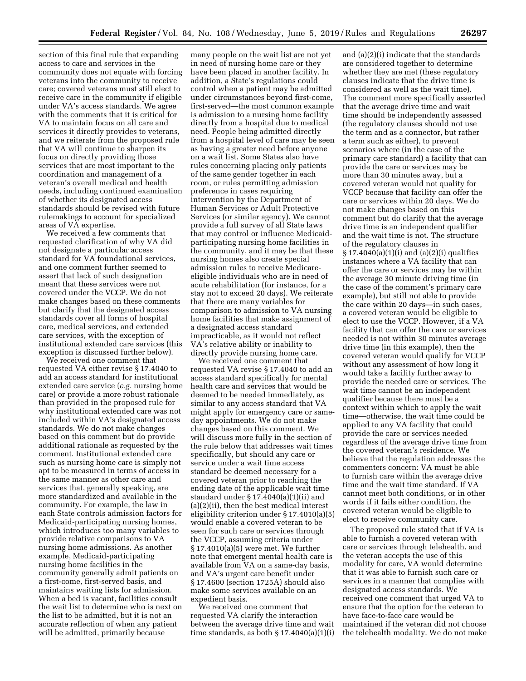section of this final rule that expanding access to care and services in the community does not equate with forcing veterans into the community to receive care; covered veterans must still elect to receive care in the community if eligible under VA's access standards. We agree with the comments that it is critical for VA to maintain focus on all care and services it directly provides to veterans, and we reiterate from the proposed rule that VA will continue to sharpen its focus on directly providing those services that are most important to the coordination and management of a veteran's overall medical and health needs, including continued examination of whether its designated access standards should be revised with future rulemakings to account for specialized areas of VA expertise.

We received a few comments that requested clarification of why VA did not designate a particular access standard for VA foundational services, and one comment further seemed to assert that lack of such designation meant that these services were not covered under the VCCP. We do not make changes based on these comments but clarify that the designated access standards cover all forms of hospital care, medical services, and extended care services, with the exception of institutional extended care services (this exception is discussed further below).

We received one comment that requested VA either revise § 17.4040 to add an access standard for institutional extended care service (*e.g.* nursing home care) or provide a more robust rationale than provided in the proposed rule for why institutional extended care was not included within VA's designated access standards. We do not make changes based on this comment but do provide additional rationale as requested by the comment. Institutional extended care such as nursing home care is simply not apt to be measured in terms of access in the same manner as other care and services that, generally speaking, are more standardized and available in the community. For example, the law in each State controls admission factors for Medicaid-participating nursing homes, which introduces too many variables to provide relative comparisons to VA nursing home admissions. As another example, Medicaid-participating nursing home facilities in the community generally admit patients on a first-come, first-served basis, and maintains waiting lists for admission. When a bed is vacant, facilities consult the wait list to determine who is next on the list to be admitted, but it is not an accurate reflection of when any patient will be admitted, primarily because

many people on the wait list are not yet in need of nursing home care or they have been placed in another facility. In addition, a State's regulations could control when a patient may be admitted under circumstances beyond first-come, first-served—the most common example is admission to a nursing home facility directly from a hospital due to medical need. People being admitted directly from a hospital level of care may be seen as having a greater need before anyone on a wait list. Some States also have rules concerning placing only patients of the same gender together in each room, or rules permitting admission preference in cases requiring intervention by the Department of Human Services or Adult Protective Services (or similar agency). We cannot provide a full survey of all State laws that may control or influence Medicaidparticipating nursing home facilities in the community, and it may be that these nursing homes also create special admission rules to receive Medicareeligible individuals who are in need of acute rehabilitation (for instance, for a stay not to exceed 20 days). We reiterate that there are many variables for comparison to admission to VA nursing home facilities that make assignment of a designated access standard impracticable, as it would not reflect VA's relative ability or inability to directly provide nursing home care.

We received one comment that requested VA revise § 17.4040 to add an access standard specifically for mental health care and services that would be deemed to be needed immediately, as similar to any access standard that VA might apply for emergency care or sameday appointments. We do not make changes based on this comment. We will discuss more fully in the section of the rule below that addresses wait times specifically, but should any care or service under a wait time access standard be deemed necessary for a covered veteran prior to reaching the ending date of the applicable wait time standard under § 17.4040(a)(1)(ii) and (a)(2)(ii), then the best medical interest eligibility criterion under § 17.4010(a)(5) would enable a covered veteran to be seen for such care or services through the VCCP, assuming criteria under § 17.4010(a)(5) were met. We further note that emergent mental health care is available from VA on a same-day basis, and VA's urgent care benefit under § 17.4600 (section 1725A) should also make some services available on an expedient basis.

We received one comment that requested VA clarify the interaction between the average drive time and wait time standards, as both  $\S 17.4040(a)(1)(i)$ 

and (a)(2)(i) indicate that the standards are considered together to determine whether they are met (these regulatory clauses indicate that the drive time is considered as well as the wait time). The comment more specifically asserted that the average drive time and wait time should be independently assessed (the regulatory clauses should not use the term and as a connector, but rather a term such as either), to prevent scenarios where (in the case of the primary care standard) a facility that can provide the care or services may be more than 30 minutes away, but a covered veteran would not quality for VCCP because that facility can offer the care or services within 20 days. We do not make changes based on this comment but do clarify that the average drive time is an independent qualifier and the wait time is not. The structure of the regulatory clauses in § 17.4040(a)(1)(i) and (a)(2)(i) qualifies instances where a VA facility that can offer the care or services may be within the average 30 minute driving time (in the case of the comment's primary care example), but still not able to provide the care within 20 days—in such cases, a covered veteran would be eligible to elect to use the VCCP. However, if a VA facility that can offer the care or services needed is not within 30 minutes average drive time (in this example), then the covered veteran would qualify for VCCP without any assessment of how long it would take a facility further away to provide the needed care or services. The wait time cannot be an independent qualifier because there must be a context within which to apply the wait time—otherwise, the wait time could be applied to any VA facility that could provide the care or services needed regardless of the average drive time from the covered veteran's residence. We believe that the regulation addresses the commenters concern: VA must be able to furnish care within the average drive time and the wait time standard. If VA cannot meet both conditions, or in other words if it fails either condition, the covered veteran would be eligible to elect to receive community care.

The proposed rule stated that if VA is able to furnish a covered veteran with care or services through telehealth, and the veteran accepts the use of this modality for care, VA would determine that it was able to furnish such care or services in a manner that complies with designated access standards. We received one comment that urged VA to ensure that the option for the veteran to have face-to-face care would be maintained if the veteran did not choose the telehealth modality. We do not make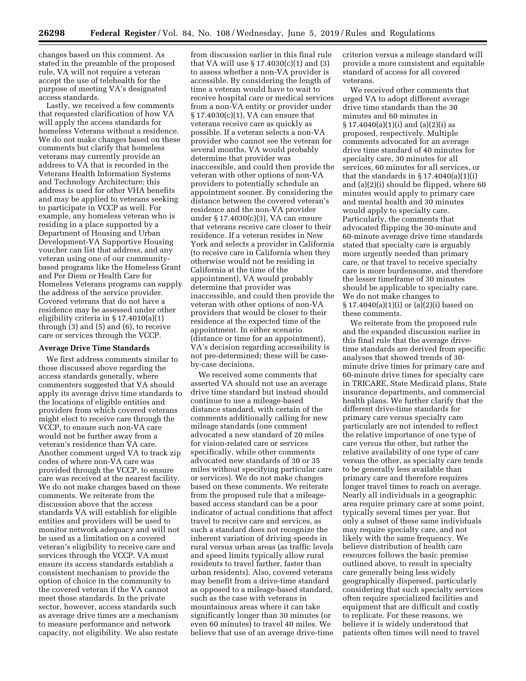changes based on this comment. As stated in the preamble of the proposed rule, VA will not require a veteran accept the use of telehealth for the purpose of meeting VA's designated access standards.

Lastly, we received a few comments that requested clarification of how VA will apply the access standards for homeless Veterans without a residence. We do not make changes based on these comments but clarify that homeless veterans may currently provide an address to VA that is recorded in the Veterans Health Information Systems and Technology Architecture; this address is used for other VHA benefits and may be applied to veterans seeking to participate in VCCP as well. For example, any homeless veteran who is residing in a place supported by a Department of Housing and Urban Development-VA Supportive Housing voucher can list that address, and any veteran using one of our communitybased programs like the Homeless Grant and Per Diem or Health Care for Homeless Veterans programs can supply the address of the service provider. Covered veterans that do not have a residence may be assessed under other eligibility criteria in § 17.4010(a)(1) through (3) and (5) and (6), to receive care or services through the VCCP.

#### **Average Drive Time Standards**

We first address comments similar to those discussed above regarding the access standards generally, where commenters suggested that VA should apply its average drive time standards to the locations of eligible entities and providers from which covered veterans might elect to receive care through the VCCP, to ensure such non-VA care would not be further away from a veteran's residence than VA care. Another comment urged VA to track zip codes of where non-VA care was provided through the VCCP, to ensure care was received at the nearest facility. We do not make changes based on these comments. We reiterate from the discussion above that the access standards VA will establish for eligible entities and providers will be used to monitor network adequacy and will not be used as a limitation on a covered veteran's eligibility to receive care and services through the VCCP. VA must ensure its access standards establish a consistent mechanism to provide the option of choice in the community to the covered veteran if the VA cannot meet those standards. In the private sector, however, access standards such as average drive times are a mechanism to measure performance and network capacity, not eligibility. We also restate

from discussion earlier in this final rule that VA will use § 17.4030(c)(1) and (3) to assess whether a non-VA provider is accessible. By considering the length of time a veteran would have to wait to receive hospital care or medical services from a non-VA entity or provider under § 17.4030(c)(1), VA can ensure that veterans receive care as quickly as possible. If a veteran selects a non-VA provider who cannot see the veteran for several months, VA would probably determine that provider was inaccessible, and could then provide the veteran with other options of non-VA providers to potentially schedule an appointment sooner. By considering the distance between the covered veteran's residence and the non-VA provider under § 17.4030(c)(3), VA can ensure that veterans receive care closer to their residence. If a veteran resides in New York and selects a provider in California (to receive care in California when they otherwise would not be residing in California at the time of the appointment), VA would probably determine that provider was inaccessible, and could then provide the veteran with other options of non-VA providers that would be closer to their residence at the expected time of the appointment. In either scenario (distance or time for an appointment), VA's decision regarding accessibility is not pre-determined; these will be caseby-case decisions.

We received some comments that asserted VA should not use an average drive time standard but instead should continue to use a mileage-based distance standard, with certain of the comments additionally calling for new mileage standards (one comment advocated a new standard of 20 miles for vision-related care or services specifically, while other comments advocated new standards of 30 or 35 miles without specifying particular care or services). We do not make changes based on these comments. We reiterate from the proposed rule that a mileagebased access standard can be a poor indicator of actual conditions that affect travel to receive care and services, as such a standard does not recognize the inherent variation of driving speeds in rural versus urban areas (as traffic levels and speed limits typically allow rural residents to travel farther, faster than urban residents). Also, covered veterans may benefit from a drive-time standard as opposed to a mileage-based standard, such as the case with veterans in mountainous areas where it can take significantly longer than 30 minutes (or even 60 minutes) to travel 40 miles. We believe that use of an average drive-time

criterion versus a mileage standard will provide a more consistent and equitable standard of access for all covered veterans.

We received other comments that urged VA to adopt different average drive time standards than the 30 minutes and 60 minutes in  $\S 17.4040(a)(1)(i)$  and  $(a)(2)(i)$  as proposed, respectively. Multiple comments advocated for an average drive time standard of 40 minutes for specialty care, 30 minutes for all services, 60 minutes for all services, or that the standards in  $\S 17.4040(a)(1)(i)$ and (a)(2)(i) should be flipped, where 60 minutes would apply to primary care and mental health and 30 minutes would apply to specialty care. Particularly, the comments that advocated flipping the 30-minute and 60-minute average drive time standards stated that specialty care is arguably more urgently needed than primary care, or that travel to receive specialty care is more burdensome, and therefore the lesser timeframe of 30 minutes should be applicable to specialty care. We do not make changes to § 17.4040(a)(1)(i) or (a)(2)(i) based on these comments.

We reiterate from the proposed rule and the expanded discussion earlier in this final rule that the average drivetime standards are derived from specific analyses that showed trends of 30 minute drive times for primary care and 60-minute drive times for specialty care in TRICARE, State Medicaid plans, State insurance departments, and commercial health plans. We further clarify that the different drive-time standards for primary care versus specialty care particularly are not intended to reflect the relative importance of one type of care versus the other, but rather the relative availability of one type of care versus the other, as specialty care tends to be generally less available than primary care and therefore requires longer travel times to reach on average. Nearly all individuals in a geographic area require primary care at some point, typically several times per year. But only a subset of these same individuals may require specialty care, and not likely with the same frequency. We believe distribution of health care resources follows the basic premise outlined above, to result in specialty care generally being less widely geographically dispersed, particularly considering that such specialty services often require specialized facilities and equipment that are difficult and costly to replicate. For these reasons, we believe it is widely understood that patients often times will need to travel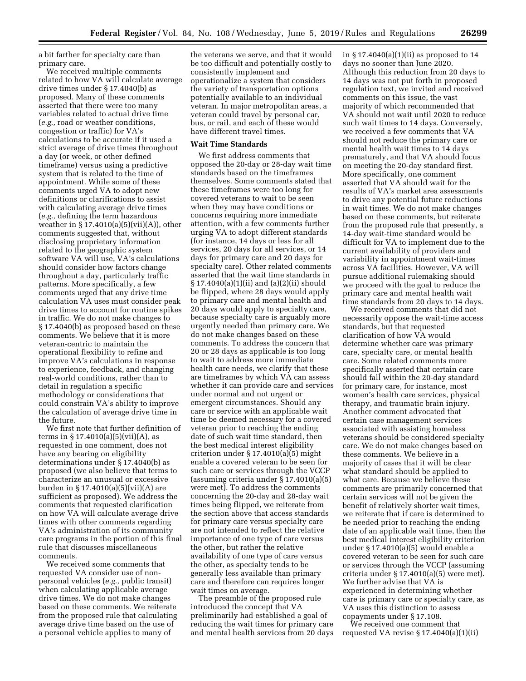a bit farther for specialty care than primary care.

We received multiple comments related to how VA will calculate average drive times under § 17.4040(b) as proposed. Many of these comments asserted that there were too many variables related to actual drive time (*e.g.,* road or weather conditions, congestion or traffic) for VA's calculations to be accurate if it used a strict average of drive times throughout a day (or week, or other defined timeframe) versus using a predictive system that is related to the time of appointment. While some of these comments urged VA to adopt new definitions or clarifications to assist with calculating average drive times (*e.g.,* defining the term hazardous weather in  $\S 17.4010(a)(5)(vii)(A)$ , other comments suggested that, without disclosing proprietary information related to the geographic system software VA will use, VA's calculations should consider how factors change throughout a day, particularly traffic patterns. More specifically, a few comments urged that any drive time calculation VA uses must consider peak drive times to account for routine spikes in traffic. We do not make changes to § 17.4040(b) as proposed based on these comments. We believe that it is more veteran-centric to maintain the operational flexibility to refine and improve VA's calculations in response to experience, feedback, and changing real-world conditions, rather than to detail in regulation a specific methodology or considerations that could constrain VA's ability to improve the calculation of average drive time in the future.

We first note that further definition of terms in  $\S 17.4010(a)(5)(vii)(A)$ , as requested in one comment, does not have any bearing on eligibility determinations under § 17.4040(b) as proposed (we also believe that terms to characterize an unusual or excessive burden in § 17.4010(a)(5)(vii)(A) are sufficient as proposed). We address the comments that requested clarification on how VA will calculate average drive times with other comments regarding VA's administration of its community care programs in the portion of this final rule that discusses miscellaneous comments.

We received some comments that requested VA consider use of nonpersonal vehicles (*e.g.,* public transit) when calculating applicable average drive times. We do not make changes based on these comments. We reiterate from the proposed rule that calculating average drive time based on the use of a personal vehicle applies to many of

the veterans we serve, and that it would be too difficult and potentially costly to consistently implement and operationalize a system that considers the variety of transportation options potentially available to an individual veteran. In major metropolitan areas, a veteran could travel by personal car, bus, or rail, and each of these would have different travel times.

#### **Wait Time Standards**

We first address comments that opposed the 20-day or 28-day wait time standards based on the timeframes themselves. Some comments stated that these timeframes were too long for covered veterans to wait to be seen when they may have conditions or concerns requiring more immediate attention, with a few comments further urging VA to adopt different standards (for instance, 14 days or less for all services, 20 days for all services, or 14 days for primary care and 20 days for specialty care). Other related comments asserted that the wait time standards in § 17.4040(a)(1)(ii) and (a)(2)(ii) should be flipped, where 28 days would apply to primary care and mental health and 20 days would apply to specialty care, because specialty care is arguably more urgently needed than primary care. We do not make changes based on these comments. To address the concern that 20 or 28 days as applicable is too long to wait to address more immediate health care needs, we clarify that these are timeframes by which VA can assess whether it can provide care and services under normal and not urgent or emergent circumstances. Should any care or service with an applicable wait time be deemed necessary for a covered veteran prior to reaching the ending date of such wait time standard, then the best medical interest eligibility criterion under § 17.4010(a)(5) might enable a covered veteran to be seen for such care or services through the VCCP (assuming criteria under § 17.4010(a)(5) were met). To address the comments concerning the 20-day and 28-day wait times being flipped, we reiterate from the section above that access standards for primary care versus specialty care are not intended to reflect the relative importance of one type of care versus the other, but rather the relative availability of one type of care versus the other, as specialty tends to be generally less available than primary care and therefore can requires longer wait times on average.

The preamble of the proposed rule introduced the concept that VA preliminarily had established a goal of reducing the wait times for primary care and mental health services from 20 days in § 17.4040(a)(1)(ii) as proposed to 14 days no sooner than June 2020. Although this reduction from 20 days to 14 days was not put forth in proposed regulation text, we invited and received comments on this issue, the vast majority of which recommended that VA should not wait until 2020 to reduce such wait times to 14 days. Conversely, we received a few comments that VA should not reduce the primary care or mental health wait times to 14 days prematurely, and that VA should focus on meeting the 20-day standard first. More specifically, one comment asserted that VA should wait for the results of VA's market area assessments to drive any potential future reductions in wait times. We do not make changes based on these comments, but reiterate from the proposed rule that presently, a 14-day wait-time standard would be difficult for VA to implement due to the current availability of providers and variability in appointment wait-times across VA facilities. However, VA will pursue additional rulemaking should we proceed with the goal to reduce the primary care and mental health wait time standards from 20 days to 14 days.

We received comments that did not necessarily oppose the wait-time access standards, but that requested clarification of how VA would determine whether care was primary care, specialty care, or mental health care. Some related comments more specifically asserted that certain care should fall within the 20-day standard for primary care, for instance, most women's health care services, physical therapy, and traumatic brain injury. Another comment advocated that certain case management services associated with assisting homeless veterans should be considered specialty care. We do not make changes based on these comments. We believe in a majority of cases that it will be clear what standard should be applied to what care. Because we believe these comments are primarily concerned that certain services will not be given the benefit of relatively shorter wait times, we reiterate that if care is determined to be needed prior to reaching the ending date of an applicable wait time, then the best medical interest eligibility criterion under § 17.4010(a)(5) would enable a covered veteran to be seen for such care or services through the VCCP (assuming criteria under § 17.4010(a)(5) were met). We further advise that VA is experienced in determining whether care is primary care or specialty care, as VA uses this distinction to assess copayments under § 17.108.

We received one comment that requested VA revise § 17.4040(a)(1)(ii)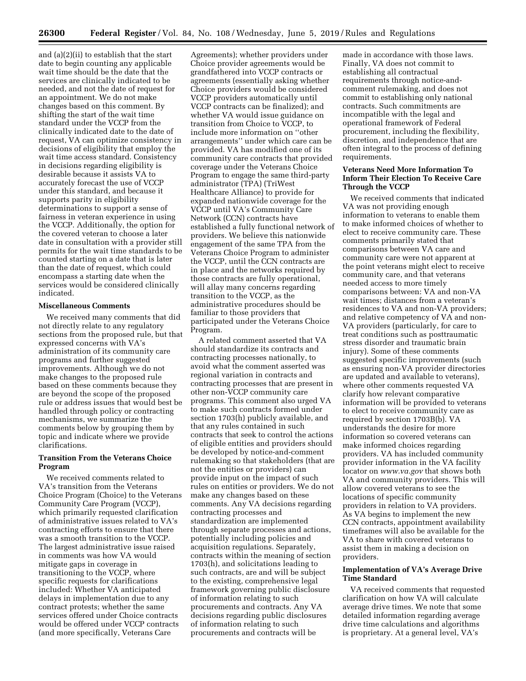and (a)(2)(ii) to establish that the start date to begin counting any applicable wait time should be the date that the services are clinically indicated to be needed, and not the date of request for an appointment. We do not make changes based on this comment. By shifting the start of the wait time standard under the VCCP from the clinically indicated date to the date of request, VA can optimize consistency in decisions of eligibility that employ the wait time access standard. Consistency in decisions regarding eligibility is desirable because it assists VA to accurately forecast the use of VCCP under this standard, and because it supports parity in eligibility determinations to support a sense of fairness in veteran experience in using the VCCP. Additionally, the option for the covered veteran to choose a later date in consultation with a provider still permits for the wait time standards to be counted starting on a date that is later than the date of request, which could encompass a starting date when the services would be considered clinically indicated.

## **Miscellaneous Comments**

We received many comments that did not directly relate to any regulatory sections from the proposed rule, but that expressed concerns with VA's administration of its community care programs and further suggested improvements. Although we do not make changes to the proposed rule based on these comments because they are beyond the scope of the proposed rule or address issues that would best be handled through policy or contracting mechanisms, we summarize the comments below by grouping them by topic and indicate where we provide clarifications.

# **Transition From the Veterans Choice Program**

We received comments related to VA's transition from the Veterans Choice Program (Choice) to the Veterans Community Care Program (VCCP), which primarily requested clarification of administrative issues related to VA's contracting efforts to ensure that there was a smooth transition to the VCCP. The largest administrative issue raised in comments was how VA would mitigate gaps in coverage in transitioning to the VCCP, where specific requests for clarifications included: Whether VA anticipated delays in implementation due to any contract protests; whether the same services offered under Choice contracts would be offered under VCCP contracts (and more specifically, Veterans Care

Agreements); whether providers under Choice provider agreements would be grandfathered into VCCP contracts or agreements (essentially asking whether Choice providers would be considered VCCP providers automatically until VCCP contracts can be finalized); and whether VA would issue guidance on transition from Choice to VCCP, to include more information on ''other arrangements'' under which care can be provided. VA has modified one of its community care contracts that provided coverage under the Veterans Choice Program to engage the same third-party administrator (TPA) (TriWest Healthcare Alliance) to provide for expanded nationwide coverage for the VCCP until VA's Community Care Network (CCN) contracts have established a fully functional network of providers. We believe this nationwide engagement of the same TPA from the Veterans Choice Program to administer the VCCP, until the CCN contracts are in place and the networks required by those contracts are fully operational, will allay many concerns regarding transition to the VCCP, as the administrative procedures should be familiar to those providers that participated under the Veterans Choice Program.

A related comment asserted that VA should standardize its contracts and contracting processes nationally, to avoid what the comment asserted was regional variation in contracts and contracting processes that are present in other non-VCCP community care programs. This comment also urged VA to make such contracts formed under section 1703(h) publicly available, and that any rules contained in such contracts that seek to control the actions of eligible entities and providers should be developed by notice-and-comment rulemaking so that stakeholders (that are not the entities or providers) can provide input on the impact of such rules on entities or providers. We do not make any changes based on these comments. Any VA decisions regarding contracting processes and standardization are implemented through separate processes and actions, potentially including policies and acquisition regulations. Separately, contracts within the meaning of section 1703(h), and solicitations leading to such contracts, are and will be subject to the existing, comprehensive legal framework governing public disclosure of information relating to such procurements and contracts. Any VA decisions regarding public disclosures of information relating to such procurements and contracts will be

made in accordance with those laws. Finally, VA does not commit to establishing all contractual requirements through notice-andcomment rulemaking, and does not commit to establishing only national contracts. Such commitments are incompatible with the legal and operational framework of Federal procurement, including the flexibility, discretion, and independence that are often integral to the process of defining requirements.

# **Veterans Need More Information To Inform Their Election To Receive Care Through the VCCP**

We received comments that indicated VA was not providing enough information to veterans to enable them to make informed choices of whether to elect to receive community care. These comments primarily stated that comparisons between VA care and community care were not apparent at the point veterans might elect to receive community care, and that veterans needed access to more timely comparisons between: VA and non-VA wait times; distances from a veteran's residences to VA and non-VA providers; and relative competency of VA and non-VA providers (particularly, for care to treat conditions such as posttraumatic stress disorder and traumatic brain injury). Some of these comments suggested specific improvements (such as ensuring non-VA provider directories are updated and available to veterans), where other comments requested VA clarify how relevant comparative information will be provided to veterans to elect to receive community care as required by section 1703B(b). VA understands the desire for more information so covered veterans can make informed choices regarding providers. VA has included community provider information in the VA facility locator on *[www.va.gov](http://www.va.gov)* that shows both VA and community providers. This will allow covered veterans to see the locations of specific community providers in relation to VA providers. As VA begins to implement the new CCN contracts, appointment availability timeframes will also be available for the VA to share with covered veterans to assist them in making a decision on providers.

### **Implementation of VA's Average Drive Time Standard**

VA received comments that requested clarification on how VA will calculate average drive times. We note that some detailed information regarding average drive time calculations and algorithms is proprietary. At a general level, VA's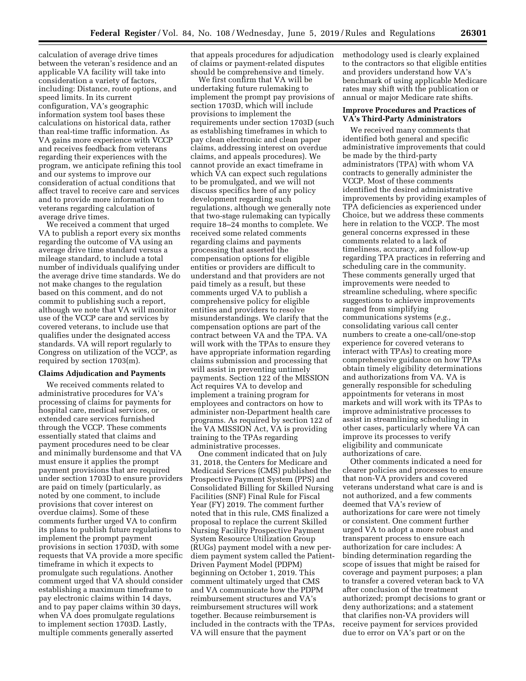calculation of average drive times between the veteran's residence and an applicable VA facility will take into consideration a variety of factors, including: Distance, route options, and speed limits. In its current configuration, VA's geographic information system tool bases these calculations on historical data, rather than real-time traffic information. As VA gains more experience with VCCP and receives feedback from veterans regarding their experiences with the program, we anticipate refining this tool and our systems to improve our consideration of actual conditions that affect travel to receive care and services and to provide more information to veterans regarding calculation of average drive times.

We received a comment that urged VA to publish a report every six months regarding the outcome of VA using an average drive time standard versus a mileage standard, to include a total number of individuals qualifying under the average drive time standards. We do not make changes to the regulation based on this comment, and do not commit to publishing such a report, although we note that VA will monitor use of the VCCP care and services by covered veterans, to include use that qualifies under the designated access standards. VA will report regularly to Congress on utilization of the VCCP, as required by section 1703(m).

#### **Claims Adjudication and Payments**

We received comments related to administrative procedures for VA's processing of claims for payments for hospital care, medical services, or extended care services furnished through the VCCP. These comments essentially stated that claims and payment procedures need to be clear and minimally burdensome and that VA must ensure it applies the prompt payment provisions that are required under section 1703D to ensure providers are paid on timely (particularly, as noted by one comment, to include provisions that cover interest on overdue claims). Some of these comments further urged VA to confirm its plans to publish future regulations to implement the prompt payment provisions in section 1703D, with some requests that VA provide a more specific timeframe in which it expects to promulgate such regulations. Another comment urged that VA should consider establishing a maximum timeframe to pay electronic claims within 14 days, and to pay paper claims within 30 days, when VA does promulgate regulations to implement section 1703D. Lastly, multiple comments generally asserted

that appeals procedures for adjudication of claims or payment-related disputes should be comprehensive and timely.

We first confirm that VA will be undertaking future rulemaking to implement the prompt pay provisions of section 1703D, which will include provisions to implement the requirements under section 1703D (such as establishing timeframes in which to pay clean electronic and clean paper claims, addressing interest on overdue claims, and appeals procedures). We cannot provide an exact timeframe in which VA can expect such regulations to be promulgated, and we will not discuss specifics here of any policy development regarding such regulations, although we generally note that two-stage rulemaking can typically require 18–24 months to complete. We received some related comments regarding claims and payments processing that asserted the compensation options for eligible entities or providers are difficult to understand and that providers are not paid timely as a result, but these comments urged VA to publish a comprehensive policy for eligible entities and providers to resolve misunderstandings. We clarify that the compensation options are part of the contract between VA and the TPA. VA will work with the TPAs to ensure they have appropriate information regarding claims submission and processing that will assist in preventing untimely payments. Section 122 of the MISSION Act requires VA to develop and implement a training program for employees and contractors on how to administer non-Department health care programs. As required by section 122 of the VA MISSION Act, VA is providing training to the TPAs regarding administrative processes.

One comment indicated that on July 31, 2018, the Centers for Medicare and Medicaid Services (CMS) published the Prospective Payment System (PPS) and Consolidated Billing for Skilled Nursing Facilities (SNF) Final Rule for Fiscal Year (FY) 2019. The comment further noted that in this rule, CMS finalized a proposal to replace the current Skilled Nursing Facility Prospective Payment System Resource Utilization Group (RUGs) payment model with a new perdiem payment system called the Patient-Driven Payment Model (PDPM) beginning on October 1, 2019. This comment ultimately urged that CMS and VA communicate how the PDPM reimbursement structures and VA's reimbursement structures will work together. Because reimbursement is included in the contracts with the TPAs, VA will ensure that the payment

methodology used is clearly explained to the contractors so that eligible entities and providers understand how VA's benchmark of using applicable Medicare rates may shift with the publication or annual or major Medicare rate shifts.

#### **Improve Procedures and Practices of VA's Third-Party Administrators**

We received many comments that identified both general and specific administrative improvements that could be made by the third-party administrators (TPA) with whom VA contracts to generally administer the VCCP. Most of these comments identified the desired administrative improvements by providing examples of TPA deficiencies as experienced under Choice, but we address these comments here in relation to the VCCP. The most general concerns expressed in these comments related to a lack of timeliness, accuracy, and follow-up regarding TPA practices in referring and scheduling care in the community. These comments generally urged that improvements were needed to streamline scheduling, where specific suggestions to achieve improvements ranged from simplifying communications systems (*e.g.,*  consolidating various call center numbers to create a one-call/one-stop experience for covered veterans to interact with TPAs) to creating more comprehensive guidance on how TPAs obtain timely eligibility determinations and authorizations from VA. VA is generally responsible for scheduling appointments for veterans in most markets and will work with its TPAs to improve administrative processes to assist in streamlining scheduling in other cases, particularly where VA can improve its processes to verify eligibility and communicate authorizations of care.

Other comments indicated a need for clearer policies and processes to ensure that non-VA providers and covered veterans understand what care is and is not authorized, and a few comments deemed that VA's review of authorizations for care were not timely or consistent. One comment further urged VA to adopt a more robust and transparent process to ensure each authorization for care includes: A binding determination regarding the scope of issues that might be raised for coverage and payment purposes; a plan to transfer a covered veteran back to VA after conclusion of the treatment authorized; prompt decisions to grant or deny authorizations; and a statement that clarifies non-VA providers will receive payment for services provided due to error on VA's part or on the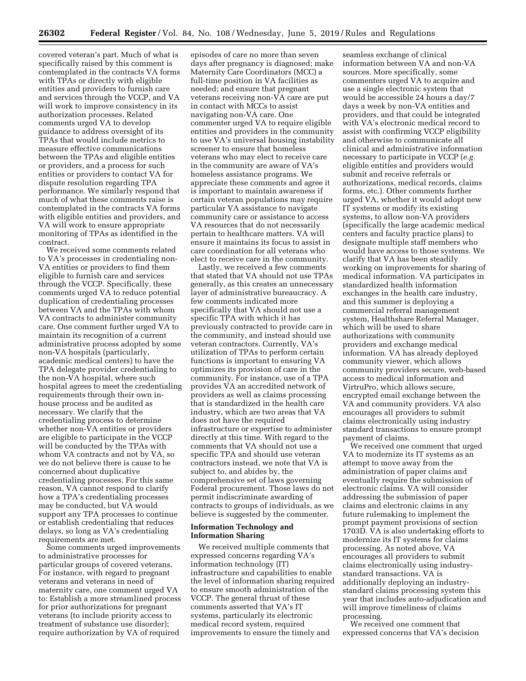covered veteran's part. Much of what is specifically raised by this comment is contemplated in the contracts VA forms with TPAs or directly with eligible entities and providers to furnish care and services through the VCCP, and VA will work to improve consistency in its authorization processes. Related comments urged VA to develop guidance to address oversight of its TPAs that would include metrics to measure effective communications between the TPAs and eligible entities or providers, and a process for such entities or providers to contact VA for dispute resolution regarding TPA performance. We similarly respond that much of what these comments raise is contemplated in the contracts VA forms with eligible entities and providers, and VA will work to ensure appropriate monitoring of TPAs as identified in the contract.

We received some comments related to VA's processes in credentialing non-VA entities or providers to find them eligible to furnish care and services through the VCCP. Specifically, these comments urged VA to reduce potential duplication of credentialing processes between VA and the TPAs with whom VA contracts to administer community care. One comment further urged VA to maintain its recognition of a current administrative process adopted by some non-VA hospitals (particularly, academic medical centers) to have the TPA delegate provider credentialing to the non-VA hospital, where such hospital agrees to meet the credentialing requirements through their own inhouse process and be audited as necessary. We clarify that the credentialing process to determine whether non-VA entities or providers are eligible to participate in the VCCP will be conducted by the TPAs with whom VA contracts and not by VA, so we do not believe there is cause to be concerned about duplicative credentialing processes. For this same reason, VA cannot respond to clarify how a TPA's credentialing processes may be conducted, but VA would support any TPA processes to continue or establish credentialing that reduces delays, so long as VA's credentialing requirements are met.

Some comments urged improvements to administrative processes for particular groups of covered veterans. For instance, with regard to pregnant veterans and veterans in need of maternity care, one comment urged VA to: Establish a more streamlined process for prior authorizations for pregnant veterans (to include priority access to treatment of substance use disorder); require authorization by VA of required

episodes of care no more than seven days after pregnancy is diagnosed; make Maternity Care Coordinators (MCC) a full-time position in VA facilities as needed; and ensure that pregnant veterans receiving non-VA care are put in contact with MCCs to assist navigating non-VA care. One commenter urged VA to require eligible entities and providers in the community to use VA's universal housing instability screener to ensure that homeless veterans who may elect to receive care in the community are aware of VA's homeless assistance programs. We appreciate these comments and agree it is important to maintain awareness if certain veteran populations may require particular VA assistance to navigate community care or assistance to access VA resources that do not necessarily pertain to healthcare matters. VA will ensure it maintains its focus to assist in care coordination for all veterans who elect to receive care in the community.

Lastly, we received a few comments that stated that VA should not use TPAs generally, as this creates an unnecessary layer of administrative bureaucracy. A few comments indicated more specifically that VA should not use a specific TPA with which it has previously contracted to provide care in the community, and instead should use veteran contractors. Currently, VA's utilization of TPAs to perform certain functions is important to ensuring VA optimizes its provision of care in the community. For instance, use of a TPA provides VA an accredited network of providers as well as claims processing that is standardized in the health care industry, which are two areas that VA does not have the required infrastructure or expertise to administer directly at this time. With regard to the comments that VA should not use a specific TPA and should use veteran contractors instead, we note that VA is subject to, and abides by, the comprehensive set of laws governing Federal procurement. Those laws do not permit indiscriminate awarding of contracts to groups of individuals, as we believe is suggested by the commenter.

## **Information Technology and Information Sharing**

We received multiple comments that expressed concerns regarding VA's information technology (IT) infrastructure and capabilities to enable the level of information sharing required to ensure smooth administration of the VCCP. The general thrust of these comments asserted that VA's IT systems, particularly its electronic medical record system, required improvements to ensure the timely and

seamless exchange of clinical information between VA and non-VA sources. More specifically, some commenters urged VA to acquire and use a single electronic system that would be accessible 24 hours a day/7 days a week by non-VA entities and providers, and that could be integrated with VA's electronic medical record to assist with confirming VCCP eligibility and otherwise to communicate all clinical and administrative information necessary to participate in VCCP (*e.g.*  eligible entities and providers would submit and receive referrals or authorizations, medical records, claims forms, etc.). Other comments further urged VA, whether it would adopt new IT systems or modify its existing systems, to allow non-VA providers (specifically the large academic medical centers and faculty practice plans) to designate multiple staff members who would have access to those systems. We clarify that VA has been steadily working on improvements for sharing of medical information. VA participates in standardized health information exchanges in the health care industry, and this summer is deploying a commercial referral management system, Healthshare Referral Manager, which will be used to share authorizations with community providers and exchange medical information. VA has already deployed community viewer, which allows community providers secure, web-based access to medical information and VirtruPro, which allows secure, encrypted email exchange between the VA and community providers. VA also encourages all providers to submit claims electronically using industry standard transactions to ensure prompt payment of claims.

We received one comment that urged VA to modernize its IT systems as an attempt to move away from the administration of paper claims and eventually require the submission of electronic claims. VA will consider addressing the submission of paper claims and electronic claims in any future rulemaking to implement the prompt payment provisions of section 1703D. VA is also undertaking efforts to modernize its IT systems for claims processing. As noted above, VA encourages all providers to submit claims electronically using industrystandard transactions. VA is additionally deploying an industrystandard claims processing system this year that includes auto-adjudication and will improve timeliness of claims processing.

We received one comment that expressed concerns that VA's decision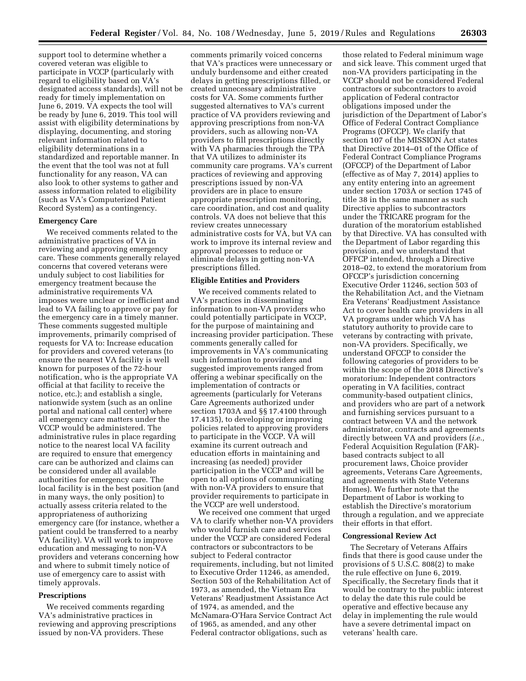support tool to determine whether a covered veteran was eligible to participate in VCCP (particularly with regard to eligibility based on VA's designated access standards), will not be ready for timely implementation on June 6, 2019. VA expects the tool will be ready by June 6, 2019. This tool will assist with eligibility determinations by displaying, documenting, and storing relevant information related to eligibility determinations in a standardized and reportable manner. In the event that the tool was not at full functionality for any reason, VA can also look to other systems to gather and assess information related to eligibility (such as VA's Computerized Patient Record System) as a contingency.

#### **Emergency Care**

We received comments related to the administrative practices of VA in reviewing and approving emergency care. These comments generally relayed concerns that covered veterans were unduly subject to cost liabilities for emergency treatment because the administrative requirements VA imposes were unclear or inefficient and lead to VA failing to approve or pay for the emergency care in a timely manner. These comments suggested multiple improvements, primarily comprised of requests for VA to: Increase education for providers and covered veterans (to ensure the nearest VA facility is well known for purposes of the 72-hour notification, who is the appropriate VA official at that facility to receive the notice, etc.); and establish a single, nationwide system (such as an online portal and national call center) where all emergency care matters under the VCCP would be administered. The administrative rules in place regarding notice to the nearest local VA facility are required to ensure that emergency care can be authorized and claims can be considered under all available authorities for emergency care. The local facility is in the best position (and in many ways, the only position) to actually assess criteria related to the appropriateness of authorizing emergency care (for instance, whether a patient could be transferred to a nearby VA facility). VA will work to improve education and messaging to non-VA providers and veterans concerning how and where to submit timely notice of use of emergency care to assist with timely approvals.

#### **Prescriptions**

We received comments regarding VA's administrative practices in reviewing and approving prescriptions issued by non-VA providers. These

comments primarily voiced concerns that VA's practices were unnecessary or unduly burdensome and either created delays in getting prescriptions filled, or created unnecessary administrative costs for VA. Some comments further suggested alternatives to VA's current practice of VA providers reviewing and approving prescriptions from non-VA providers, such as allowing non-VA providers to fill prescriptions directly with VA pharmacies through the TPA that VA utilizes to administer its community care programs. VA's current practices of reviewing and approving prescriptions issued by non-VA providers are in place to ensure appropriate prescription monitoring, care coordination, and cost and quality controls. VA does not believe that this review creates unnecessary administrative costs for VA, but VA can work to improve its internal review and approval processes to reduce or eliminate delays in getting non-VA prescriptions filled.

#### **Eligible Entities and Providers**

We received comments related to VA's practices in disseminating information to non-VA providers who could potentially participate in VCCP, for the purpose of maintaining and increasing provider participation. These comments generally called for improvements in VA's communicating such information to providers and suggested improvements ranged from offering a webinar specifically on the implementation of contracts or agreements (particularly for Veterans Care Agreements authorized under section 1703A and §§ 17.4100 through 17.4135), to developing or improving policies related to approving providers to participate in the VCCP. VA will examine its current outreach and education efforts in maintaining and increasing (as needed) provider participation in the VCCP and will be open to all options of communicating with non-VA providers to ensure that provider requirements to participate in the VCCP are well understood.

We received one comment that urged VA to clarify whether non-VA providers who would furnish care and services under the VCCP are considered Federal contractors or subcontractors to be subject to Federal contractor requirements, including, but not limited to Executive Order 11246, as amended, Section 503 of the Rehabilitation Act of 1973, as amended, the Vietnam Era Veterans' Readjustment Assistance Act of 1974, as amended, and the McNamara-O'Hara Service Contract Act of 1965, as amended, and any other Federal contractor obligations, such as

those related to Federal minimum wage and sick leave. This comment urged that non-VA providers participating in the VCCP should not be considered Federal contractors or subcontractors to avoid application of Federal contractor obligations imposed under the jurisdiction of the Department of Labor's Office of Federal Contract Compliance Programs (OFCCP). We clarify that section 107 of the MISSION Act states that Directive 2014–01 of the Office of Federal Contract Compliance Programs (OFCCP) of the Department of Labor (effective as of May 7, 2014) applies to any entity entering into an agreement under section 1703A or section 1745 of title 38 in the same manner as such Directive applies to subcontractors under the TRICARE program for the duration of the moratorium established by that Directive. VA has consulted with the Department of Labor regarding this provision, and we understand that OFFCP intended, through a Directive 2018–02, to extend the moratorium from OFCCP's jurisdiction concerning Executive Order 11246, section 503 of the Rehabilitation Act, and the Vietnam Era Veterans' Readjustment Assistance Act to cover health care providers in all VA programs under which VA has statutory authority to provide care to veterans by contracting with private, non-VA providers. Specifically, we understand OFCCP to consider the following categories of providers to be within the scope of the 2018 Directive's moratorium: Independent contractors operating in VA facilities, contract community-based outpatient clinics, and providers who are part of a network and furnishing services pursuant to a contract between VA and the network administrator, contracts and agreements directly between VA and providers (*i.e.,*  Federal Acquisition Regulation (FAR) based contracts subject to all procurement laws, Choice provider agreements, Veterans Care Agreements, and agreements with State Veterans Homes). We further note that the Department of Labor is working to establish the Directive's moratorium through a regulation, and we appreciate their efforts in that effort.

### **Congressional Review Act**

The Secretary of Veterans Affairs finds that there is good cause under the provisions of 5 U.S.C. 808(2) to make the rule effective on June 6, 2019. Specifically, the Secretary finds that it would be contrary to the public interest to delay the date this rule could be operative and effective because any delay in implementing the rule would have a severe detrimental impact on veterans' health care.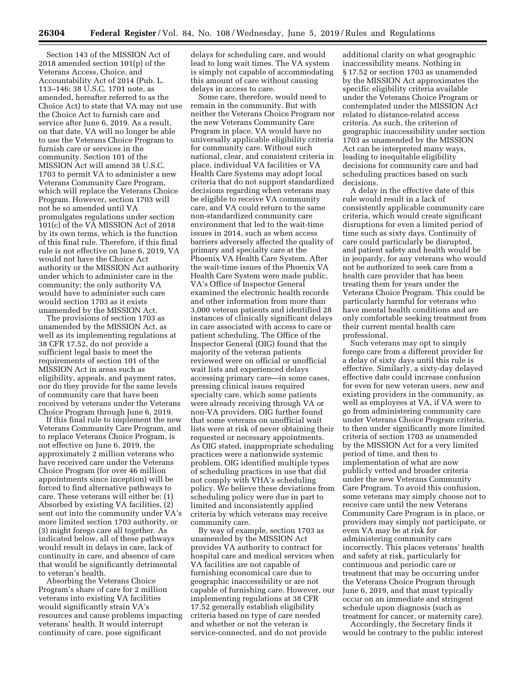Section 143 of the MISSION Act of 2018 amended section 101(p) of the Veterans Access, Choice, and Accountability Act of 2014 (Pub. L. 113–146; 38 U.S.C. 1701 note, as amended, hereafter referred to as the Choice Act) to state that VA may not use the Choice Act to furnish care and service after June 6, 2019. As a result, on that date, VA will no longer be able to use the Veterans Choice Program to furnish care or services in the community. Section 101 of the MISSION Act will amend 38 U.S.C. 1703 to permit VA to administer a new Veterans Community Care Program, which will replace the Veterans Choice Program. However, section 1703 will not be so amended until VA promulgates regulations under section 101(c) of the VA MISSION Act of 2018 by its own terms, which is the function of this final rule. Therefore, if this final rule is not effective on June 6, 2019, VA would not have the Choice Act authority or the MISSION Act authority under which to administer care in the community; the only authority VA would have to administer such care would section 1703 as it exists unamended by the MISSION Act.

The provisions of section 1703 as unamended by the MISSION Act, as well as its implementing regulations at 38 CFR 17.52, do not provide a sufficient legal basis to meet the requirements of section 101 of the MISSION Act in areas such as eligibility, appeals, and payment rates, nor do they provide for the same levels of community care that have been received by veterans under the Veterans Choice Program through June 6, 2019.

If this final rule to implement the new Veterans Community Care Program, and to replace Veterans Choice Program, is not effective on June 6, 2019, the approximately 2 million veterans who have received care under the Veterans Choice Program (for over 46 million appointments since inception) will be forced to find alternative pathways to care. These veterans will either be: (1) Absorbed by existing VA facilities, (2) sent out into the community under VA's more limited section 1703 authority, or (3) might forego care all together. As indicated below, all of these pathways would result in delays in care, lack of continuity in care, and absence of care that would be significantly detrimental to veteran's health.

Absorbing the Veterans Choice Program's share of care for 2 million veterans into existing VA facilities would significantly strain VA's resources and cause problems impacting veterans' health. It would interrupt continuity of care, pose significant

delays for scheduling care, and would lead to long wait times. The VA system is simply not capable of accommodating this amount of care without causing delays in access to care.

Some care, therefore, would need to remain in the community. But with neither the Veterans Choice Program nor the new Veterans Community Care Program in place, VA would have no universally applicable eligibility criteria for community care. Without such national, clear, and consistent criteria in place, individual VA facilities or VA Health Care Systems may adopt local criteria that do not support standardized decisions regarding when veterans may be eligible to receive VA community care, and VA could return to the same non-standardized community care environment that led to the wait-time issues in 2014, such as when access barriers adversely affected the quality of primary and specialty care at the Phoenix VA Health Care System. After the wait-time issues of the Phoenix VA Health Care System were made public, VA's Office of Inspector General examined the electronic health records and other information from more than 3,000 veteran patients and identified 28 instances of clinically significant delays in care associated with access to care or patient scheduling. The Office of the Inspector General (OIG) found that the majority of the veteran patients reviewed were on official or unofficial wait lists and experienced delays accessing primary care—in some cases, pressing clinical issues required specialty care, which some patients were already receiving through VA or non-VA providers. OIG further found that some veterans on unofficial wait lists were at risk of never obtaining their requested or necessary appointments. As OIG stated, inappropriate scheduling practices were a nationwide systemic problem. OIG identified multiple types of scheduling practices in use that did not comply with VHA's scheduling policy. We believe these deviations from scheduling policy were due in part to limited and inconsistently applied criteria by which veterans may receive community care.

By way of example, section 1703 as unamended by the MISSION Act provides VA authority to contract for hospital care and medical services when VA facilities are not capable of furnishing economical care due to geographic inaccessibility or are not capable of furnishing care. However, our implementing regulations at 38 CFR 17.52 generally establish eligibility criteria based on type of care needed and whether or not the veteran is service-connected, and do not provide

additional clarity on what geographic inaccessibility means. Nothing in § 17.52 or section 1703 as unamended by the MISSION Act approximates the specific eligibility criteria available under the Veterans Choice Program or contemplated under the MISSION Act related to distance-related access criteria. As such, the criterion of geographic inaccessibility under section 1703 as unamended by the MISSION Act can be interpreted many ways, leading to inequitable eligibility decisions for community care and bad scheduling practices based on such decisions.

A delay in the effective date of this rule would result in a lack of consistently applicable community care criteria, which would create significant disruptions for even a limited period of time such as sixty days. Continuity of care could particularly be disrupted, and patient safety and health would be in jeopardy, for any veterans who would not be authorized to seek care from a health care provider that has been treating them for years under the Veterans Choice Program. This could be particularly harmful for veterans who have mental health conditions and are only comfortable seeking treatment from their current mental health care professional.

Such veterans may opt to simply forego care from a different provider for a delay of sixty days until this rule is effective. Similarly, a sixty-day delayed effective date could increase confusion for even for new veteran users, new and existing providers in the community, as well as employees at VA, if VA were to go from administering community care under Veterans Choice Program criteria, to then under significantly more limited criteria of section 1703 as unamended by the MISSION Act for a very limited period of time, and then to implementation of what are now publicly vetted and broader criteria under the new Veterans Community Care Program. To avoid this confusion, some veterans may simply choose not to receive care until the new Veterans Community Care Program is in place, or providers may simply not participate, or even VA may be at risk for administering community care incorrectly. This places veterans' health and safety at risk, particularly for continuous and periodic care or treatment that may be occurring under the Veterans Choice Program through June 6, 2019, and that must typically occur on an immediate and stringent schedule upon diagnosis (such as treatment for cancer, or maternity care).

Accordingly, the Secretary finds it would be contrary to the public interest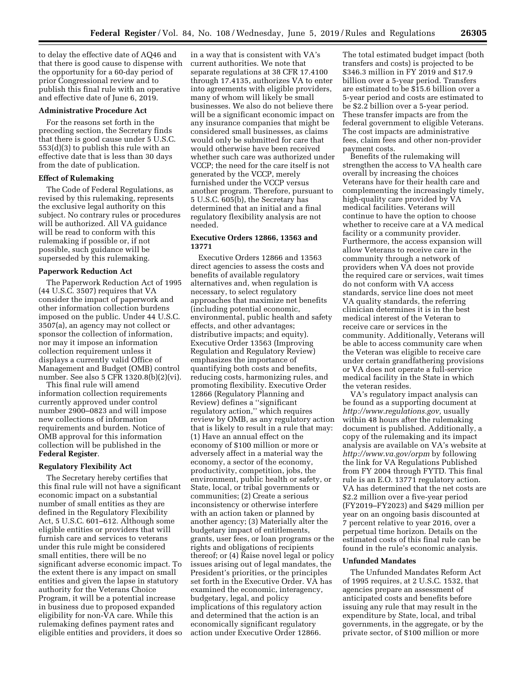to delay the effective date of AQ46 and that there is good cause to dispense with the opportunity for a 60-day period of prior Congressional review and to publish this final rule with an operative and effective date of June 6, 2019.

### **Administrative Procedure Act**

For the reasons set forth in the preceding section, the Secretary finds that there is good cause under 5 U.S.C. 553(d)(3) to publish this rule with an effective date that is less than 30 days from the date of publication.

#### **Effect of Rulemaking**

The Code of Federal Regulations, as revised by this rulemaking, represents the exclusive legal authority on this subject. No contrary rules or procedures will be authorized. All VA guidance will be read to conform with this rulemaking if possible or, if not possible, such guidance will be superseded by this rulemaking.

#### **Paperwork Reduction Act**

The Paperwork Reduction Act of 1995 (44 U.S.C. 3507) requires that VA consider the impact of paperwork and other information collection burdens imposed on the public. Under 44 U.S.C. 3507(a), an agency may not collect or sponsor the collection of information, nor may it impose an information collection requirement unless it displays a currently valid Office of Management and Budget (OMB) control number. See also 5 CFR 1320.8(b)(2)(vi).

This final rule will amend information collection requirements currently approved under control number 2900–0823 and will impose new collections of information requirements and burden. Notice of OMB approval for this information collection will be published in the **Federal Register**.

#### **Regulatory Flexibility Act**

The Secretary hereby certifies that this final rule will not have a significant economic impact on a substantial number of small entities as they are defined in the Regulatory Flexibility Act, 5 U.S.C. 601–612. Although some eligible entities or providers that will furnish care and services to veterans under this rule might be considered small entities, there will be no significant adverse economic impact. To the extent there is any impact on small entities and given the lapse in statutory authority for the Veterans Choice Program, it will be a potential increase in business due to proposed expanded eligibility for non-VA care. While this rulemaking defines payment rates and eligible entities and providers, it does so

in a way that is consistent with VA's current authorities. We note that separate regulations at 38 CFR 17.4100 through 17.4135, authorizes VA to enter into agreements with eligible providers, many of whom will likely be small businesses. We also do not believe there will be a significant economic impact on any insurance companies that might be considered small businesses, as claims would only be submitted for care that would otherwise have been received whether such care was authorized under VCCP; the need for the care itself is not generated by the VCCP, merely furnished under the VCCP versus another program. Therefore, pursuant to 5 U.S.C. 605(b), the Secretary has determined that an initial and a final regulatory flexibility analysis are not needed.

### **Executive Orders 12866, 13563 and 13771**

Executive Orders 12866 and 13563 direct agencies to assess the costs and benefits of available regulatory alternatives and, when regulation is necessary, to select regulatory approaches that maximize net benefits (including potential economic, environmental, public health and safety effects, and other advantages; distributive impacts; and equity). Executive Order 13563 (Improving Regulation and Regulatory Review) emphasizes the importance of quantifying both costs and benefits, reducing costs, harmonizing rules, and promoting flexibility. Executive Order 12866 (Regulatory Planning and Review) defines a ''significant regulatory action,'' which requires review by OMB, as any regulatory action that is likely to result in a rule that may: (1) Have an annual effect on the economy of \$100 million or more or adversely affect in a material way the economy, a sector of the economy, productivity, competition, jobs, the environment, public health or safety, or State, local, or tribal governments or communities; (2) Create a serious inconsistency or otherwise interfere with an action taken or planned by another agency; (3) Materially alter the budgetary impact of entitlements, grants, user fees, or loan programs or the rights and obligations of recipients thereof; or (4) Raise novel legal or policy issues arising out of legal mandates, the President's priorities, or the principles set forth in the Executive Order. VA has examined the economic, interagency, budgetary, legal, and policy implications of this regulatory action and determined that the action is an economically significant regulatory action under Executive Order 12866.

The total estimated budget impact (both transfers and costs) is projected to be \$346.3 million in FY 2019 and \$17.9 billion over a 5-year period. Transfers are estimated to be \$15.6 billion over a 5-year period and costs are estimated to be \$2.2 billion over a 5-year period. These transfer impacts are from the federal government to eligible Veterans. The cost impacts are administrative fees, claim fees and other non-provider payment costs.

Benefits of the rulemaking will strengthen the access to VA health care overall by increasing the choices Veterans have for their health care and complementing the increasingly timely, high-quality care provided by VA medical facilities. Veterans will continue to have the option to choose whether to receive care at a VA medical facility or a community provider. Furthermore, the access expansion will allow Veterans to receive care in the community through a network of providers when VA does not provide the required care or services, wait times do not conform with VA access standards, service line does not meet VA quality standards, the referring clinician determines it is in the best medical interest of the Veteran to receive care or services in the community. Additionally, Veterans will be able to access community care when the Veteran was eligible to receive care under certain grandfathering provisions or VA does not operate a full-service medical facility in the State in which the veteran resides.

VA's regulatory impact analysis can be found as a supporting document at *[http://www.regulations.gov,](http://www.regulations.gov)* usually within 48 hours after the rulemaking document is published. Additionally, a copy of the rulemaking and its impact analysis are available on VA's website at *<http://www.va.gov/orpm>* by following the link for VA Regulations Published from FY 2004 through FYTD. This final rule is an E.O. 13771 regulatory action. VA has determined that the net costs are \$2.2 million over a five-year period (FY2019–FY2023) and \$429 million per year on an ongoing basis discounted at 7 percent relative to year 2016, over a perpetual time horizon. Details on the estimated costs of this final rule can be found in the rule's economic analysis.

#### **Unfunded Mandates**

The Unfunded Mandates Reform Act of 1995 requires, at 2 U.S.C. 1532, that agencies prepare an assessment of anticipated costs and benefits before issuing any rule that may result in the expenditure by State, local, and tribal governments, in the aggregate, or by the private sector, of \$100 million or more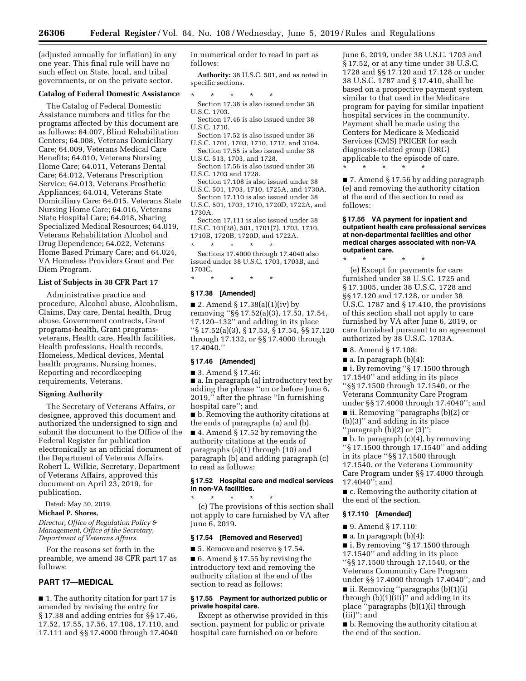(adjusted annually for inflation) in any one year. This final rule will have no such effect on State, local, and tribal governments, or on the private sector.

### **Catalog of Federal Domestic Assistance**

The Catalog of Federal Domestic Assistance numbers and titles for the programs affected by this document are as follows: 64.007, Blind Rehabilitation Centers; 64.008, Veterans Domiciliary Care; 64.009, Veterans Medical Care Benefits; 64.010, Veterans Nursing Home Care; 64.011, Veterans Dental Care; 64.012, Veterans Prescription Service; 64.013, Veterans Prosthetic Appliances; 64.014, Veterans State Domiciliary Care; 64.015, Veterans State Nursing Home Care; 64.016, Veterans State Hospital Care; 64.018, Sharing Specialized Medical Resources; 64.019, Veterans Rehabilitation Alcohol and Drug Dependence; 64.022, Veterans Home Based Primary Care; and 64.024, VA Homeless Providers Grant and Per Diem Program.

# **List of Subjects in 38 CFR Part 17**

Administrative practice and procedure, Alcohol abuse, Alcoholism, Claims, Day care, Dental health, Drug abuse, Government contracts, Grant programs-health, Grant programsveterans, Health care, Health facilities, Health professions, Health records, Homeless, Medical devices, Mental health programs, Nursing homes, Reporting and recordkeeping requirements, Veterans.

#### **Signing Authority**

The Secretary of Veterans Affairs, or designee, approved this document and authorized the undersigned to sign and submit the document to the Office of the Federal Register for publication electronically as an official document of the Department of Veterans Affairs. Robert L. Wilkie, Secretary, Department of Veterans Affairs, approved this document on April 23, 2019, for publication.

Dated: May 30, 2019.

### **Michael P. Shores,**

*Director, Office of Regulation Policy & Management, Office of the Secretary, Department of Veterans Affairs.* 

For the reasons set forth in the preamble, we amend 38 CFR part 17 as follows:

# **PART 17—MEDICAL**

■ 1. The authority citation for part 17 is amended by revising the entry for § 17.38 and adding entries for §§ 17.46, 17.52, 17.55, 17.56, 17.108, 17.110, and 17.111 and §§ 17.4000 through 17.4040

in numerical order to read in part as follows:

**Authority:** 38 U.S.C. 501, and as noted in specific sections.

- \* \* \* \* \* Section 17.38 is also issued under 38 U.S.C. 1703.
- Section 17.46 is also issued under 38 U.S.C. 1710.
- Section 17.52 is also issued under 38 U.S.C. 1701, 1703, 1710, 1712, and 3104. Section 17.55 is also issued under 38
- U.S.C. 513, 1703, and 1728.
- Section 17.56 is also issued under 38 U.S.C. 1703 and 1728.

Section 17.108 is also issued under 38 U.S.C. 501, 1703, 1710, 1725A, and 1730A.

Section 17.110 is also issued under 38 U.S.C. 501, 1703, 1710, 1720D, 1722A, and 1730A.

Section 17.111 is also issued under 38 U.S.C. 101(28), 501, 1701(7), 1703, 1710, 1710B, 1720B, 1720D, and 1722A.

\* \* \* \* \* Sections 17.4000 through 17.4040 also issued under 38 U.S.C. 1703, 1703B, and 1703C.

\* \* \* \* \*

# **§ 17.38 [Amended]**

■ 2. Amend § 17.38(a)(1)(iv) by removing ''§§ 17.52(a)(3), 17.53, 17.54, 17.120–132'' and adding in its place ''§ 17.52(a)(3), § 17.53, § 17.54, §§ 17.120 through 17.132, or §§ 17.4000 through 17.4040.''

# **§ 17.46 [Amended]**

■ 3. Amend § 17.46:

■ a. In paragraph (a) introductory text by adding the phrase ''on or before June 6, 2019,'' after the phrase ''In furnishing hospital care''; and

■ **b.** Removing the authority citations at the ends of paragraphs (a) and (b).

■ 4. Amend § 17.52 by removing the authority citations at the ends of paragraphs (a)(1) through (10) and paragraph (b) and adding paragraph (c) to read as follows:

# **§ 17.52 Hospital care and medical services in non-VA facilities.**

\* \* \* \* \* (c) The provisions of this section shall not apply to care furnished by VA after June 6, 2019.

# **§ 17.54 [Removed and Reserved]**

■ 5. Remove and reserve § 17.54.  $\blacksquare$  6. Amend § 17.55 by revising the introductory text and removing the authority citation at the end of the section to read as follows:

#### **§ 17.55 Payment for authorized public or private hospital care.**

Except as otherwise provided in this section, payment for public or private hospital care furnished on or before

June 6, 2019, under 38 U.S.C. 1703 and § 17.52, or at any time under 38 U.S.C. 1728 and §§ 17.120 and 17.128 or under 38 U.S.C. 1787 and § 17.410, shall be based on a prospective payment system similar to that used in the Medicare program for paying for similar inpatient hospital services in the community. Payment shall be made using the Centers for Medicare & Medicaid Services (CMS) PRICER for each diagnosis-related group (DRG) applicable to the episode of care.

\* \* \* \* \*

■ 7. Amend § 17.56 by adding paragraph (e) and removing the authority citation at the end of the section to read as follows:

#### **§ 17.56 VA payment for inpatient and outpatient health care professional services at non-departmental facilities and other medical charges associated with non-VA outpatient care.**

(e) Except for payments for care furnished under 38 U.S.C. 1725 and § 17.1005, under 38 U.S.C. 1728 and §§ 17.120 and 17.128, or under 38 U.S.C. 1787 and § 17.410, the provisions of this section shall not apply to care furnished by VA after June 6, 2019, or care furnished pursuant to an agreement authorized by 38 U.S.C. 1703A.

■ 8. Amend § 17.108:

■ a. In paragraph (b)(4):

\* \* \* \* \*

■ i. By removing "§ 17.1500 through 17.1540'' and adding in its place ''§§ 17.1500 through 17.1540, or the Veterans Community Care Program under §§ 17.4000 through 17.4040''; and

■ ii. Removing ''paragraphs (b)(2) or (b)(3)'' and adding in its place ''paragraph (b)(2) or (3)'';

 $\blacksquare$  b. In paragraph (c)(4), by removing ''§ 17.1500 through 17.1540'' and adding in its place ''§§ 17.1500 through 17.1540, or the Veterans Community Care Program under §§ 17.4000 through 17.4040''; and

■ c. Removing the authority citation at the end of the section.

# **§ 17.110 [Amended]**

■ 9. Amend § 17.110:

 $\blacksquare$  a. In paragraph (b)(4):

■ i. By removing "§ 17.1500 through 17.1540'' and adding in its place ''§§ 17.1500 through 17.1540, or the Veterans Community Care Program under §§ 17.4000 through 17.4040''; and ■ ii. Removing "paragraphs (b)(1)(i) through  $(b)(1)(iii)'$  and adding in its place ''paragraphs (b)(1)(i) through (iii)''; and

■ b. Removing the authority citation at the end of the section.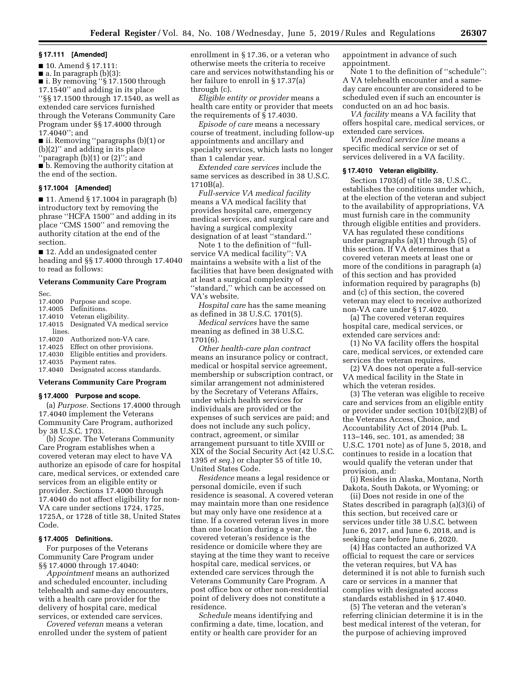#### **§ 17.111 [Amended]**

■ 10. Amend § 17.111:

 $\blacksquare$  a. In paragraph (b)(3):

■ i. By removing "§ 17.1500 through

17.1540'' and adding in its place

''§§ 17.1500 through 17.1540, as well as extended care services furnished through the Veterans Community Care Program under §§ 17.4000 through 17.4040''; and

■ ii. Removing ''paragraphs (b)(1) or (b)(2)'' and adding in its place "paragraph  $(b)(1)$  or  $(2)$ "; and

■ b. Removing the authority citation at the end of the section.

# **§ 17.1004 [Amended]**

 $\blacksquare$  11. Amend § 17.1004 in paragraph (b) introductory text by removing the phrase ''HCFA 1500'' and adding in its place ''CMS 1500'' and removing the authority citation at the end of the section.

■ 12. Add an undesignated center heading and §§ 17.4000 through 17.4040 to read as follows:

# **Veterans Community Care Program**

Sec.

- 17.4000 Purpose and scope.
- 17.4005 Definitions.
- 17.4010 Veteran eligibility.<br>17.4015 Designated VA mee
- Designated VA medical service lines.
- 17.4020 Authorized non-VA care.
- 17.4025 Effect on other provisions.<br>17.4030 Eligible entities and provio
- 17.4030 Eligible entities and providers.<br>17.4035 Payment rates. Payment rates.
- 
- 17.4040 Designated access standards.

# **Veterans Community Care Program**

#### **§ 17.4000 Purpose and scope.**

(a) *Purpose.* Sections 17.4000 through 17.4040 implement the Veterans Community Care Program, authorized by 38 U.S.C. 1703.

(b) *Scope.* The Veterans Community Care Program establishes when a covered veteran may elect to have VA authorize an episode of care for hospital care, medical services, or extended care services from an eligible entity or provider. Sections 17.4000 through 17.4040 do not affect eligibility for non-VA care under sections 1724, 1725, 1725A, or 1728 of title 38, United States Code.

# **§ 17.4005 Definitions.**

For purposes of the Veterans Community Care Program under §§ 17.4000 through 17.4040:

*Appointment* means an authorized and scheduled encounter, including telehealth and same-day encounters, with a health care provider for the delivery of hospital care, medical services, or extended care services.

*Covered veteran* means a veteran enrolled under the system of patient enrollment in § 17.36, or a veteran who otherwise meets the criteria to receive care and services notwithstanding his or her failure to enroll in § 17.37(a) through (c).

*Eligible entity or provider* means a health care entity or provider that meets the requirements of § 17.4030.

*Episode of care* means a necessary course of treatment, including follow-up appointments and ancillary and specialty services, which lasts no longer than 1 calendar year.

*Extended care services* include the same services as described in 38 U.S.C. 1710B(a).

*Full-service VA medical facility*  means a VA medical facility that provides hospital care, emergency medical services, and surgical care and having a surgical complexity designation of at least ''standard.''

Note 1 to the definition of ''fullservice VA medical facility'': VA maintains a website with a list of the facilities that have been designated with at least a surgical complexity of ''standard,'' which can be accessed on VA's website.

*Hospital care* has the same meaning as defined in 38 U.S.C. 1701(5).

*Medical services* have the same meaning as defined in 38 U.S.C. 1701(6).

*Other health-care plan contract*  means an insurance policy or contract, medical or hospital service agreement, membership or subscription contract, or similar arrangement not administered by the Secretary of Veterans Affairs, under which health services for individuals are provided or the expenses of such services are paid; and does not include any such policy, contract, agreement, or similar arrangement pursuant to title XVIII or XIX of the Social Security Act (42 U.S.C. 1395 *et seq.*) or chapter 55 of title 10, United States Code.

*Residence* means a legal residence or personal domicile, even if such residence is seasonal. A covered veteran may maintain more than one residence but may only have one residence at a time. If a covered veteran lives in more than one location during a year, the covered veteran's residence is the residence or domicile where they are staying at the time they want to receive hospital care, medical services, or extended care services through the Veterans Community Care Program. A post office box or other non-residential point of delivery does not constitute a residence.

*Schedule* means identifying and confirming a date, time, location, and entity or health care provider for an

appointment in advance of such appointment.

Note 1 to the definition of ''schedule'': A VA telehealth encounter and a sameday care encounter are considered to be scheduled even if such an encounter is conducted on an ad hoc basis.

*VA facility* means a VA facility that offers hospital care, medical services, or extended care services.

*VA medical service line* means a specific medical service or set of services delivered in a VA facility.

# **§ 17.4010 Veteran eligibility.**

Section 1703(d) of title 38, U.S.C., establishes the conditions under which, at the election of the veteran and subject to the availability of appropriations, VA must furnish care in the community through eligible entities and providers. VA has regulated these conditions under paragraphs (a)(1) through (5) of this section. If VA determines that a covered veteran meets at least one or more of the conditions in paragraph (a) of this section and has provided information required by paragraphs (b) and (c) of this section, the covered veteran may elect to receive authorized non-VA care under § 17.4020.

(a) The covered veteran requires hospital care, medical services, or extended care services and:

(1) No VA facility offers the hospital care, medical services, or extended care services the veteran requires.

(2) VA does not operate a full-service VA medical facility in the State in which the veteran resides.

(3) The veteran was eligible to receive care and services from an eligible entity or provider under section 101(b)(2)(B) of the Veterans Access, Choice, and Accountability Act of 2014 (Pub. L. 113–146, sec. 101, as amended; 38 U.S.C. 1701 note) as of June 5, 2018, and continues to reside in a location that would qualify the veteran under that provision, and:

(i) Resides in Alaska, Montana, North Dakota, South Dakota, or Wyoming; or

(ii) Does not reside in one of the States described in paragraph (a)(3)(i) of this section, but received care or services under title 38 U.S.C. between June 6, 2017, and June 6, 2018, and is seeking care before June 6, 2020.

(4) Has contacted an authorized VA official to request the care or services the veteran requires, but VA has determined it is not able to furnish such care or services in a manner that complies with designated access standards established in § 17.4040.

(5) The veteran and the veteran's referring clinician determine it is in the best medical interest of the veteran, for the purpose of achieving improved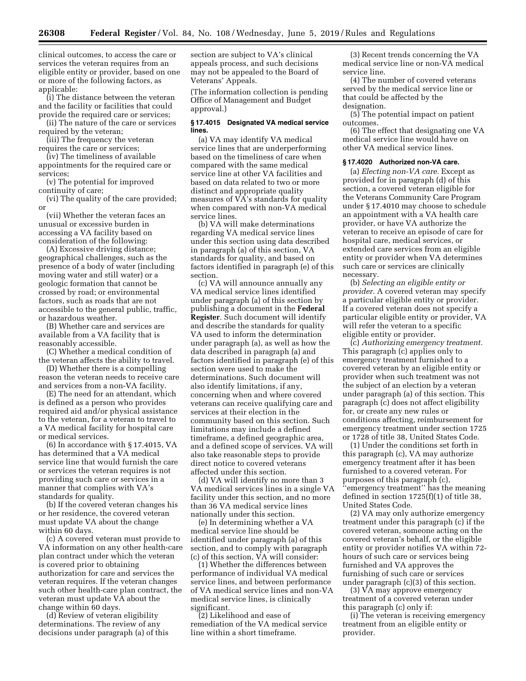clinical outcomes, to access the care or services the veteran requires from an eligible entity or provider, based on one or more of the following factors, as applicable:

(i) The distance between the veteran and the facility or facilities that could provide the required care or services;

(ii) The nature of the care or services required by the veteran;

(iii) The frequency the veteran requires the care or services;

(iv) The timeliness of available appointments for the required care or services;

(v) The potential for improved continuity of care;

(vi) The quality of the care provided; or

(vii) Whether the veteran faces an unusual or excessive burden in accessing a VA facility based on consideration of the following:

(A) Excessive driving distance; geographical challenges, such as the presence of a body of water (including moving water and still water) or a geologic formation that cannot be crossed by road; or environmental factors, such as roads that are not accessible to the general public, traffic, or hazardous weather.

(B) Whether care and services are available from a VA facility that is reasonably accessible.

(C) Whether a medical condition of the veteran affects the ability to travel.

(D) Whether there is a compelling reason the veteran needs to receive care and services from a non-VA facility.

(E) The need for an attendant, which is defined as a person who provides required aid and/or physical assistance to the veteran, for a veteran to travel to a VA medical facility for hospital care or medical services.

(6) In accordance with § 17.4015, VA has determined that a VA medical service line that would furnish the care or services the veteran requires is not providing such care or services in a manner that complies with VA's standards for quality.

(b) If the covered veteran changes his or her residence, the covered veteran must update VA about the change within 60 days.

(c) A covered veteran must provide to VA information on any other health-care plan contract under which the veteran is covered prior to obtaining authorization for care and services the veteran requires. If the veteran changes such other health-care plan contract, the veteran must update VA about the change within 60 days.

(d) Review of veteran eligibility determinations. The review of any decisions under paragraph (a) of this

section are subject to VA's clinical appeals process, and such decisions may not be appealed to the Board of Veterans' Appeals.

(The information collection is pending Office of Management and Budget approval.)

# **§ 17.4015 Designated VA medical service lines.**

(a) VA may identify VA medical service lines that are underperforming based on the timeliness of care when compared with the same medical service line at other VA facilities and based on data related to two or more distinct and appropriate quality measures of VA's standards for quality when compared with non-VA medical service lines.

(b) VA will make determinations regarding VA medical service lines under this section using data described in paragraph (a) of this section, VA standards for quality, and based on factors identified in paragraph (e) of this section.

(c) VA will announce annually any VA medical service lines identified under paragraph (a) of this section by publishing a document in the **Federal Register**. Such document will identify and describe the standards for quality VA used to inform the determination under paragraph (a), as well as how the data described in paragraph (a) and factors identified in paragraph (e) of this section were used to make the determinations. Such document will also identify limitations, if any, concerning when and where covered veterans can receive qualifying care and services at their election in the community based on this section. Such limitations may include a defined timeframe, a defined geographic area, and a defined scope of services. VA will also take reasonable steps to provide direct notice to covered veterans affected under this section.

(d) VA will identify no more than 3 VA medical services lines in a single VA facility under this section, and no more than 36 VA medical service lines nationally under this section.

(e) In determining whether a VA medical service line should be identified under paragraph (a) of this section, and to comply with paragraph (c) of this section, VA will consider:

(1) Whether the differences between performance of individual VA medical service lines, and between performance of VA medical service lines and non-VA medical service lines, is clinically significant.

(2) Likelihood and ease of remediation of the VA medical service line within a short timeframe.

(3) Recent trends concerning the VA medical service line or non-VA medical service line.

(4) The number of covered veterans served by the medical service line or that could be affected by the designation.

(5) The potential impact on patient outcomes.

(6) The effect that designating one VA medical service line would have on other VA medical service lines.

#### **§ 17.4020 Authorized non-VA care.**

(a) *Electing non-VA care.* Except as provided for in paragraph (d) of this section, a covered veteran eligible for the Veterans Community Care Program under § 17.4010 may choose to schedule an appointment with a VA health care provider, or have VA authorize the veteran to receive an episode of care for hospital care, medical services, or extended care services from an eligible entity or provider when VA determines such care or services are clinically necessary.

(b) *Selecting an eligible entity or provider.* A covered veteran may specify a particular eligible entity or provider. If a covered veteran does not specify a particular eligible entity or provider, VA will refer the veteran to a specific eligible entity or provider.

(c) *Authorizing emergency treatment.*  This paragraph (c) applies only to emergency treatment furnished to a covered veteran by an eligible entity or provider when such treatment was not the subject of an election by a veteran under paragraph (a) of this section. This paragraph (c) does not affect eligibility for, or create any new rules or conditions affecting, reimbursement for emergency treatment under section 1725 or 1728 of title 38, United States Code.

(1) Under the conditions set forth in this paragraph (c), VA may authorize emergency treatment after it has been furnished to a covered veteran. For purposes of this paragraph (c), ''emergency treatment'' has the meaning defined in section 1725(f)(1) of title 38, United States Code.

(2) VA may only authorize emergency treatment under this paragraph (c) if the covered veteran, someone acting on the covered veteran's behalf, or the eligible entity or provider notifies VA within 72 hours of such care or services being furnished and VA approves the furnishing of such care or services under paragraph (c)(3) of this section.

(3) VA may approve emergency treatment of a covered veteran under this paragraph (c) only if:

(i) The veteran is receiving emergency treatment from an eligible entity or provider.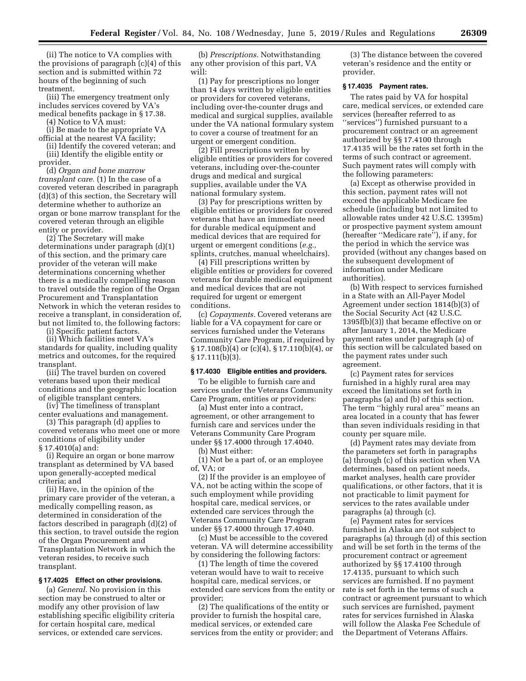(ii) The notice to VA complies with the provisions of paragraph (c)(4) of this section and is submitted within 72 hours of the beginning of such treatment.

(iii) The emergency treatment only includes services covered by VA's medical benefits package in § 17.38.

(4) Notice to VA must:

(i) Be made to the appropriate VA official at the nearest VA facility;

(ii) Identify the covered veteran; and (iii) Identify the eligible entity or provider.

(d) *Organ and bone marrow transplant care.* (1) In the case of a covered veteran described in paragraph (d)(3) of this section, the Secretary will determine whether to authorize an organ or bone marrow transplant for the covered veteran through an eligible entity or provider.

(2) The Secretary will make determinations under paragraph (d)(1) of this section, and the primary care provider of the veteran will make determinations concerning whether there is a medically compelling reason to travel outside the region of the Organ Procurement and Transplantation Network in which the veteran resides to receive a transplant, in consideration of, but not limited to, the following factors:

(i) Specific patient factors.

(ii) Which facilities meet VA's standards for quality, including quality metrics and outcomes, for the required transplant.

(iii) The travel burden on covered veterans based upon their medical conditions and the geographic location of eligible transplant centers.

(iv) The timeliness of transplant center evaluations and management.

(3) This paragraph (d) applies to covered veterans who meet one or more conditions of eligibility under § 17.4010(a) and:

(i) Require an organ or bone marrow transplant as determined by VA based upon generally-accepted medical criteria; and

(ii) Have, in the opinion of the primary care provider of the veteran, a medically compelling reason, as determined in consideration of the factors described in paragraph (d)(2) of this section, to travel outside the region of the Organ Procurement and Transplantation Network in which the veteran resides, to receive such transplant.

# **§ 17.4025 Effect on other provisions.**

(a) *General.* No provision in this section may be construed to alter or modify any other provision of law establishing specific eligibility criteria for certain hospital care, medical services, or extended care services.

(b) *Prescriptions.* Notwithstanding any other provision of this part, VA will:

(1) Pay for prescriptions no longer than 14 days written by eligible entities or providers for covered veterans, including over-the-counter drugs and medical and surgical supplies, available under the VA national formulary system to cover a course of treatment for an urgent or emergent condition.

(2) Fill prescriptions written by eligible entities or providers for covered veterans, including over-the-counter drugs and medical and surgical supplies, available under the VA national formulary system.

(3) Pay for prescriptions written by eligible entities or providers for covered veterans that have an immediate need for durable medical equipment and medical devices that are required for urgent or emergent conditions (*e.g.,*  splints, crutches, manual wheelchairs).

(4) Fill prescriptions written by eligible entities or providers for covered veterans for durable medical equipment and medical devices that are not required for urgent or emergent conditions.

(c) *Copayments.* Covered veterans are liable for a VA copayment for care or services furnished under the Veterans Community Care Program, if required by § 17.108(b)(4) or (c)(4), § 17.110(b)(4), or § 17.111(b)(3).

#### **§ 17.4030 Eligible entities and providers.**

To be eligible to furnish care and services under the Veterans Community Care Program, entities or providers:

(a) Must enter into a contract, agreement, or other arrangement to furnish care and services under the Veterans Community Care Program under §§ 17.4000 through 17.4040.

(b) Must either:

(1) Not be a part of, or an employee of, VA; or

(2) If the provider is an employee of VA, not be acting within the scope of such employment while providing hospital care, medical services, or extended care services through the Veterans Community Care Program under §§ 17.4000 through 17.4040.

(c) Must be accessible to the covered veteran. VA will determine accessibility by considering the following factors:

(1) The length of time the covered veteran would have to wait to receive hospital care, medical services, or extended care services from the entity or provider;

(2) The qualifications of the entity or provider to furnish the hospital care, medical services, or extended care services from the entity or provider; and

(3) The distance between the covered veteran's residence and the entity or provider.

## **§ 17.4035 Payment rates.**

The rates paid by VA for hospital care, medical services, or extended care services (hereafter referred to as ''services'') furnished pursuant to a procurement contract or an agreement authorized by §§ 17.4100 through 17.4135 will be the rates set forth in the terms of such contract or agreement. Such payment rates will comply with the following parameters:

(a) Except as otherwise provided in this section, payment rates will not exceed the applicable Medicare fee schedule (including but not limited to allowable rates under 42 U.S.C. 1395m) or prospective payment system amount (hereafter ''Medicare rate''), if any, for the period in which the service was provided (without any changes based on the subsequent development of information under Medicare authorities).

(b) With respect to services furnished in a State with an All-Payer Model Agreement under section 1814(b)(3) of the Social Security Act (42 U.S.C. 1395f(b)(3)) that became effective on or after January 1, 2014, the Medicare payment rates under paragraph (a) of this section will be calculated based on the payment rates under such agreement.

(c) Payment rates for services furnished in a highly rural area may exceed the limitations set forth in paragraphs (a) and (b) of this section. The term ''highly rural area'' means an area located in a county that has fewer than seven individuals residing in that county per square mile.

(d) Payment rates may deviate from the parameters set forth in paragraphs (a) through (c) of this section when VA determines, based on patient needs, market analyses, health care provider qualifications, or other factors, that it is not practicable to limit payment for services to the rates available under paragraphs (a) through (c).

(e) Payment rates for services furnished in Alaska are not subject to paragraphs (a) through (d) of this section and will be set forth in the terms of the procurement contract or agreement authorized by §§ 17.4100 through 17.4135, pursuant to which such services are furnished. If no payment rate is set forth in the terms of such a contract or agreement pursuant to which such services are furnished, payment rates for services furnished in Alaska will follow the Alaska Fee Schedule of the Department of Veterans Affairs.